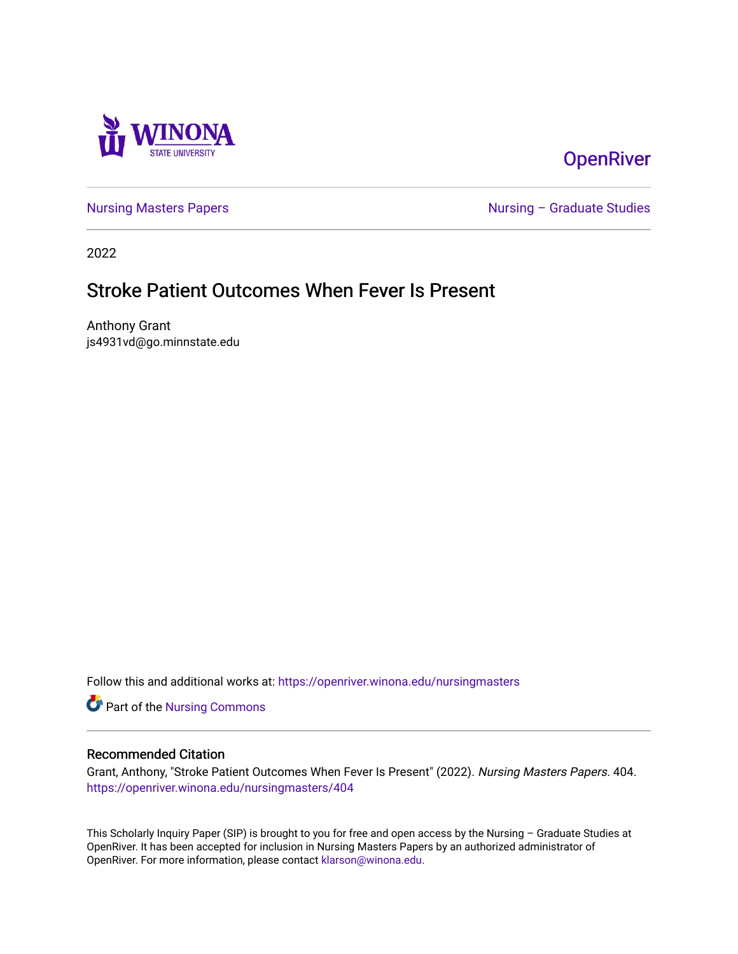

# **OpenRiver**

[Nursing Masters Papers](https://openriver.winona.edu/nursingmasters) **Nursing – Graduate Studies** 

2022

# Stroke Patient Outcomes When Fever Is Present

Anthony Grant js4931vd@go.minnstate.edu

Follow this and additional works at: [https://openriver.winona.edu/nursingmasters](https://openriver.winona.edu/nursingmasters?utm_source=openriver.winona.edu%2Fnursingmasters%2F404&utm_medium=PDF&utm_campaign=PDFCoverPages) 

Part of the [Nursing Commons](http://network.bepress.com/hgg/discipline/718?utm_source=openriver.winona.edu%2Fnursingmasters%2F404&utm_medium=PDF&utm_campaign=PDFCoverPages) 

# Recommended Citation

Grant, Anthony, "Stroke Patient Outcomes When Fever Is Present" (2022). Nursing Masters Papers. 404. [https://openriver.winona.edu/nursingmasters/404](https://openriver.winona.edu/nursingmasters/404?utm_source=openriver.winona.edu%2Fnursingmasters%2F404&utm_medium=PDF&utm_campaign=PDFCoverPages) 

This Scholarly Inquiry Paper (SIP) is brought to you for free and open access by the Nursing – Graduate Studies at OpenRiver. It has been accepted for inclusion in Nursing Masters Papers by an authorized administrator of OpenRiver. For more information, please contact [klarson@winona.edu](mailto:klarson@winona.edu).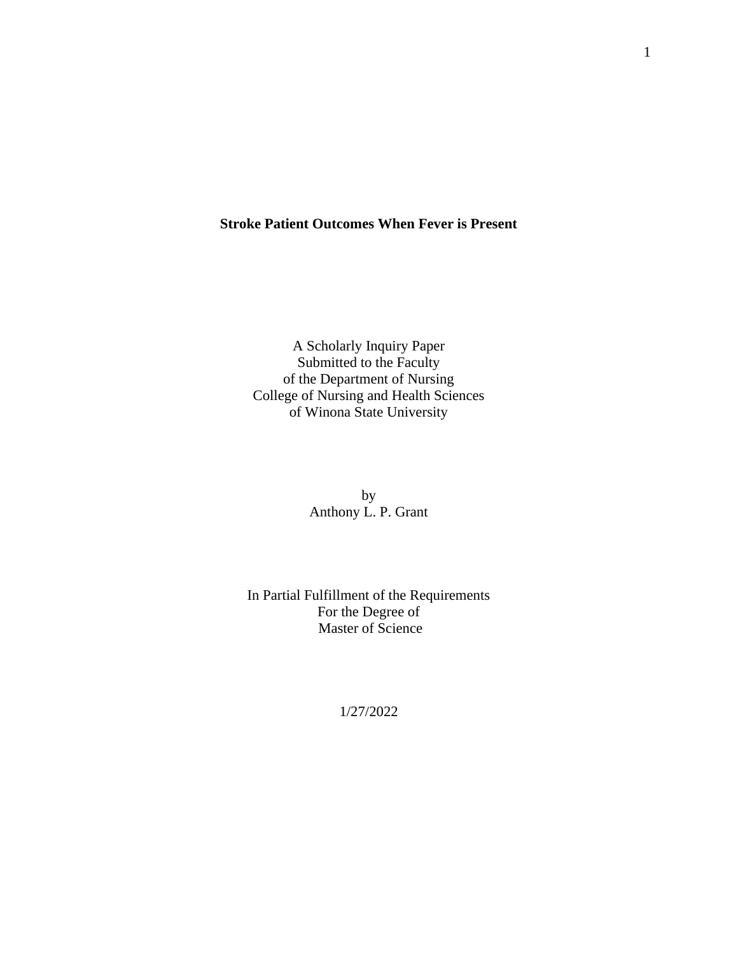# **Stroke Patient Outcomes When Fever is Present**

A Scholarly Inquiry Paper Submitted to the Faculty of the Department of Nursing College of Nursing and Health Sciences of Winona State University

> by Anthony L. P. Grant

In Partial Fulfillment of the Requirements For the Degree of Master of Science

1/27/2022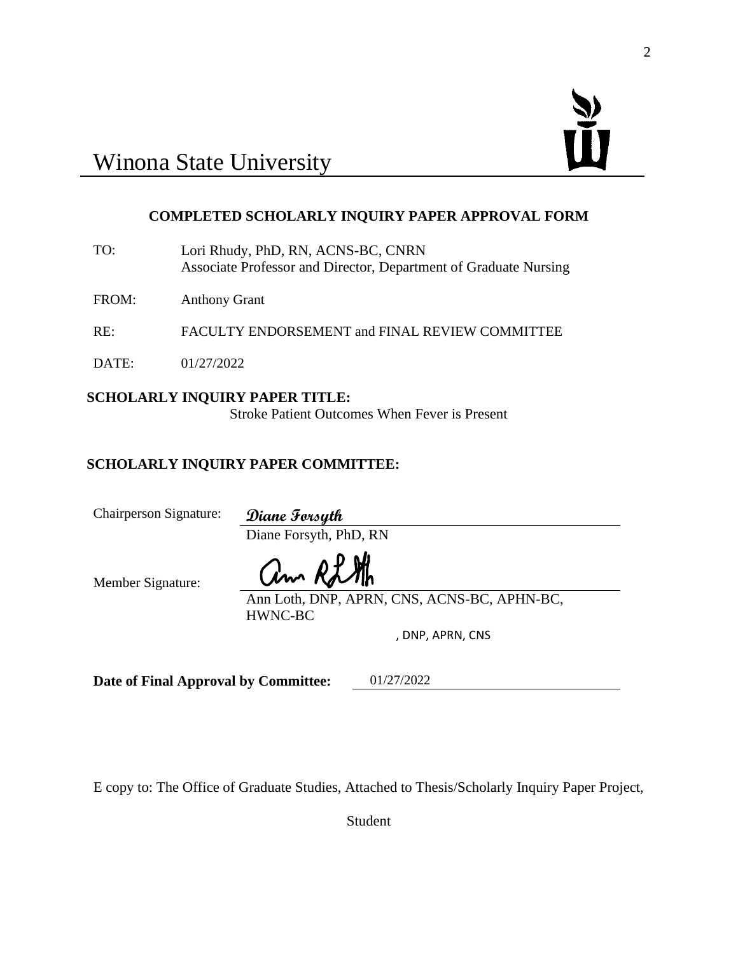# **COMPLETED SCHOLARLY INQUIRY PAPER APPROVAL FORM**

- TO: Lori Rhudy, PhD, RN, ACNS-BC, CNRN Associate Professor and Director, Department of Graduate Nursing
- FROM: Anthony Grant
- RE: FACULTY ENDORSEMENT and FINAL REVIEW COMMITTEE
- DATE: 01/27/2022

# **SCHOLARLY INQUIRY PAPER TITLE:**

Stroke Patient Outcomes When Fever is Present

# **SCHOLARLY INQUIRY PAPER COMMITTEE:**

Chairperson Signature: **Diane Forsyth**

Diane Forsyth, PhD, RN

Member Signature:

am Ri

Ann Loth, DNP, APRN, CNS, ACNS-BC, APHN-BC, HWNC-BC

, DNP, APRN, CNS

**Date of Final Approval by Committee:** 01/27/2022

E copy to: The Office of Graduate Studies, Attached to Thesis/Scholarly Inquiry Paper Project,

Student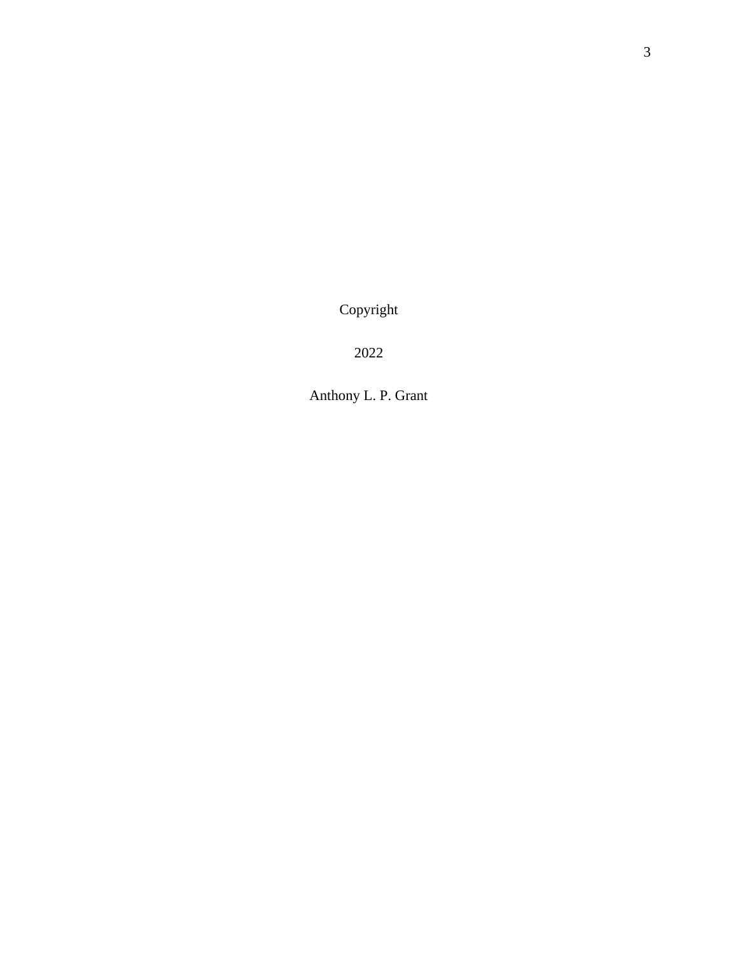Copyright

2022

Anthony L. P. Grant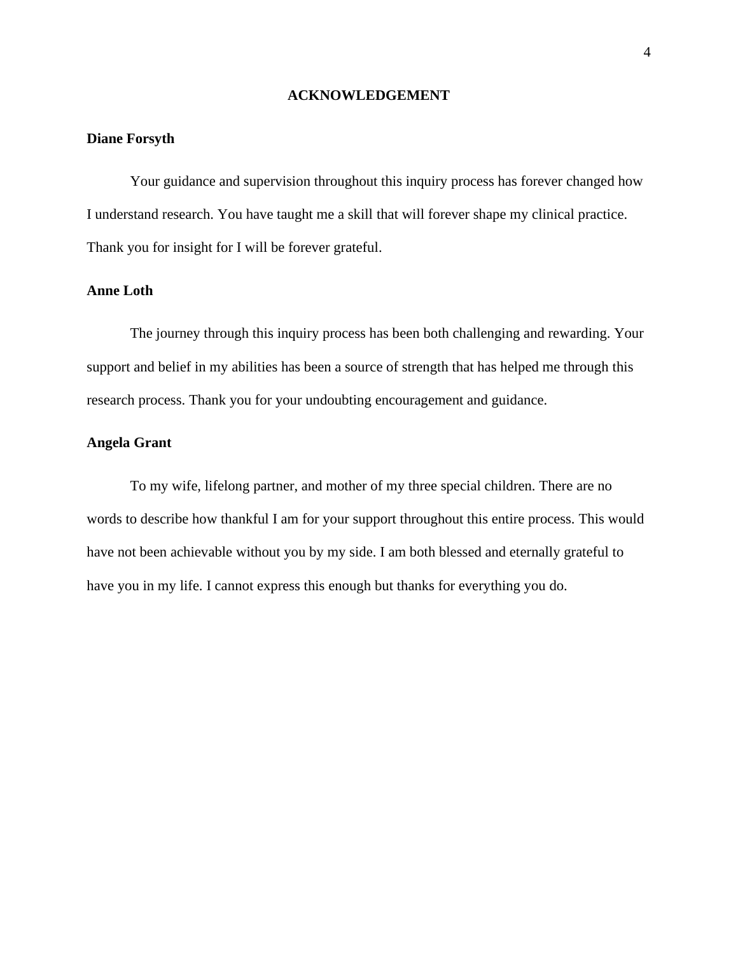# **ACKNOWLEDGEMENT**

# **Diane Forsyth**

Your guidance and supervision throughout this inquiry process has forever changed how I understand research. You have taught me a skill that will forever shape my clinical practice. Thank you for insight for I will be forever grateful.

# **Anne Loth**

The journey through this inquiry process has been both challenging and rewarding. Your support and belief in my abilities has been a source of strength that has helped me through this research process. Thank you for your undoubting encouragement and guidance.

# **Angela Grant**

To my wife, lifelong partner, and mother of my three special children. There are no words to describe how thankful I am for your support throughout this entire process. This would have not been achievable without you by my side. I am both blessed and eternally grateful to have you in my life. I cannot express this enough but thanks for everything you do.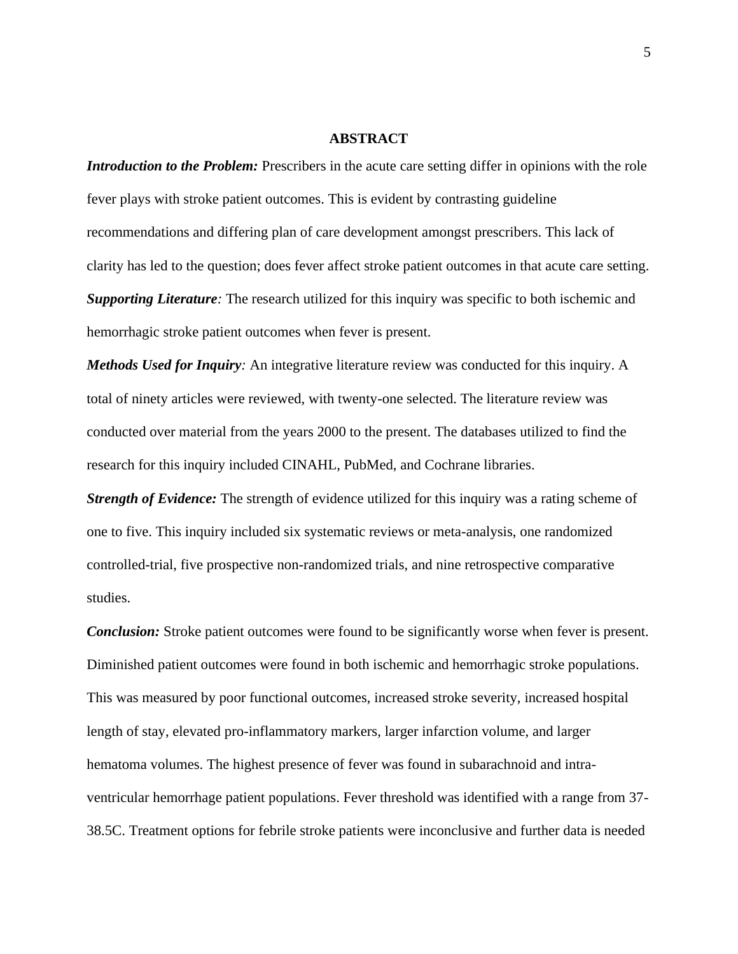#### **ABSTRACT**

*Introduction to the Problem:* Prescribers in the acute care setting differ in opinions with the role fever plays with stroke patient outcomes. This is evident by contrasting guideline recommendations and differing plan of care development amongst prescribers. This lack of clarity has led to the question; does fever affect stroke patient outcomes in that acute care setting. *Supporting Literature:* The research utilized for this inquiry was specific to both ischemic and hemorrhagic stroke patient outcomes when fever is present.

*Methods Used for Inquiry:* An integrative literature review was conducted for this inquiry. A total of ninety articles were reviewed, with twenty-one selected. The literature review was conducted over material from the years 2000 to the present. The databases utilized to find the research for this inquiry included CINAHL, PubMed, and Cochrane libraries.

*Strength of Evidence:* The strength of evidence utilized for this inquiry was a rating scheme of one to five. This inquiry included six systematic reviews or meta-analysis, one randomized controlled-trial, five prospective non-randomized trials, and nine retrospective comparative studies.

*Conclusion:* Stroke patient outcomes were found to be significantly worse when fever is present. Diminished patient outcomes were found in both ischemic and hemorrhagic stroke populations. This was measured by poor functional outcomes, increased stroke severity, increased hospital length of stay, elevated pro-inflammatory markers, larger infarction volume, and larger hematoma volumes. The highest presence of fever was found in subarachnoid and intraventricular hemorrhage patient populations. Fever threshold was identified with a range from 37- 38.5C. Treatment options for febrile stroke patients were inconclusive and further data is needed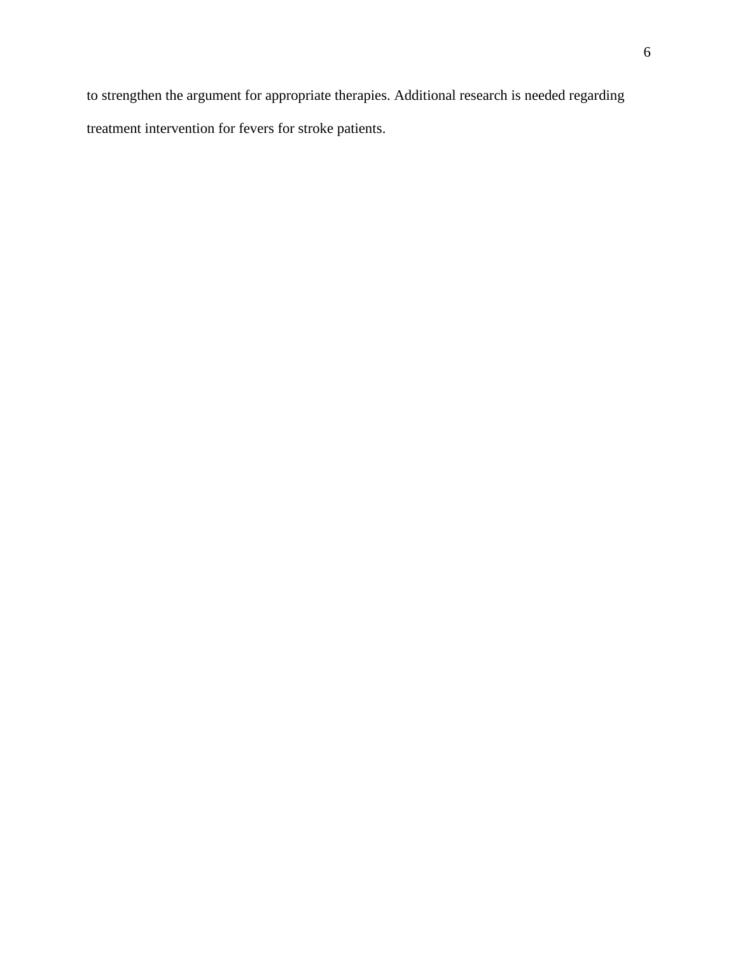to strengthen the argument for appropriate therapies. Additional research is needed regarding treatment intervention for fevers for stroke patients.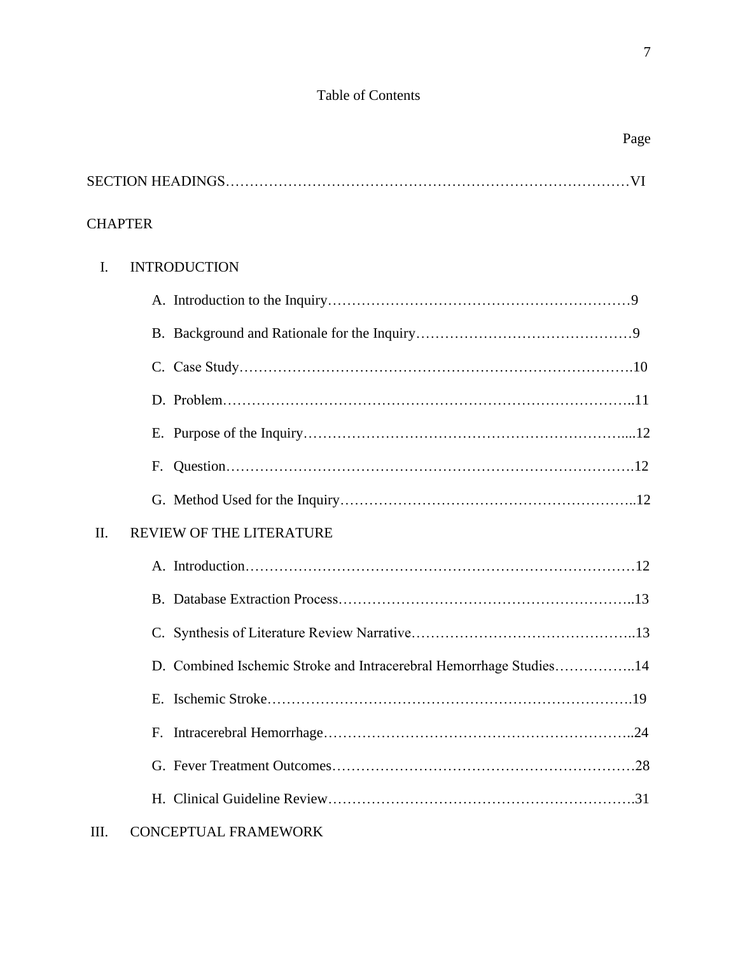# Table of Contents

SECTION HEADINGS…………………………………………………………………………VI

| <b>CHAPTER</b> |    |                                                                    |  |
|----------------|----|--------------------------------------------------------------------|--|
| I.             |    | <b>INTRODUCTION</b>                                                |  |
|                |    |                                                                    |  |
|                |    |                                                                    |  |
|                |    |                                                                    |  |
|                |    |                                                                    |  |
|                |    |                                                                    |  |
|                | F. |                                                                    |  |
|                |    |                                                                    |  |
| II.            |    | REVIEW OF THE LITERATURE                                           |  |
|                |    |                                                                    |  |
|                |    |                                                                    |  |
|                |    |                                                                    |  |
|                |    | D. Combined Ischemic Stroke and Intracerebral Hemorrhage Studies14 |  |
|                |    |                                                                    |  |
|                |    |                                                                    |  |
|                |    |                                                                    |  |
|                |    |                                                                    |  |
| Ш.             |    | <b>CONCEPTUAL FRAMEWORK</b>                                        |  |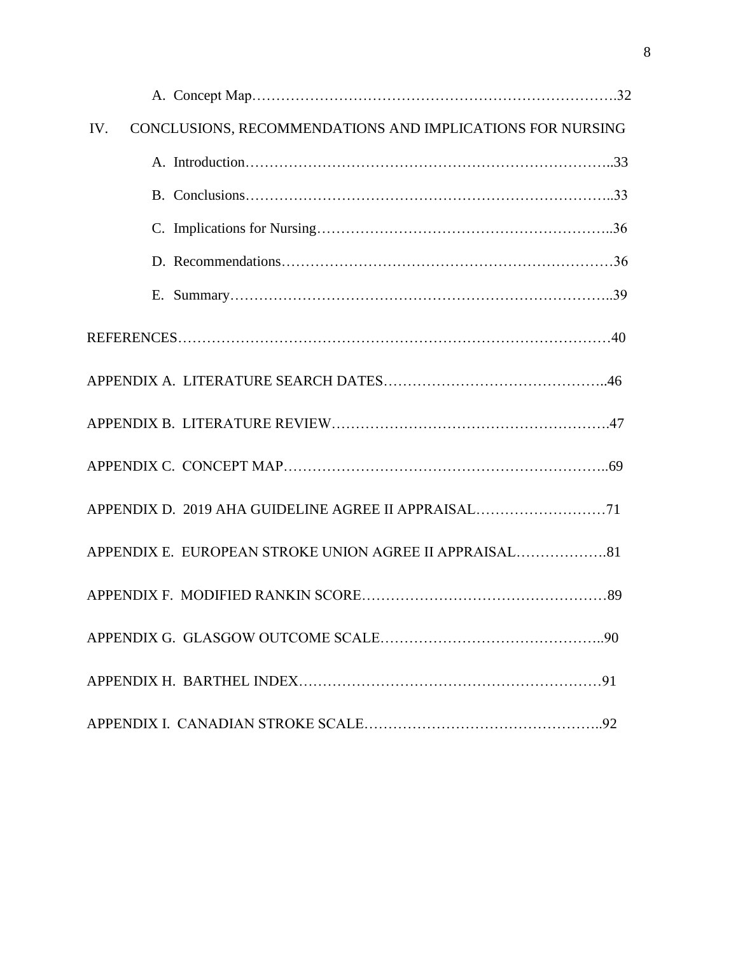| CONCLUSIONS, RECOMMENDATIONS AND IMPLICATIONS FOR NURSING<br>IV. |  |
|------------------------------------------------------------------|--|
|                                                                  |  |
|                                                                  |  |
|                                                                  |  |
|                                                                  |  |
|                                                                  |  |
|                                                                  |  |
|                                                                  |  |
|                                                                  |  |
|                                                                  |  |
| APPENDIX D. 2019 AHA GUIDELINE AGREE II APPRAISAL71              |  |
|                                                                  |  |
|                                                                  |  |
|                                                                  |  |
|                                                                  |  |
|                                                                  |  |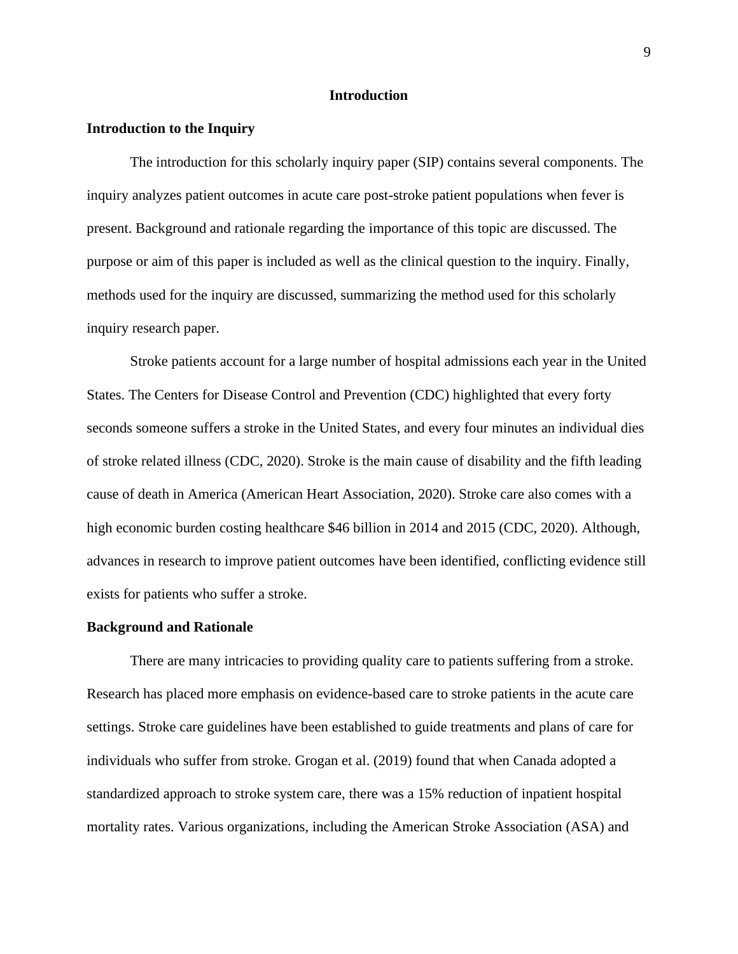# **Introduction**

# **Introduction to the Inquiry**

The introduction for this scholarly inquiry paper (SIP) contains several components. The inquiry analyzes patient outcomes in acute care post-stroke patient populations when fever is present. Background and rationale regarding the importance of this topic are discussed. The purpose or aim of this paper is included as well as the clinical question to the inquiry. Finally, methods used for the inquiry are discussed, summarizing the method used for this scholarly inquiry research paper.

Stroke patients account for a large number of hospital admissions each year in the United States. The Centers for Disease Control and Prevention (CDC) highlighted that every forty seconds someone suffers a stroke in the United States, and every four minutes an individual dies of stroke related illness (CDC, 2020). Stroke is the main cause of disability and the fifth leading cause of death in America (American Heart Association, 2020). Stroke care also comes with a high economic burden costing healthcare \$46 billion in 2014 and 2015 (CDC, 2020). Although, advances in research to improve patient outcomes have been identified, conflicting evidence still exists for patients who suffer a stroke.

#### **Background and Rationale**

There are many intricacies to providing quality care to patients suffering from a stroke. Research has placed more emphasis on evidence-based care to stroke patients in the acute care settings. Stroke care guidelines have been established to guide treatments and plans of care for individuals who suffer from stroke. Grogan et al. (2019) found that when Canada adopted a standardized approach to stroke system care, there was a 15% reduction of inpatient hospital mortality rates. Various organizations, including the American Stroke Association (ASA) and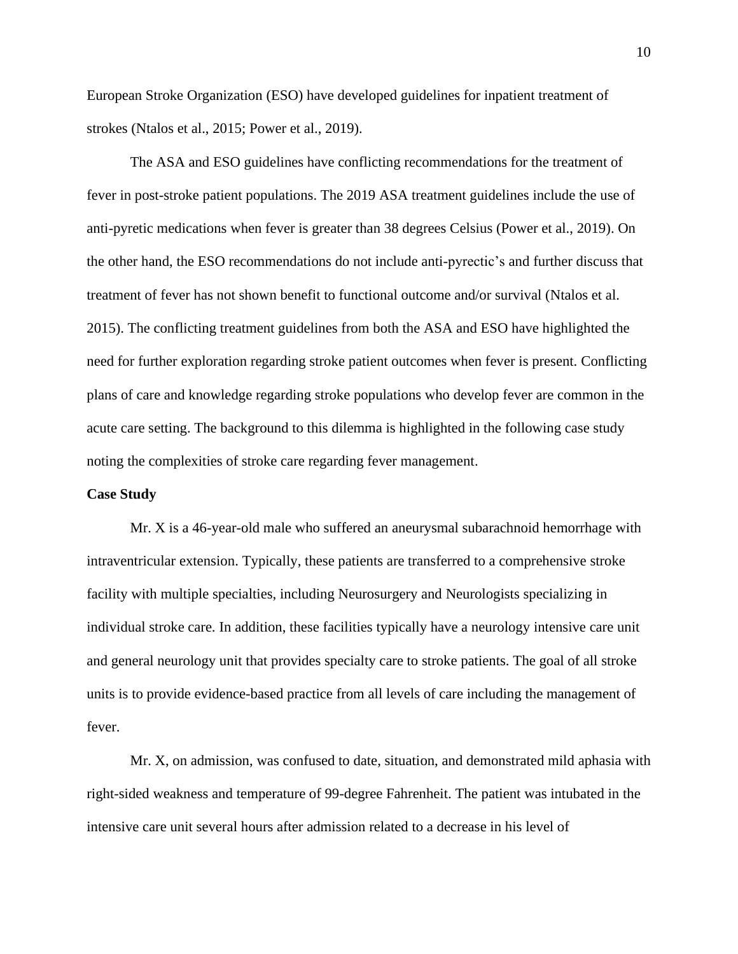European Stroke Organization (ESO) have developed guidelines for inpatient treatment of strokes (Ntalos et al., 2015; Power et al., 2019).

The ASA and ESO guidelines have conflicting recommendations for the treatment of fever in post-stroke patient populations. The 2019 ASA treatment guidelines include the use of anti-pyretic medications when fever is greater than 38 degrees Celsius (Power et al., 2019). On the other hand, the ESO recommendations do not include anti-pyrectic's and further discuss that treatment of fever has not shown benefit to functional outcome and/or survival (Ntalos et al. 2015). The conflicting treatment guidelines from both the ASA and ESO have highlighted the need for further exploration regarding stroke patient outcomes when fever is present. Conflicting plans of care and knowledge regarding stroke populations who develop fever are common in the acute care setting. The background to this dilemma is highlighted in the following case study noting the complexities of stroke care regarding fever management.

# **Case Study**

Mr. X is a 46-year-old male who suffered an aneurysmal subarachnoid hemorrhage with intraventricular extension. Typically, these patients are transferred to a comprehensive stroke facility with multiple specialties, including Neurosurgery and Neurologists specializing in individual stroke care. In addition, these facilities typically have a neurology intensive care unit and general neurology unit that provides specialty care to stroke patients. The goal of all stroke units is to provide evidence-based practice from all levels of care including the management of fever.

Mr. X, on admission, was confused to date, situation, and demonstrated mild aphasia with right-sided weakness and temperature of 99-degree Fahrenheit. The patient was intubated in the intensive care unit several hours after admission related to a decrease in his level of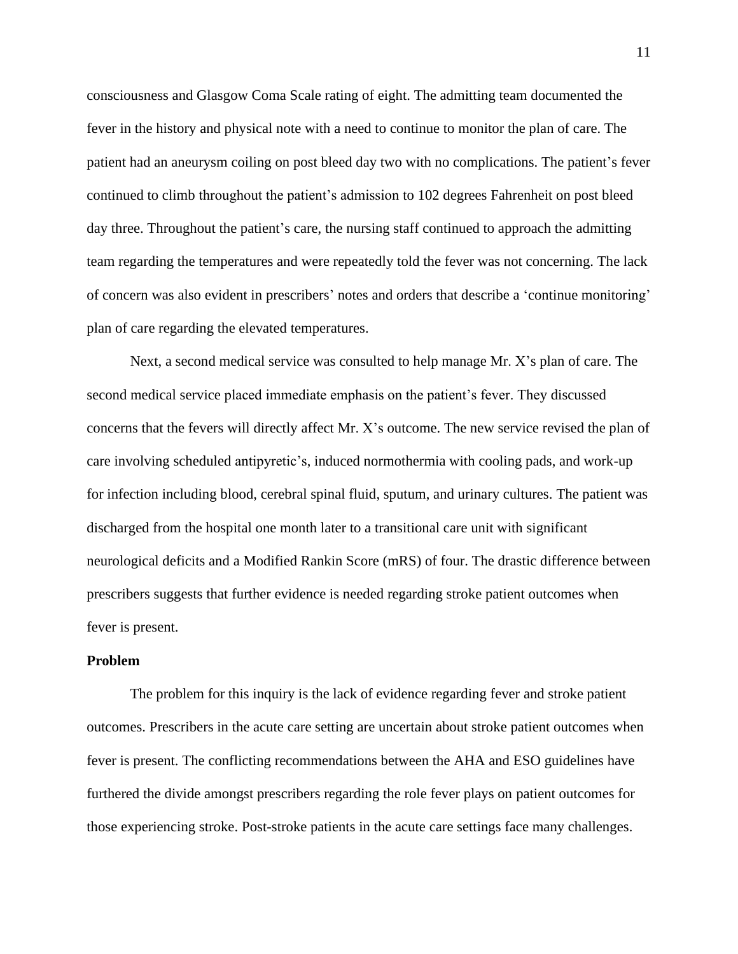consciousness and Glasgow Coma Scale rating of eight. The admitting team documented the fever in the history and physical note with a need to continue to monitor the plan of care. The patient had an aneurysm coiling on post bleed day two with no complications. The patient's fever continued to climb throughout the patient's admission to 102 degrees Fahrenheit on post bleed day three. Throughout the patient's care, the nursing staff continued to approach the admitting team regarding the temperatures and were repeatedly told the fever was not concerning. The lack of concern was also evident in prescribers' notes and orders that describe a 'continue monitoring' plan of care regarding the elevated temperatures.

Next, a second medical service was consulted to help manage Mr. X's plan of care. The second medical service placed immediate emphasis on the patient's fever. They discussed concerns that the fevers will directly affect Mr. X's outcome. The new service revised the plan of care involving scheduled antipyretic's, induced normothermia with cooling pads, and work-up for infection including blood, cerebral spinal fluid, sputum, and urinary cultures. The patient was discharged from the hospital one month later to a transitional care unit with significant neurological deficits and a Modified Rankin Score (mRS) of four. The drastic difference between prescribers suggests that further evidence is needed regarding stroke patient outcomes when fever is present.

# **Problem**

The problem for this inquiry is the lack of evidence regarding fever and stroke patient outcomes. Prescribers in the acute care setting are uncertain about stroke patient outcomes when fever is present. The conflicting recommendations between the AHA and ESO guidelines have furthered the divide amongst prescribers regarding the role fever plays on patient outcomes for those experiencing stroke. Post-stroke patients in the acute care settings face many challenges.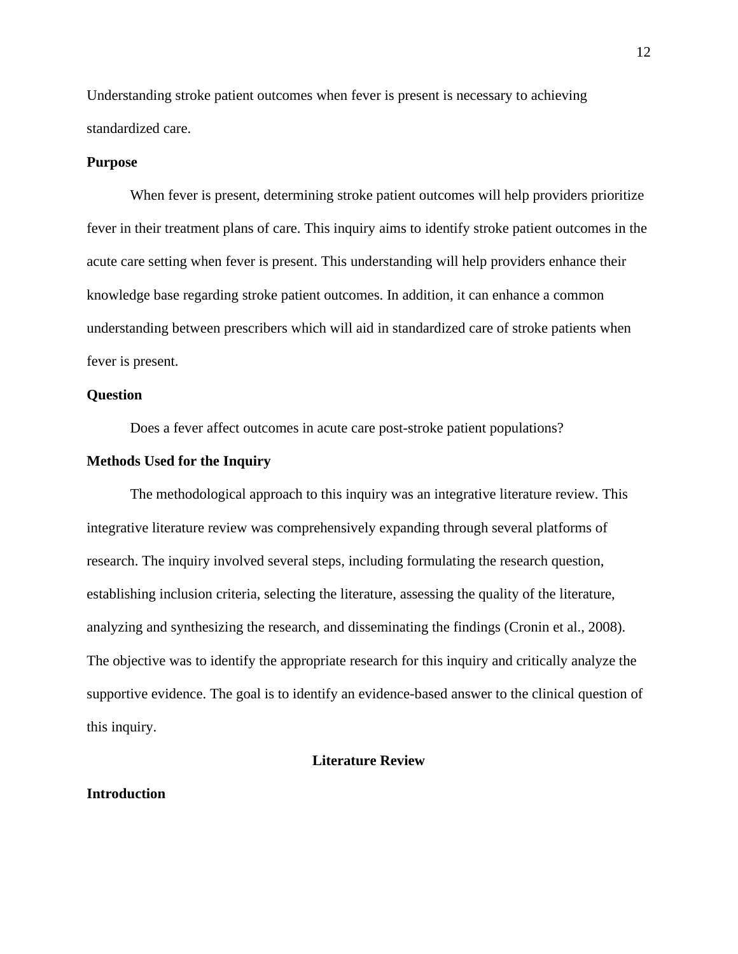Understanding stroke patient outcomes when fever is present is necessary to achieving standardized care.

# **Purpose**

When fever is present, determining stroke patient outcomes will help providers prioritize fever in their treatment plans of care. This inquiry aims to identify stroke patient outcomes in the acute care setting when fever is present. This understanding will help providers enhance their knowledge base regarding stroke patient outcomes. In addition, it can enhance a common understanding between prescribers which will aid in standardized care of stroke patients when fever is present.

# **Question**

Does a fever affect outcomes in acute care post-stroke patient populations?

# **Methods Used for the Inquiry**

The methodological approach to this inquiry was an integrative literature review. This integrative literature review was comprehensively expanding through several platforms of research. The inquiry involved several steps, including formulating the research question, establishing inclusion criteria, selecting the literature, assessing the quality of the literature, analyzing and synthesizing the research, and disseminating the findings (Cronin et al., 2008). The objective was to identify the appropriate research for this inquiry and critically analyze the supportive evidence. The goal is to identify an evidence-based answer to the clinical question of this inquiry.

# **Literature Review**

## **Introduction**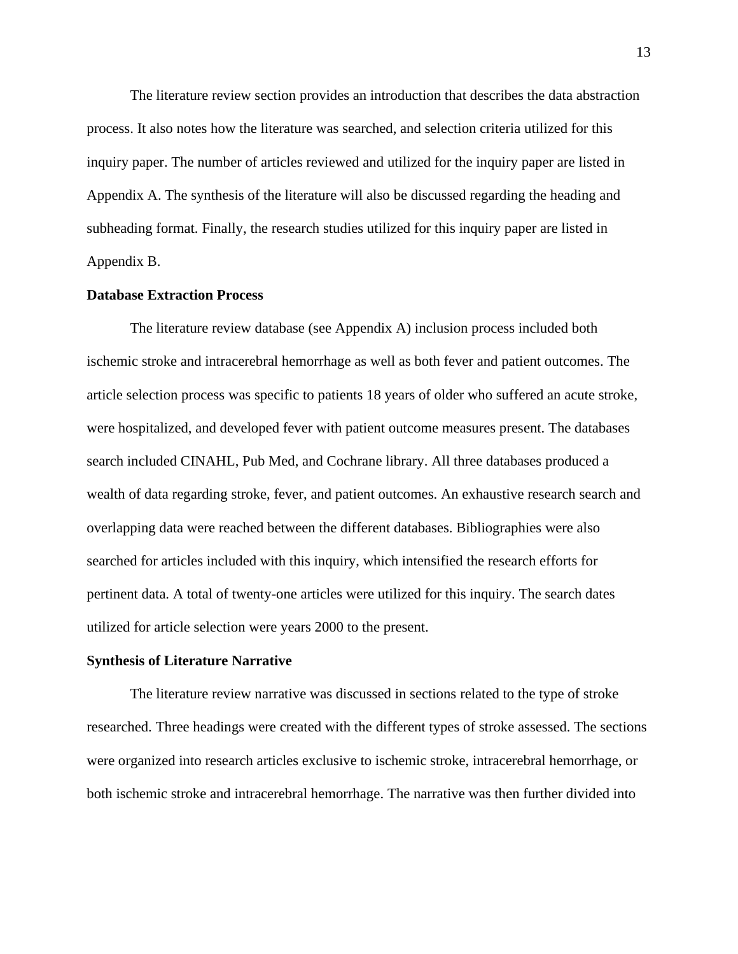The literature review section provides an introduction that describes the data abstraction process. It also notes how the literature was searched, and selection criteria utilized for this inquiry paper. The number of articles reviewed and utilized for the inquiry paper are listed in Appendix A. The synthesis of the literature will also be discussed regarding the heading and subheading format. Finally, the research studies utilized for this inquiry paper are listed in Appendix B.

# **Database Extraction Process**

The literature review database (see Appendix A) inclusion process included both ischemic stroke and intracerebral hemorrhage as well as both fever and patient outcomes. The article selection process was specific to patients 18 years of older who suffered an acute stroke, were hospitalized, and developed fever with patient outcome measures present. The databases search included CINAHL, Pub Med, and Cochrane library. All three databases produced a wealth of data regarding stroke, fever, and patient outcomes. An exhaustive research search and overlapping data were reached between the different databases. Bibliographies were also searched for articles included with this inquiry, which intensified the research efforts for pertinent data. A total of twenty-one articles were utilized for this inquiry. The search dates utilized for article selection were years 2000 to the present.

#### **Synthesis of Literature Narrative**

The literature review narrative was discussed in sections related to the type of stroke researched. Three headings were created with the different types of stroke assessed. The sections were organized into research articles exclusive to ischemic stroke, intracerebral hemorrhage, or both ischemic stroke and intracerebral hemorrhage. The narrative was then further divided into

13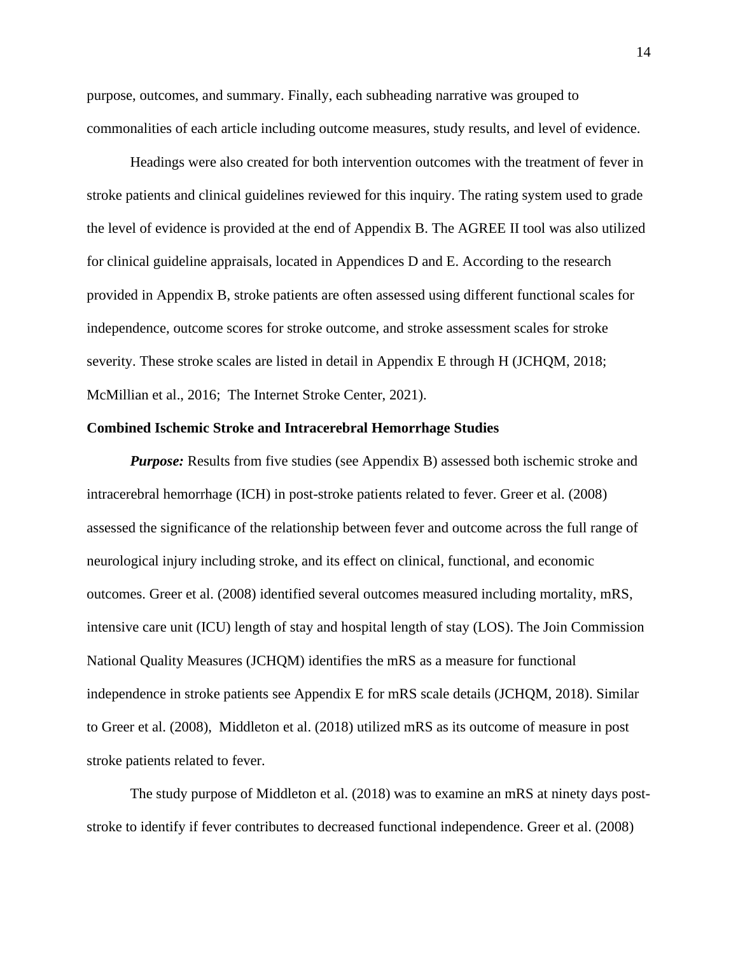purpose, outcomes, and summary. Finally, each subheading narrative was grouped to commonalities of each article including outcome measures, study results, and level of evidence.

Headings were also created for both intervention outcomes with the treatment of fever in stroke patients and clinical guidelines reviewed for this inquiry. The rating system used to grade the level of evidence is provided at the end of Appendix B. The AGREE II tool was also utilized for clinical guideline appraisals, located in Appendices D and E. According to the research provided in Appendix B, stroke patients are often assessed using different functional scales for independence, outcome scores for stroke outcome, and stroke assessment scales for stroke severity. These stroke scales are listed in detail in Appendix E through H (JCHQM, 2018; McMillian et al., 2016; The Internet Stroke Center, 2021).

## **Combined Ischemic Stroke and Intracerebral Hemorrhage Studies**

*Purpose:* Results from five studies (see Appendix B) assessed both ischemic stroke and intracerebral hemorrhage (ICH) in post-stroke patients related to fever. Greer et al. (2008) assessed the significance of the relationship between fever and outcome across the full range of neurological injury including stroke, and its effect on clinical, functional, and economic outcomes. Greer et al. (2008) identified several outcomes measured including mortality, mRS, intensive care unit (ICU) length of stay and hospital length of stay (LOS). The Join Commission National Quality Measures (JCHQM) identifies the mRS as a measure for functional independence in stroke patients see Appendix E for mRS scale details (JCHQM, 2018). Similar to Greer et al. (2008), Middleton et al. (2018) utilized mRS as its outcome of measure in post stroke patients related to fever.

The study purpose of Middleton et al. (2018) was to examine an mRS at ninety days poststroke to identify if fever contributes to decreased functional independence. Greer et al. (2008)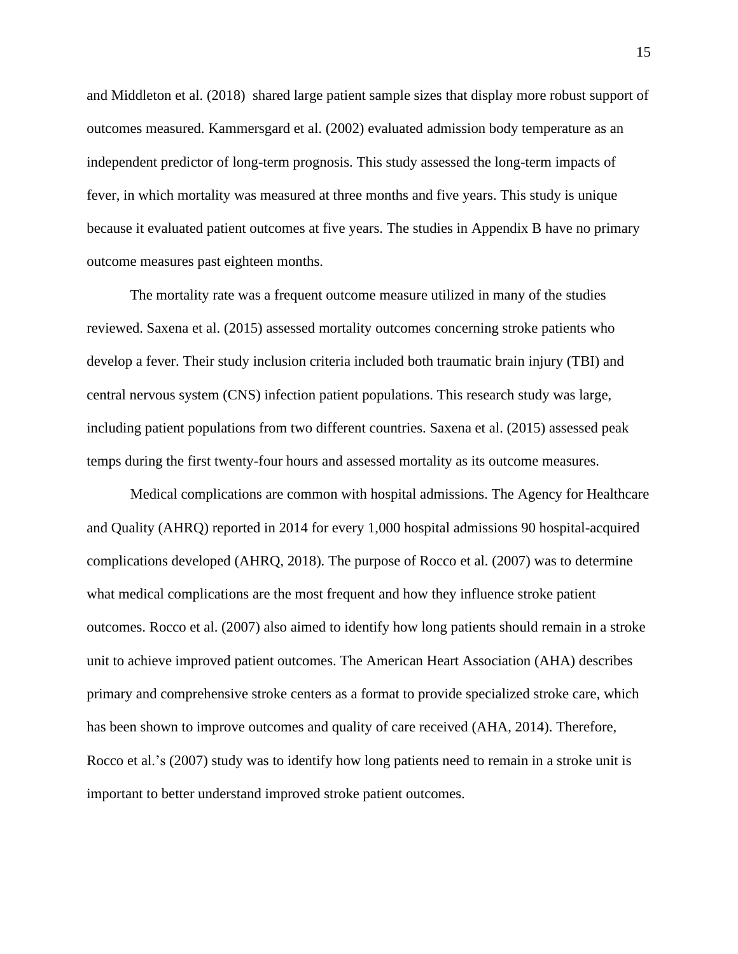and Middleton et al. (2018) shared large patient sample sizes that display more robust support of outcomes measured. Kammersgard et al. (2002) evaluated admission body temperature as an independent predictor of long-term prognosis. This study assessed the long-term impacts of fever, in which mortality was measured at three months and five years. This study is unique because it evaluated patient outcomes at five years. The studies in Appendix B have no primary outcome measures past eighteen months.

The mortality rate was a frequent outcome measure utilized in many of the studies reviewed. Saxena et al. (2015) assessed mortality outcomes concerning stroke patients who develop a fever. Their study inclusion criteria included both traumatic brain injury (TBI) and central nervous system (CNS) infection patient populations. This research study was large, including patient populations from two different countries. Saxena et al. (2015) assessed peak temps during the first twenty-four hours and assessed mortality as its outcome measures.

Medical complications are common with hospital admissions. The Agency for Healthcare and Quality (AHRQ) reported in 2014 for every 1,000 hospital admissions 90 hospital-acquired complications developed (AHRQ, 2018). The purpose of Rocco et al. (2007) was to determine what medical complications are the most frequent and how they influence stroke patient outcomes. Rocco et al. (2007) also aimed to identify how long patients should remain in a stroke unit to achieve improved patient outcomes. The American Heart Association (AHA) describes primary and comprehensive stroke centers as a format to provide specialized stroke care, which has been shown to improve outcomes and quality of care received (AHA, 2014). Therefore, Rocco et al.'s (2007) study was to identify how long patients need to remain in a stroke unit is important to better understand improved stroke patient outcomes.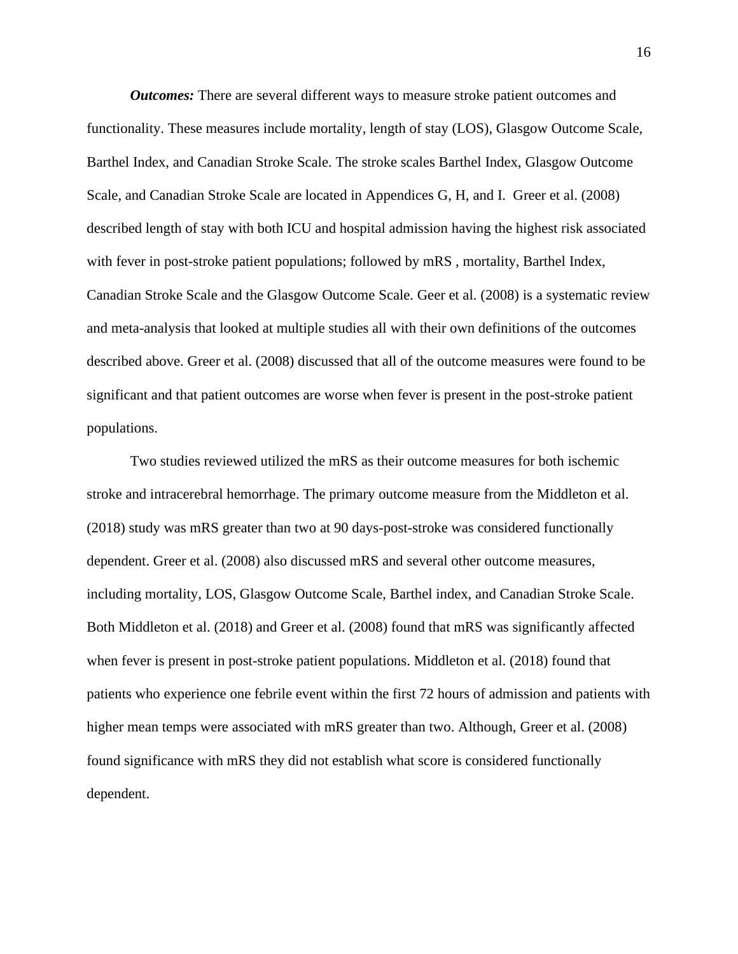*Outcomes:* There are several different ways to measure stroke patient outcomes and functionality. These measures include mortality, length of stay (LOS), Glasgow Outcome Scale, Barthel Index, and Canadian Stroke Scale. The stroke scales Barthel Index, Glasgow Outcome Scale, and Canadian Stroke Scale are located in Appendices G, H, and I. Greer et al. (2008) described length of stay with both ICU and hospital admission having the highest risk associated with fever in post-stroke patient populations; followed by mRS , mortality, Barthel Index, Canadian Stroke Scale and the Glasgow Outcome Scale. Geer et al. (2008) is a systematic review and meta-analysis that looked at multiple studies all with their own definitions of the outcomes described above. Greer et al. (2008) discussed that all of the outcome measures were found to be significant and that patient outcomes are worse when fever is present in the post-stroke patient populations.

Two studies reviewed utilized the mRS as their outcome measures for both ischemic stroke and intracerebral hemorrhage. The primary outcome measure from the Middleton et al. (2018) study was mRS greater than two at 90 days-post-stroke was considered functionally dependent. Greer et al. (2008) also discussed mRS and several other outcome measures, including mortality, LOS, Glasgow Outcome Scale, Barthel index, and Canadian Stroke Scale. Both Middleton et al. (2018) and Greer et al. (2008) found that mRS was significantly affected when fever is present in post-stroke patient populations. Middleton et al. (2018) found that patients who experience one febrile event within the first 72 hours of admission and patients with higher mean temps were associated with mRS greater than two. Although, Greer et al. (2008) found significance with mRS they did not establish what score is considered functionally dependent.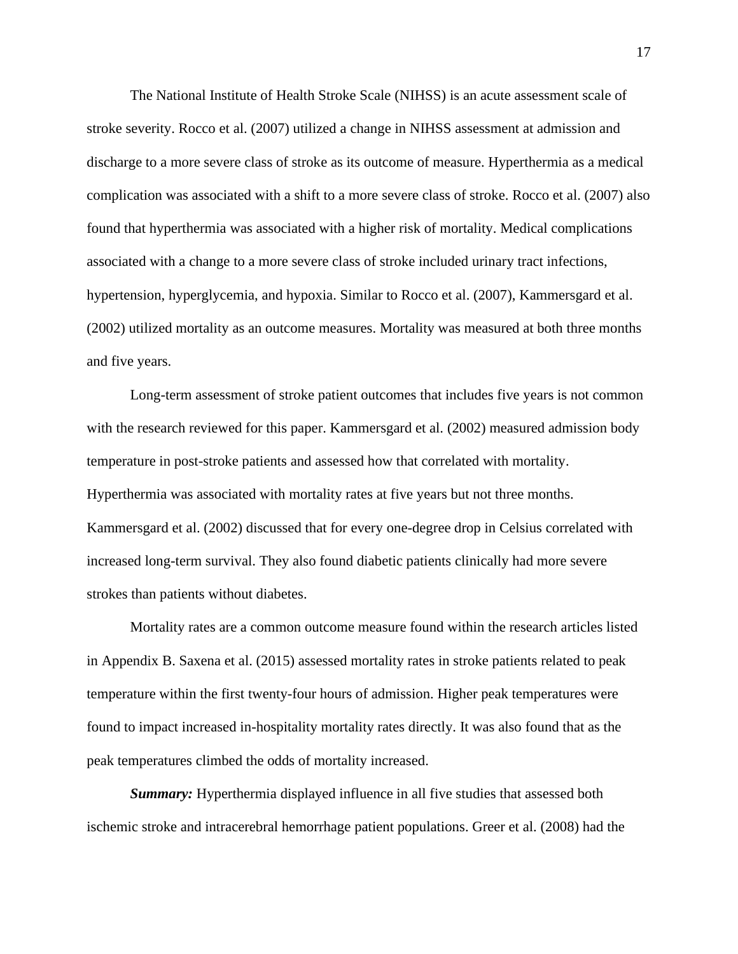The National Institute of Health Stroke Scale (NIHSS) is an acute assessment scale of stroke severity. Rocco et al. (2007) utilized a change in NIHSS assessment at admission and discharge to a more severe class of stroke as its outcome of measure. Hyperthermia as a medical complication was associated with a shift to a more severe class of stroke. Rocco et al. (2007) also found that hyperthermia was associated with a higher risk of mortality. Medical complications associated with a change to a more severe class of stroke included urinary tract infections, hypertension, hyperglycemia, and hypoxia. Similar to Rocco et al. (2007), Kammersgard et al. (2002) utilized mortality as an outcome measures. Mortality was measured at both three months and five years.

Long-term assessment of stroke patient outcomes that includes five years is not common with the research reviewed for this paper. Kammersgard et al. (2002) measured admission body temperature in post-stroke patients and assessed how that correlated with mortality. Hyperthermia was associated with mortality rates at five years but not three months. Kammersgard et al. (2002) discussed that for every one-degree drop in Celsius correlated with increased long-term survival. They also found diabetic patients clinically had more severe strokes than patients without diabetes.

Mortality rates are a common outcome measure found within the research articles listed in Appendix B. Saxena et al. (2015) assessed mortality rates in stroke patients related to peak temperature within the first twenty-four hours of admission. Higher peak temperatures were found to impact increased in-hospitality mortality rates directly. It was also found that as the peak temperatures climbed the odds of mortality increased.

*Summary:* Hyperthermia displayed influence in all five studies that assessed both ischemic stroke and intracerebral hemorrhage patient populations. Greer et al. (2008) had the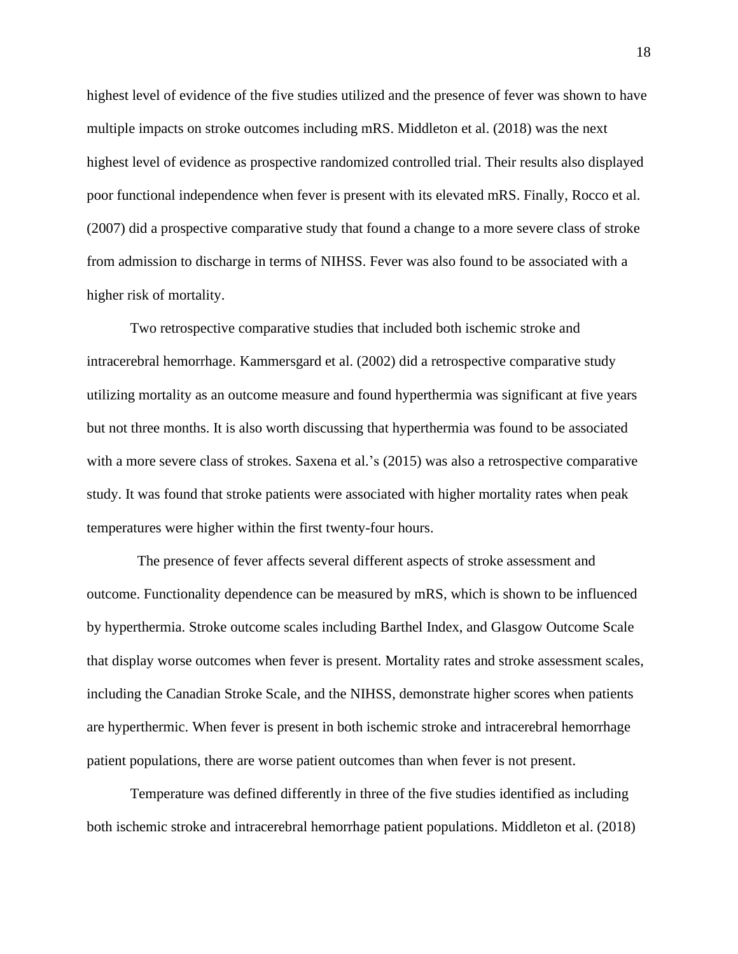highest level of evidence of the five studies utilized and the presence of fever was shown to have multiple impacts on stroke outcomes including mRS. Middleton et al. (2018) was the next highest level of evidence as prospective randomized controlled trial. Their results also displayed poor functional independence when fever is present with its elevated mRS. Finally, Rocco et al. (2007) did a prospective comparative study that found a change to a more severe class of stroke from admission to discharge in terms of NIHSS. Fever was also found to be associated with a higher risk of mortality.

Two retrospective comparative studies that included both ischemic stroke and intracerebral hemorrhage. Kammersgard et al. (2002) did a retrospective comparative study utilizing mortality as an outcome measure and found hyperthermia was significant at five years but not three months. It is also worth discussing that hyperthermia was found to be associated with a more severe class of strokes. Saxena et al.'s (2015) was also a retrospective comparative study. It was found that stroke patients were associated with higher mortality rates when peak temperatures were higher within the first twenty-four hours.

 The presence of fever affects several different aspects of stroke assessment and outcome. Functionality dependence can be measured by mRS, which is shown to be influenced by hyperthermia. Stroke outcome scales including Barthel Index, and Glasgow Outcome Scale that display worse outcomes when fever is present. Mortality rates and stroke assessment scales, including the Canadian Stroke Scale, and the NIHSS, demonstrate higher scores when patients are hyperthermic. When fever is present in both ischemic stroke and intracerebral hemorrhage patient populations, there are worse patient outcomes than when fever is not present.

Temperature was defined differently in three of the five studies identified as including both ischemic stroke and intracerebral hemorrhage patient populations. Middleton et al. (2018)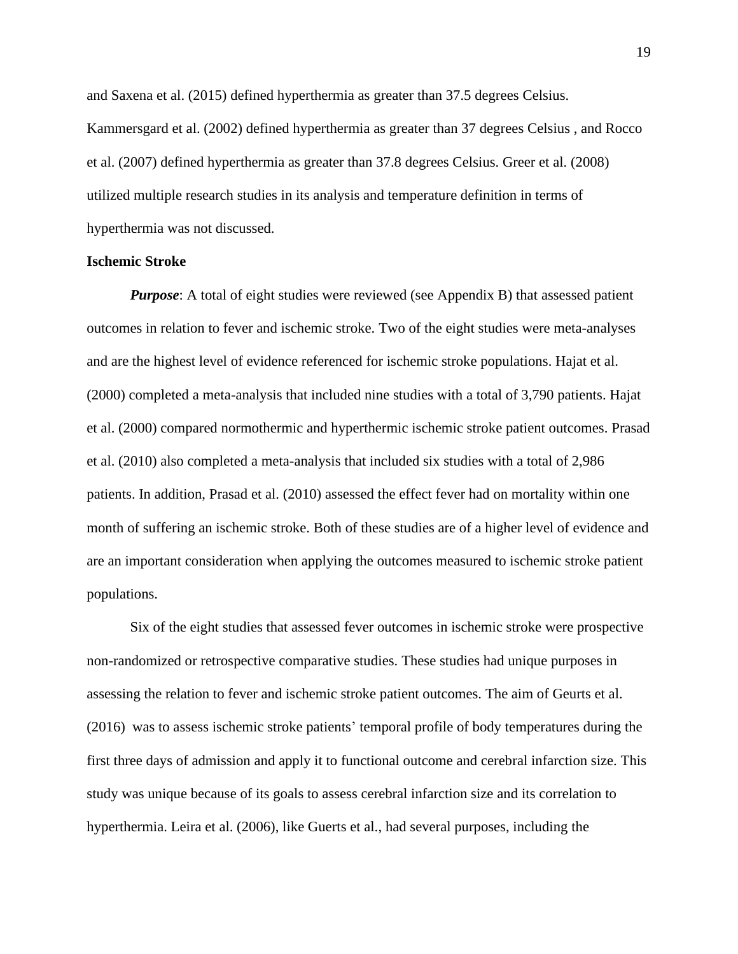and Saxena et al. (2015) defined hyperthermia as greater than 37.5 degrees Celsius. Kammersgard et al. (2002) defined hyperthermia as greater than 37 degrees Celsius , and Rocco et al. (2007) defined hyperthermia as greater than 37.8 degrees Celsius. Greer et al. (2008) utilized multiple research studies in its analysis and temperature definition in terms of hyperthermia was not discussed.

### **Ischemic Stroke**

*Purpose*: A total of eight studies were reviewed (see Appendix B) that assessed patient outcomes in relation to fever and ischemic stroke. Two of the eight studies were meta-analyses and are the highest level of evidence referenced for ischemic stroke populations. Hajat et al. (2000) completed a meta-analysis that included nine studies with a total of 3,790 patients. Hajat et al. (2000) compared normothermic and hyperthermic ischemic stroke patient outcomes. Prasad et al. (2010) also completed a meta-analysis that included six studies with a total of 2,986 patients. In addition, Prasad et al. (2010) assessed the effect fever had on mortality within one month of suffering an ischemic stroke. Both of these studies are of a higher level of evidence and are an important consideration when applying the outcomes measured to ischemic stroke patient populations.

Six of the eight studies that assessed fever outcomes in ischemic stroke were prospective non-randomized or retrospective comparative studies. These studies had unique purposes in assessing the relation to fever and ischemic stroke patient outcomes. The aim of Geurts et al. (2016) was to assess ischemic stroke patients' temporal profile of body temperatures during the first three days of admission and apply it to functional outcome and cerebral infarction size. This study was unique because of its goals to assess cerebral infarction size and its correlation to hyperthermia. Leira et al. (2006), like Guerts et al., had several purposes, including the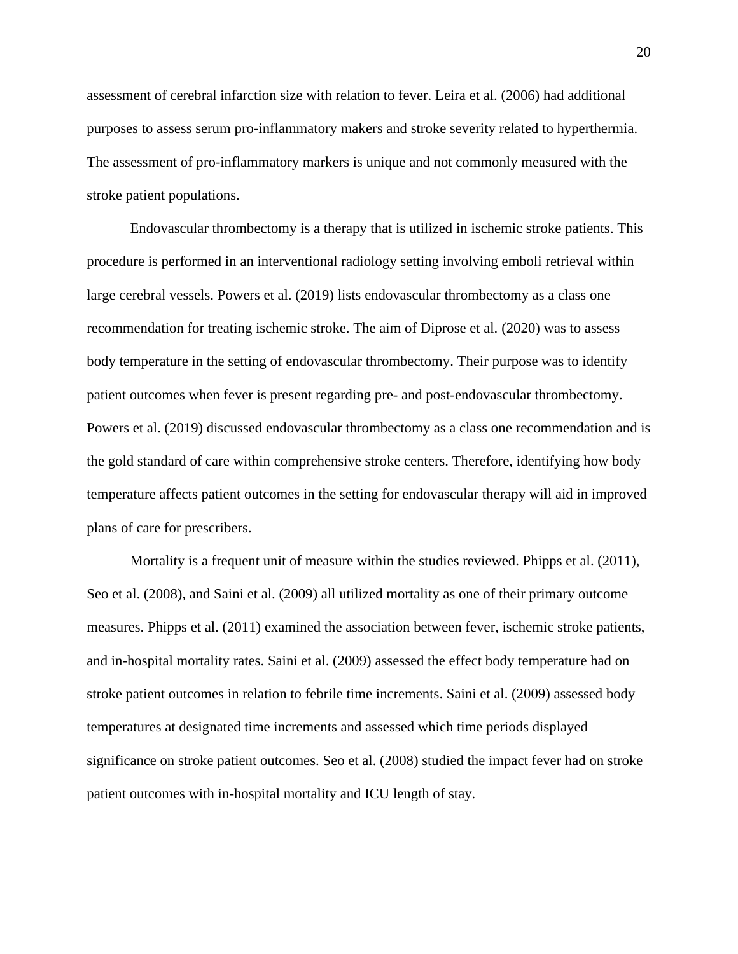assessment of cerebral infarction size with relation to fever. Leira et al. (2006) had additional purposes to assess serum pro-inflammatory makers and stroke severity related to hyperthermia. The assessment of pro-inflammatory markers is unique and not commonly measured with the stroke patient populations.

Endovascular thrombectomy is a therapy that is utilized in ischemic stroke patients. This procedure is performed in an interventional radiology setting involving emboli retrieval within large cerebral vessels. Powers et al. (2019) lists endovascular thrombectomy as a class one recommendation for treating ischemic stroke. The aim of Diprose et al. (2020) was to assess body temperature in the setting of endovascular thrombectomy. Their purpose was to identify patient outcomes when fever is present regarding pre- and post-endovascular thrombectomy. Powers et al. (2019) discussed endovascular thrombectomy as a class one recommendation and is the gold standard of care within comprehensive stroke centers. Therefore, identifying how body temperature affects patient outcomes in the setting for endovascular therapy will aid in improved plans of care for prescribers.

Mortality is a frequent unit of measure within the studies reviewed. Phipps et al. (2011), Seo et al. (2008), and Saini et al. (2009) all utilized mortality as one of their primary outcome measures. Phipps et al. (2011) examined the association between fever, ischemic stroke patients, and in-hospital mortality rates. Saini et al. (2009) assessed the effect body temperature had on stroke patient outcomes in relation to febrile time increments. Saini et al. (2009) assessed body temperatures at designated time increments and assessed which time periods displayed significance on stroke patient outcomes. Seo et al. (2008) studied the impact fever had on stroke patient outcomes with in-hospital mortality and ICU length of stay.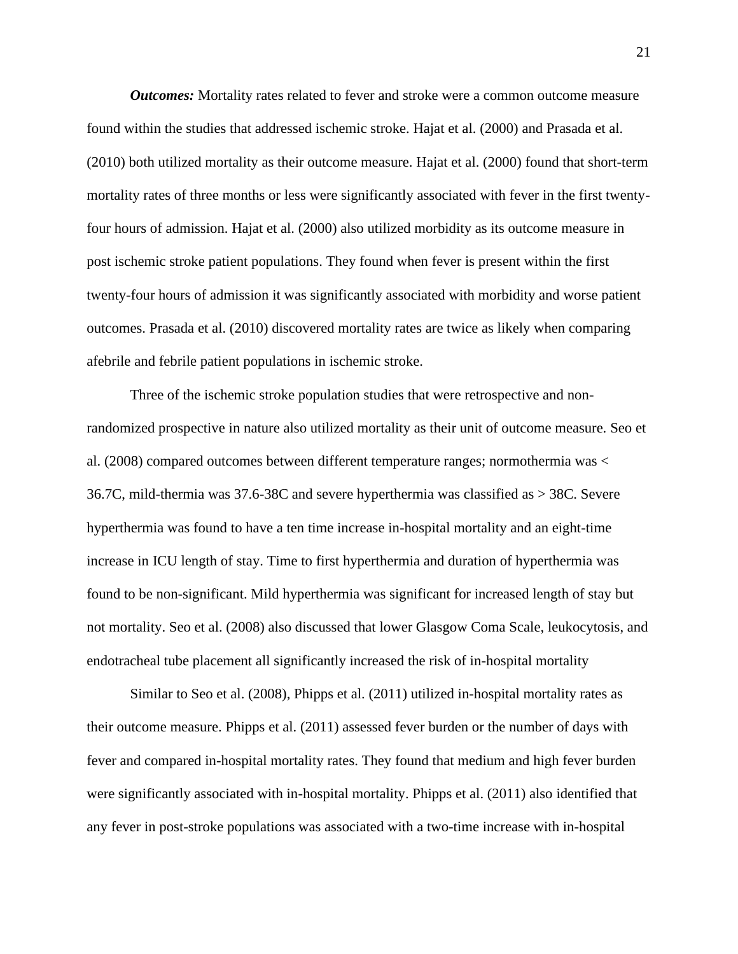*Outcomes:* Mortality rates related to fever and stroke were a common outcome measure found within the studies that addressed ischemic stroke. Hajat et al. (2000) and Prasada et al. (2010) both utilized mortality as their outcome measure. Hajat et al. (2000) found that short-term mortality rates of three months or less were significantly associated with fever in the first twentyfour hours of admission. Hajat et al. (2000) also utilized morbidity as its outcome measure in post ischemic stroke patient populations. They found when fever is present within the first twenty-four hours of admission it was significantly associated with morbidity and worse patient outcomes. Prasada et al. (2010) discovered mortality rates are twice as likely when comparing afebrile and febrile patient populations in ischemic stroke.

Three of the ischemic stroke population studies that were retrospective and nonrandomized prospective in nature also utilized mortality as their unit of outcome measure. Seo et al. (2008) compared outcomes between different temperature ranges; normothermia was < 36.7C, mild-thermia was 37.6-38C and severe hyperthermia was classified as > 38C. Severe hyperthermia was found to have a ten time increase in-hospital mortality and an eight-time increase in ICU length of stay. Time to first hyperthermia and duration of hyperthermia was found to be non-significant. Mild hyperthermia was significant for increased length of stay but not mortality. Seo et al. (2008) also discussed that lower Glasgow Coma Scale, leukocytosis, and endotracheal tube placement all significantly increased the risk of in-hospital mortality

Similar to Seo et al. (2008), Phipps et al. (2011) utilized in-hospital mortality rates as their outcome measure. Phipps et al. (2011) assessed fever burden or the number of days with fever and compared in-hospital mortality rates. They found that medium and high fever burden were significantly associated with in-hospital mortality. Phipps et al. (2011) also identified that any fever in post-stroke populations was associated with a two-time increase with in-hospital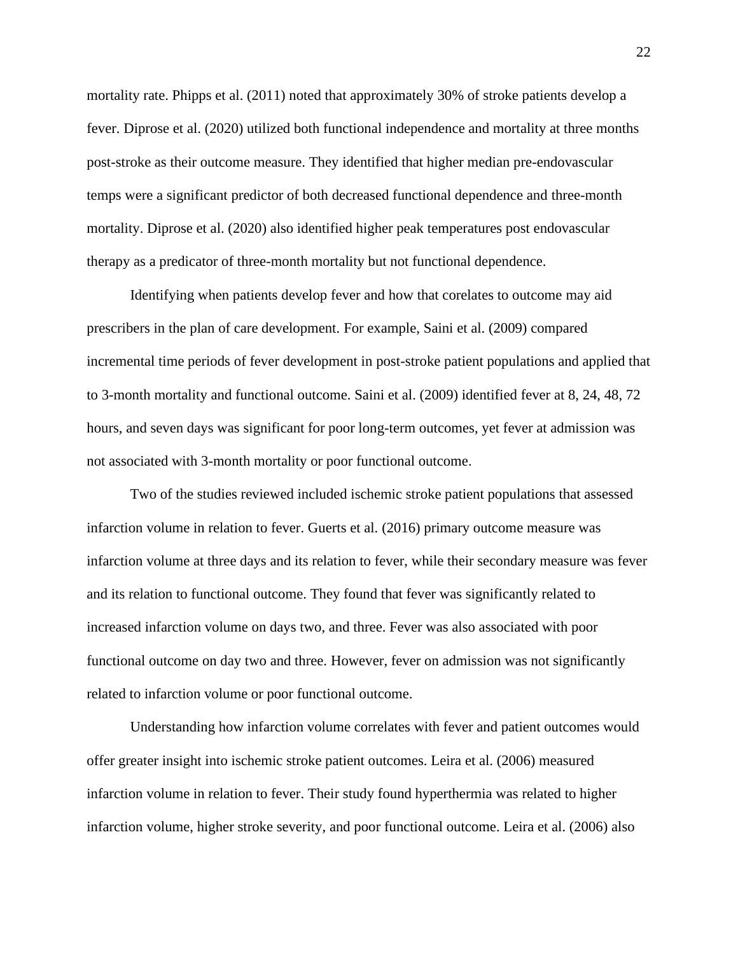mortality rate. Phipps et al. (2011) noted that approximately 30% of stroke patients develop a fever. Diprose et al. (2020) utilized both functional independence and mortality at three months post-stroke as their outcome measure. They identified that higher median pre-endovascular temps were a significant predictor of both decreased functional dependence and three-month mortality. Diprose et al. (2020) also identified higher peak temperatures post endovascular therapy as a predicator of three-month mortality but not functional dependence.

Identifying when patients develop fever and how that corelates to outcome may aid prescribers in the plan of care development. For example, Saini et al. (2009) compared incremental time periods of fever development in post-stroke patient populations and applied that to 3-month mortality and functional outcome. Saini et al. (2009) identified fever at 8, 24, 48, 72 hours, and seven days was significant for poor long-term outcomes, yet fever at admission was not associated with 3-month mortality or poor functional outcome.

Two of the studies reviewed included ischemic stroke patient populations that assessed infarction volume in relation to fever. Guerts et al. (2016) primary outcome measure was infarction volume at three days and its relation to fever, while their secondary measure was fever and its relation to functional outcome. They found that fever was significantly related to increased infarction volume on days two, and three. Fever was also associated with poor functional outcome on day two and three. However, fever on admission was not significantly related to infarction volume or poor functional outcome.

Understanding how infarction volume correlates with fever and patient outcomes would offer greater insight into ischemic stroke patient outcomes. Leira et al. (2006) measured infarction volume in relation to fever. Their study found hyperthermia was related to higher infarction volume, higher stroke severity, and poor functional outcome. Leira et al. (2006) also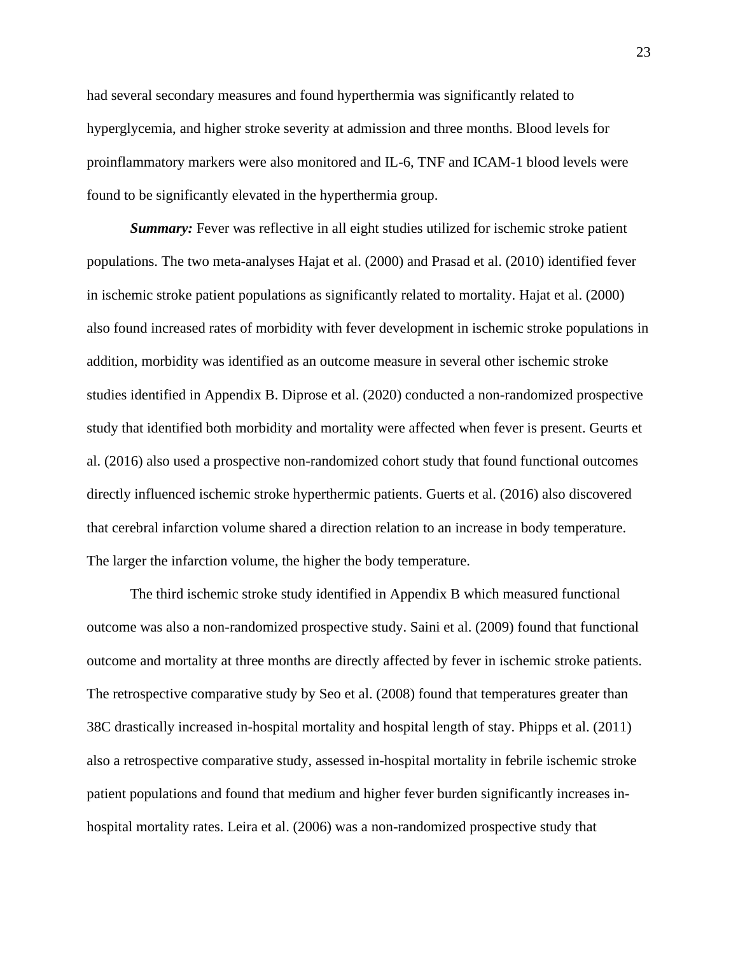had several secondary measures and found hyperthermia was significantly related to hyperglycemia, and higher stroke severity at admission and three months. Blood levels for proinflammatory markers were also monitored and IL-6, TNF and ICAM-1 blood levels were found to be significantly elevated in the hyperthermia group.

*Summary:* Fever was reflective in all eight studies utilized for ischemic stroke patient populations. The two meta-analyses Hajat et al. (2000) and Prasad et al. (2010) identified fever in ischemic stroke patient populations as significantly related to mortality. Hajat et al. (2000) also found increased rates of morbidity with fever development in ischemic stroke populations in addition, morbidity was identified as an outcome measure in several other ischemic stroke studies identified in Appendix B. Diprose et al. (2020) conducted a non-randomized prospective study that identified both morbidity and mortality were affected when fever is present. Geurts et al. (2016) also used a prospective non-randomized cohort study that found functional outcomes directly influenced ischemic stroke hyperthermic patients. Guerts et al. (2016) also discovered that cerebral infarction volume shared a direction relation to an increase in body temperature. The larger the infarction volume, the higher the body temperature.

The third ischemic stroke study identified in Appendix B which measured functional outcome was also a non-randomized prospective study. Saini et al. (2009) found that functional outcome and mortality at three months are directly affected by fever in ischemic stroke patients. The retrospective comparative study by Seo et al. (2008) found that temperatures greater than 38C drastically increased in-hospital mortality and hospital length of stay. Phipps et al. (2011) also a retrospective comparative study, assessed in-hospital mortality in febrile ischemic stroke patient populations and found that medium and higher fever burden significantly increases inhospital mortality rates. Leira et al. (2006) was a non-randomized prospective study that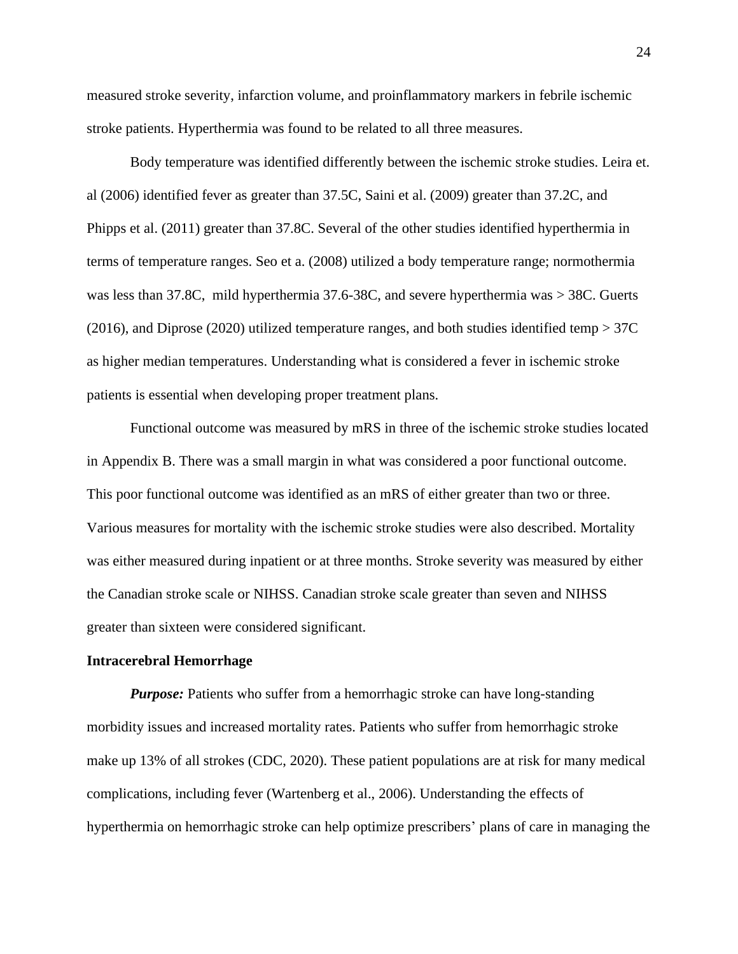measured stroke severity, infarction volume, and proinflammatory markers in febrile ischemic stroke patients. Hyperthermia was found to be related to all three measures.

Body temperature was identified differently between the ischemic stroke studies. Leira et. al (2006) identified fever as greater than 37.5C, Saini et al. (2009) greater than 37.2C, and Phipps et al. (2011) greater than 37.8C. Several of the other studies identified hyperthermia in terms of temperature ranges. Seo et a. (2008) utilized a body temperature range; normothermia was less than 37.8C, mild hyperthermia 37.6-38C, and severe hyperthermia was > 38C. Guerts (2016), and Diprose (2020) utilized temperature ranges, and both studies identified temp > 37C as higher median temperatures. Understanding what is considered a fever in ischemic stroke patients is essential when developing proper treatment plans.

Functional outcome was measured by mRS in three of the ischemic stroke studies located in Appendix B. There was a small margin in what was considered a poor functional outcome. This poor functional outcome was identified as an mRS of either greater than two or three. Various measures for mortality with the ischemic stroke studies were also described. Mortality was either measured during inpatient or at three months. Stroke severity was measured by either the Canadian stroke scale or NIHSS. Canadian stroke scale greater than seven and NIHSS greater than sixteen were considered significant.

#### **Intracerebral Hemorrhage**

*Purpose:* Patients who suffer from a hemorrhagic stroke can have long-standing morbidity issues and increased mortality rates. Patients who suffer from hemorrhagic stroke make up 13% of all strokes (CDC, 2020). These patient populations are at risk for many medical complications, including fever (Wartenberg et al., 2006). Understanding the effects of hyperthermia on hemorrhagic stroke can help optimize prescribers' plans of care in managing the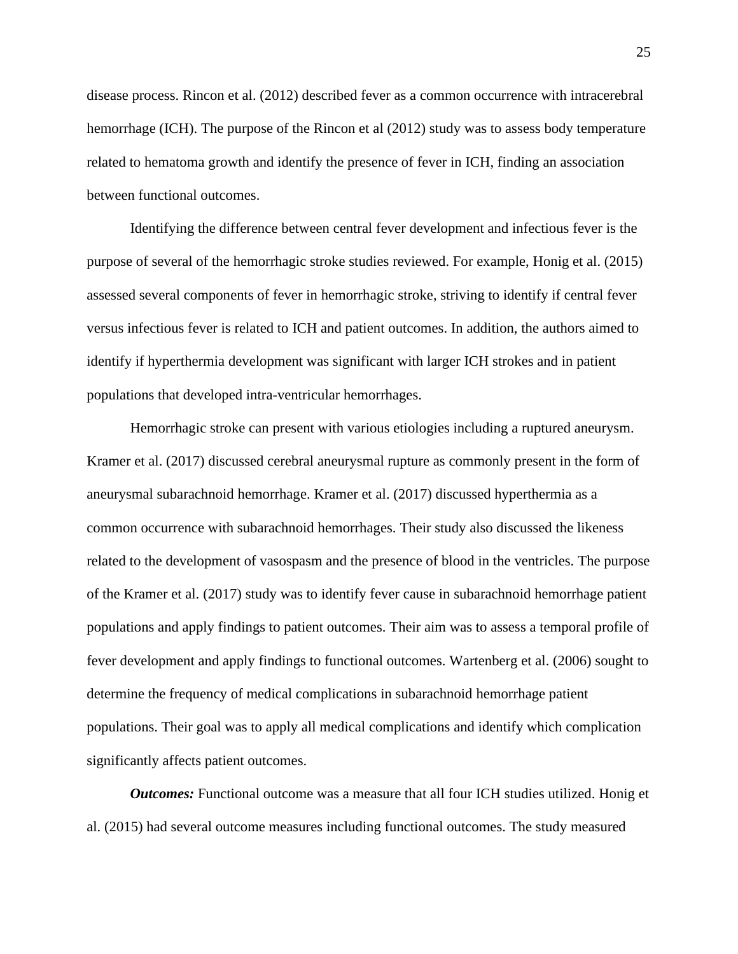disease process. Rincon et al. (2012) described fever as a common occurrence with intracerebral hemorrhage (ICH). The purpose of the Rincon et al (2012) study was to assess body temperature related to hematoma growth and identify the presence of fever in ICH, finding an association between functional outcomes.

Identifying the difference between central fever development and infectious fever is the purpose of several of the hemorrhagic stroke studies reviewed. For example, Honig et al. (2015) assessed several components of fever in hemorrhagic stroke, striving to identify if central fever versus infectious fever is related to ICH and patient outcomes. In addition, the authors aimed to identify if hyperthermia development was significant with larger ICH strokes and in patient populations that developed intra-ventricular hemorrhages.

Hemorrhagic stroke can present with various etiologies including a ruptured aneurysm. Kramer et al. (2017) discussed cerebral aneurysmal rupture as commonly present in the form of aneurysmal subarachnoid hemorrhage. Kramer et al. (2017) discussed hyperthermia as a common occurrence with subarachnoid hemorrhages. Their study also discussed the likeness related to the development of vasospasm and the presence of blood in the ventricles. The purpose of the Kramer et al. (2017) study was to identify fever cause in subarachnoid hemorrhage patient populations and apply findings to patient outcomes. Their aim was to assess a temporal profile of fever development and apply findings to functional outcomes. Wartenberg et al. (2006) sought to determine the frequency of medical complications in subarachnoid hemorrhage patient populations. Their goal was to apply all medical complications and identify which complication significantly affects patient outcomes.

*Outcomes:* Functional outcome was a measure that all four ICH studies utilized. Honig et al. (2015) had several outcome measures including functional outcomes. The study measured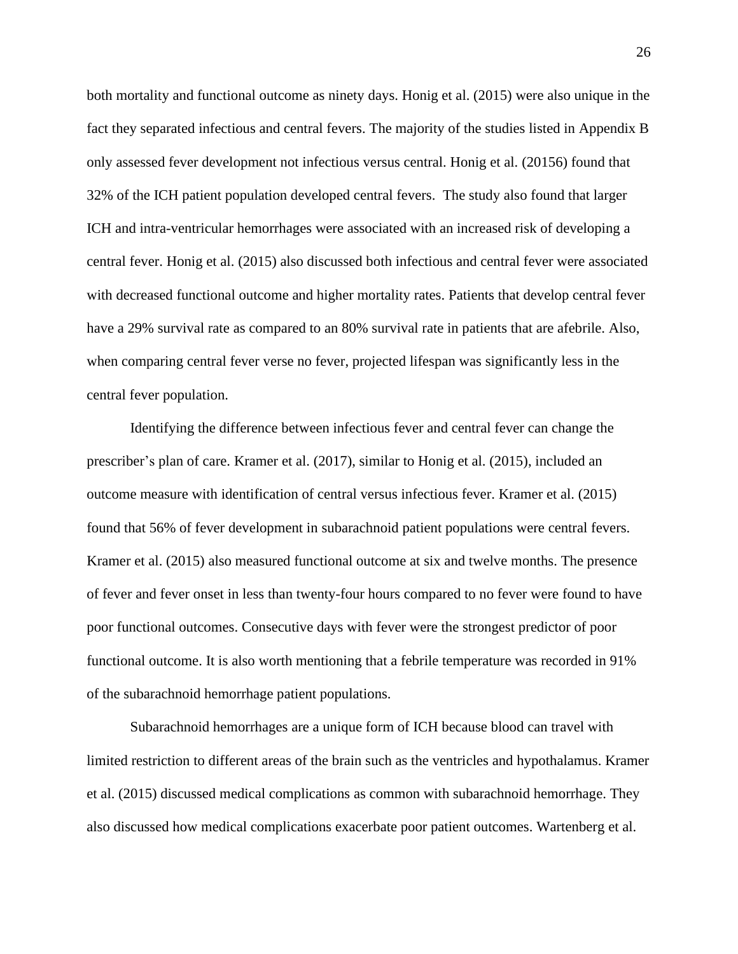both mortality and functional outcome as ninety days. Honig et al. (2015) were also unique in the fact they separated infectious and central fevers. The majority of the studies listed in Appendix B only assessed fever development not infectious versus central. Honig et al. (20156) found that 32% of the ICH patient population developed central fevers. The study also found that larger ICH and intra-ventricular hemorrhages were associated with an increased risk of developing a central fever. Honig et al. (2015) also discussed both infectious and central fever were associated with decreased functional outcome and higher mortality rates. Patients that develop central fever have a 29% survival rate as compared to an 80% survival rate in patients that are afebrile. Also, when comparing central fever verse no fever, projected lifespan was significantly less in the central fever population.

Identifying the difference between infectious fever and central fever can change the prescriber's plan of care. Kramer et al. (2017), similar to Honig et al. (2015), included an outcome measure with identification of central versus infectious fever. Kramer et al. (2015) found that 56% of fever development in subarachnoid patient populations were central fevers. Kramer et al. (2015) also measured functional outcome at six and twelve months. The presence of fever and fever onset in less than twenty-four hours compared to no fever were found to have poor functional outcomes. Consecutive days with fever were the strongest predictor of poor functional outcome. It is also worth mentioning that a febrile temperature was recorded in 91% of the subarachnoid hemorrhage patient populations.

Subarachnoid hemorrhages are a unique form of ICH because blood can travel with limited restriction to different areas of the brain such as the ventricles and hypothalamus. Kramer et al. (2015) discussed medical complications as common with subarachnoid hemorrhage. They also discussed how medical complications exacerbate poor patient outcomes. Wartenberg et al.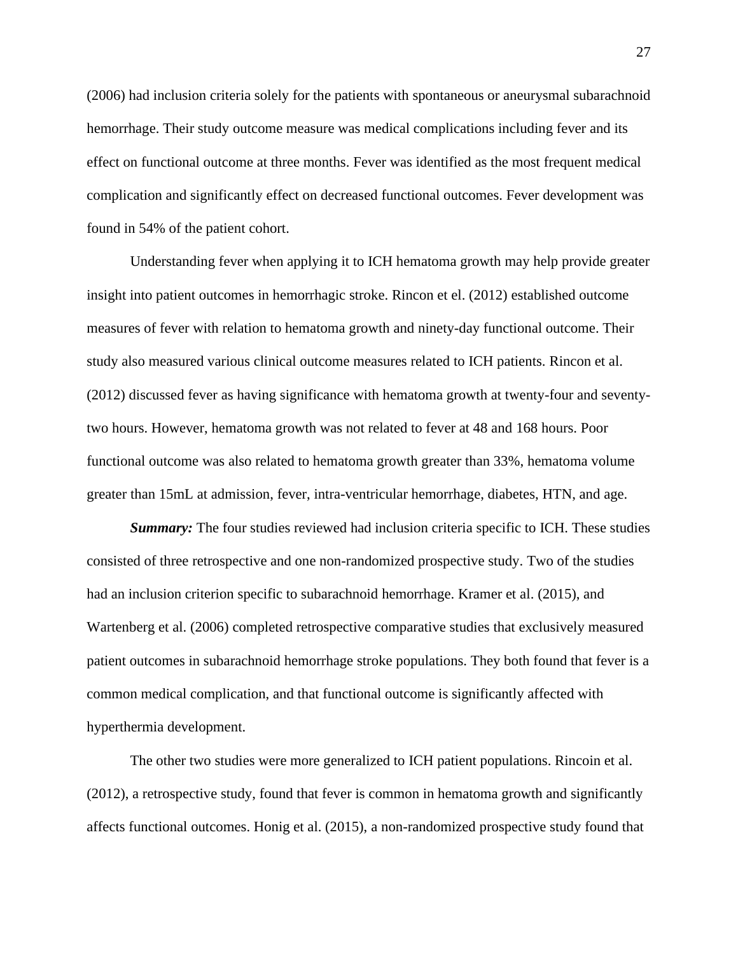(2006) had inclusion criteria solely for the patients with spontaneous or aneurysmal subarachnoid hemorrhage. Their study outcome measure was medical complications including fever and its effect on functional outcome at three months. Fever was identified as the most frequent medical complication and significantly effect on decreased functional outcomes. Fever development was found in 54% of the patient cohort.

Understanding fever when applying it to ICH hematoma growth may help provide greater insight into patient outcomes in hemorrhagic stroke. Rincon et el. (2012) established outcome measures of fever with relation to hematoma growth and ninety-day functional outcome. Their study also measured various clinical outcome measures related to ICH patients. Rincon et al. (2012) discussed fever as having significance with hematoma growth at twenty-four and seventytwo hours. However, hematoma growth was not related to fever at 48 and 168 hours. Poor functional outcome was also related to hematoma growth greater than 33%, hematoma volume greater than 15mL at admission, fever, intra-ventricular hemorrhage, diabetes, HTN, and age.

**Summary:** The four studies reviewed had inclusion criteria specific to ICH. These studies consisted of three retrospective and one non-randomized prospective study. Two of the studies had an inclusion criterion specific to subarachnoid hemorrhage. Kramer et al. (2015), and Wartenberg et al. (2006) completed retrospective comparative studies that exclusively measured patient outcomes in subarachnoid hemorrhage stroke populations. They both found that fever is a common medical complication, and that functional outcome is significantly affected with hyperthermia development.

The other two studies were more generalized to ICH patient populations. Rincoin et al. (2012), a retrospective study, found that fever is common in hematoma growth and significantly affects functional outcomes. Honig et al. (2015), a non-randomized prospective study found that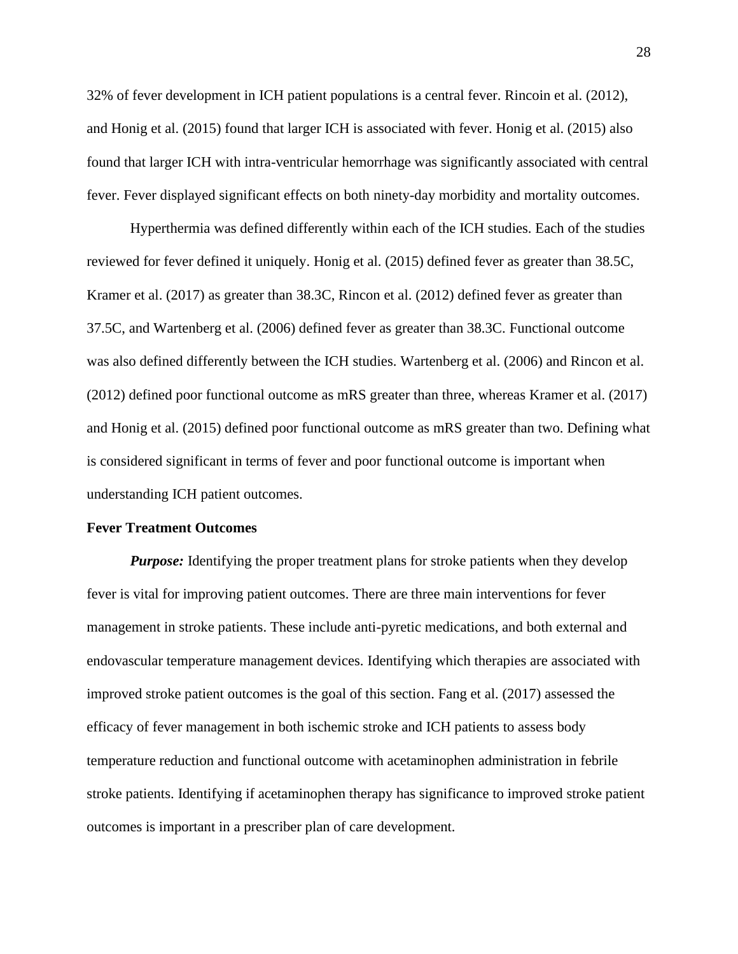32% of fever development in ICH patient populations is a central fever. Rincoin et al. (2012), and Honig et al. (2015) found that larger ICH is associated with fever. Honig et al. (2015) also found that larger ICH with intra-ventricular hemorrhage was significantly associated with central fever. Fever displayed significant effects on both ninety-day morbidity and mortality outcomes.

Hyperthermia was defined differently within each of the ICH studies. Each of the studies reviewed for fever defined it uniquely. Honig et al. (2015) defined fever as greater than 38.5C, Kramer et al. (2017) as greater than 38.3C, Rincon et al. (2012) defined fever as greater than 37.5C, and Wartenberg et al. (2006) defined fever as greater than 38.3C. Functional outcome was also defined differently between the ICH studies. Wartenberg et al. (2006) and Rincon et al. (2012) defined poor functional outcome as mRS greater than three, whereas Kramer et al. (2017) and Honig et al. (2015) defined poor functional outcome as mRS greater than two. Defining what is considered significant in terms of fever and poor functional outcome is important when understanding ICH patient outcomes.

# **Fever Treatment Outcomes**

*Purpose:* Identifying the proper treatment plans for stroke patients when they develop fever is vital for improving patient outcomes. There are three main interventions for fever management in stroke patients. These include anti-pyretic medications, and both external and endovascular temperature management devices. Identifying which therapies are associated with improved stroke patient outcomes is the goal of this section. Fang et al. (2017) assessed the efficacy of fever management in both ischemic stroke and ICH patients to assess body temperature reduction and functional outcome with acetaminophen administration in febrile stroke patients. Identifying if acetaminophen therapy has significance to improved stroke patient outcomes is important in a prescriber plan of care development.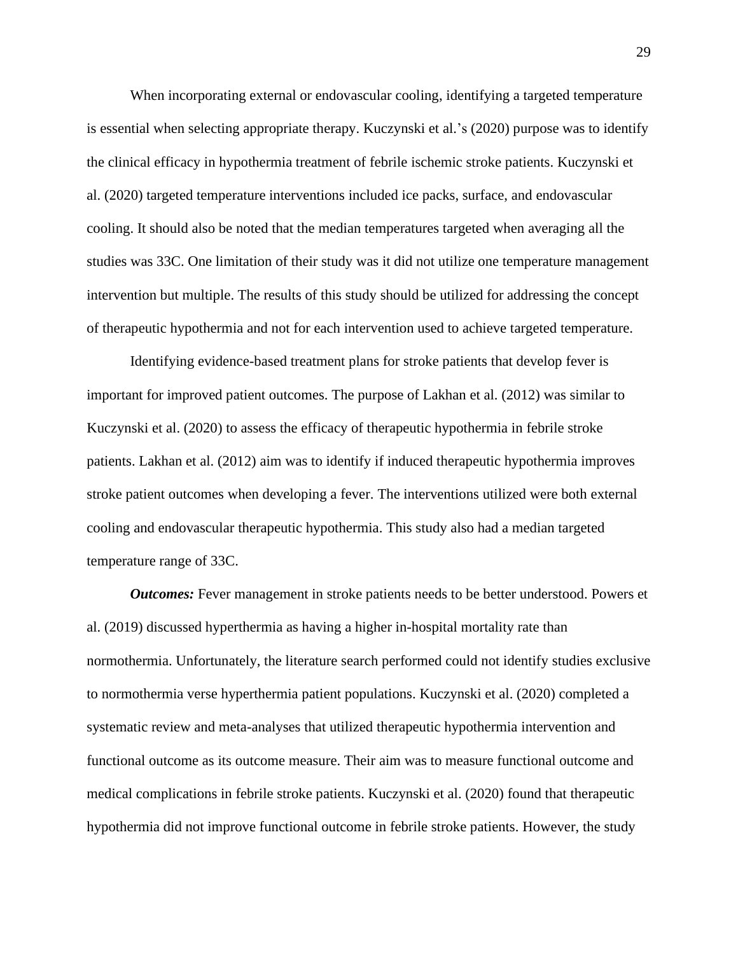When incorporating external or endovascular cooling, identifying a targeted temperature is essential when selecting appropriate therapy. Kuczynski et al.'s (2020) purpose was to identify the clinical efficacy in hypothermia treatment of febrile ischemic stroke patients. Kuczynski et al. (2020) targeted temperature interventions included ice packs, surface, and endovascular cooling. It should also be noted that the median temperatures targeted when averaging all the studies was 33C. One limitation of their study was it did not utilize one temperature management intervention but multiple. The results of this study should be utilized for addressing the concept of therapeutic hypothermia and not for each intervention used to achieve targeted temperature.

Identifying evidence-based treatment plans for stroke patients that develop fever is important for improved patient outcomes. The purpose of Lakhan et al. (2012) was similar to Kuczynski et al. (2020) to assess the efficacy of therapeutic hypothermia in febrile stroke patients. Lakhan et al. (2012) aim was to identify if induced therapeutic hypothermia improves stroke patient outcomes when developing a fever. The interventions utilized were both external cooling and endovascular therapeutic hypothermia. This study also had a median targeted temperature range of 33C.

*Outcomes:* Fever management in stroke patients needs to be better understood. Powers et al. (2019) discussed hyperthermia as having a higher in-hospital mortality rate than normothermia. Unfortunately, the literature search performed could not identify studies exclusive to normothermia verse hyperthermia patient populations. Kuczynski et al. (2020) completed a systematic review and meta-analyses that utilized therapeutic hypothermia intervention and functional outcome as its outcome measure. Their aim was to measure functional outcome and medical complications in febrile stroke patients. Kuczynski et al. (2020) found that therapeutic hypothermia did not improve functional outcome in febrile stroke patients. However, the study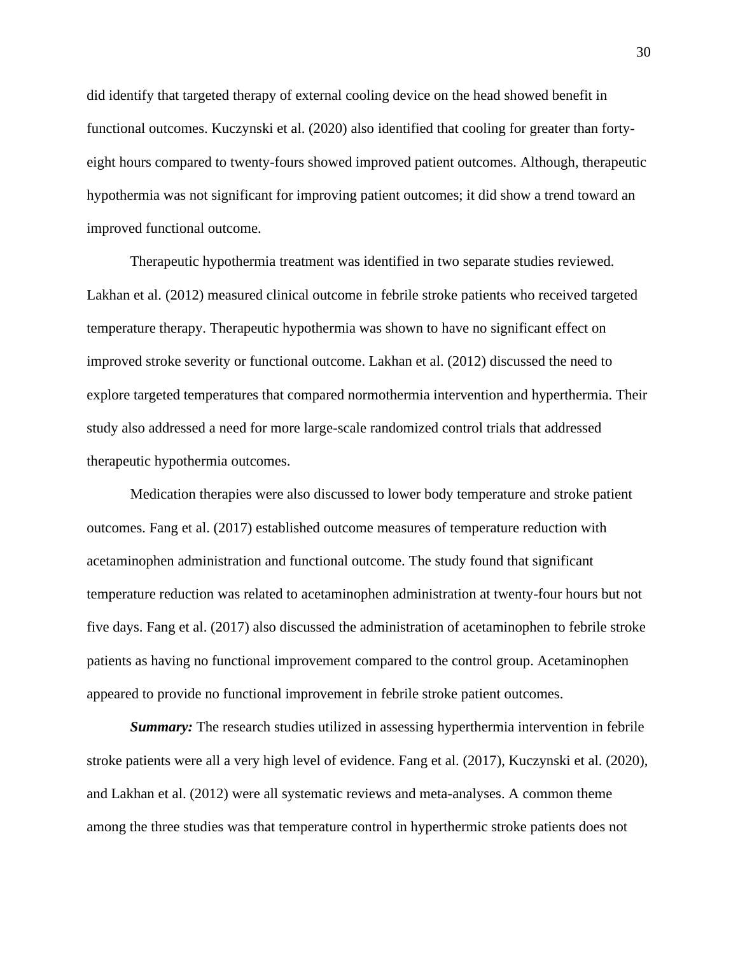did identify that targeted therapy of external cooling device on the head showed benefit in functional outcomes. Kuczynski et al. (2020) also identified that cooling for greater than fortyeight hours compared to twenty-fours showed improved patient outcomes. Although, therapeutic hypothermia was not significant for improving patient outcomes; it did show a trend toward an improved functional outcome.

Therapeutic hypothermia treatment was identified in two separate studies reviewed. Lakhan et al. (2012) measured clinical outcome in febrile stroke patients who received targeted temperature therapy. Therapeutic hypothermia was shown to have no significant effect on improved stroke severity or functional outcome. Lakhan et al. (2012) discussed the need to explore targeted temperatures that compared normothermia intervention and hyperthermia. Their study also addressed a need for more large-scale randomized control trials that addressed therapeutic hypothermia outcomes.

Medication therapies were also discussed to lower body temperature and stroke patient outcomes. Fang et al. (2017) established outcome measures of temperature reduction with acetaminophen administration and functional outcome. The study found that significant temperature reduction was related to acetaminophen administration at twenty-four hours but not five days. Fang et al. (2017) also discussed the administration of acetaminophen to febrile stroke patients as having no functional improvement compared to the control group. Acetaminophen appeared to provide no functional improvement in febrile stroke patient outcomes.

*Summary:* The research studies utilized in assessing hyperthermia intervention in febrile stroke patients were all a very high level of evidence. Fang et al. (2017), Kuczynski et al. (2020), and Lakhan et al. (2012) were all systematic reviews and meta-analyses. A common theme among the three studies was that temperature control in hyperthermic stroke patients does not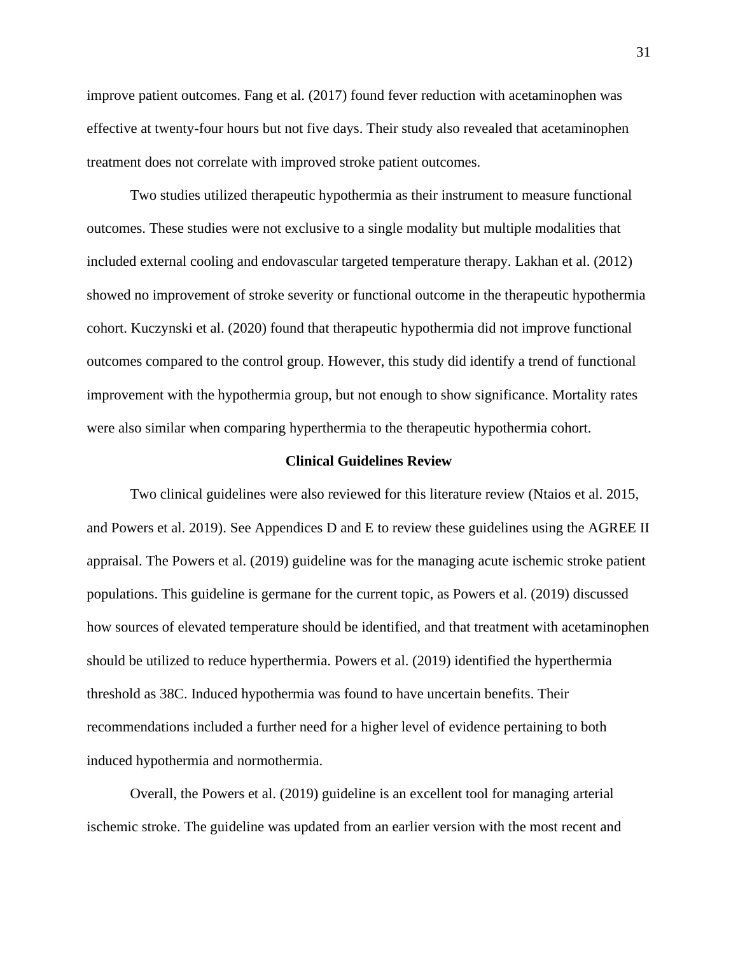improve patient outcomes. Fang et al. (2017) found fever reduction with acetaminophen was effective at twenty-four hours but not five days. Their study also revealed that acetaminophen treatment does not correlate with improved stroke patient outcomes.

Two studies utilized therapeutic hypothermia as their instrument to measure functional outcomes. These studies were not exclusive to a single modality but multiple modalities that included external cooling and endovascular targeted temperature therapy. Lakhan et al. (2012) showed no improvement of stroke severity or functional outcome in the therapeutic hypothermia cohort. Kuczynski et al. (2020) found that therapeutic hypothermia did not improve functional outcomes compared to the control group. However, this study did identify a trend of functional improvement with the hypothermia group, but not enough to show significance. Mortality rates were also similar when comparing hyperthermia to the therapeutic hypothermia cohort.

## **Clinical Guidelines Review**

Two clinical guidelines were also reviewed for this literature review (Ntaios et al. 2015, and Powers et al. 2019). See Appendices D and E to review these guidelines using the AGREE II appraisal. The Powers et al. (2019) guideline was for the managing acute ischemic stroke patient populations. This guideline is germane for the current topic, as Powers et al. (2019) discussed how sources of elevated temperature should be identified, and that treatment with acetaminophen should be utilized to reduce hyperthermia. Powers et al. (2019) identified the hyperthermia threshold as 38C. Induced hypothermia was found to have uncertain benefits. Their recommendations included a further need for a higher level of evidence pertaining to both induced hypothermia and normothermia.

Overall, the Powers et al. (2019) guideline is an excellent tool for managing arterial ischemic stroke. The guideline was updated from an earlier version with the most recent and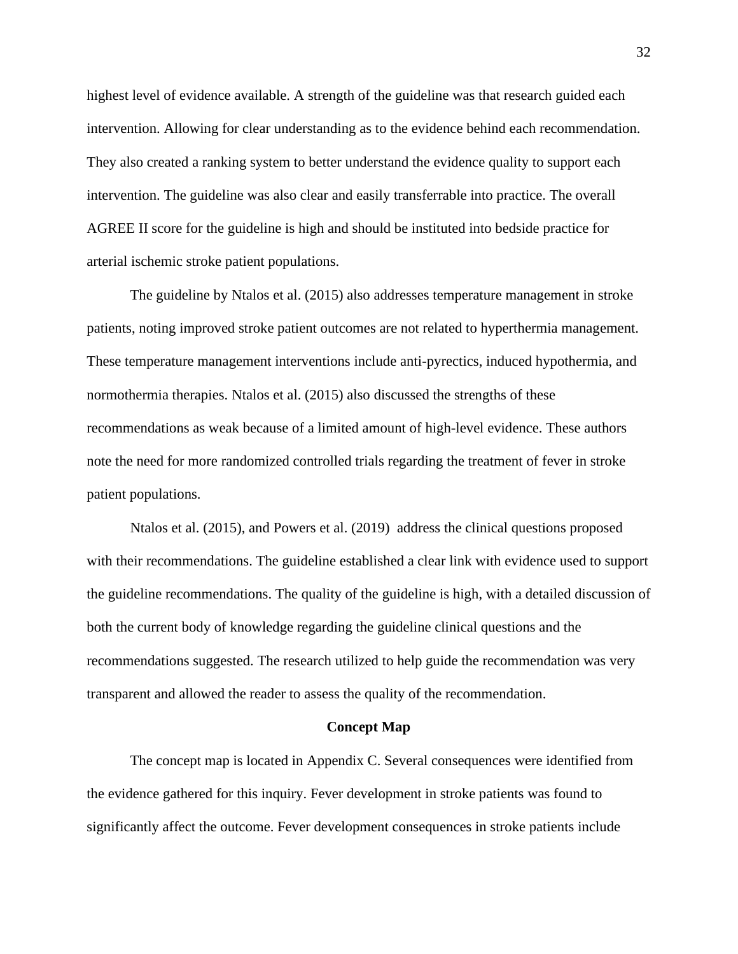highest level of evidence available. A strength of the guideline was that research guided each intervention. Allowing for clear understanding as to the evidence behind each recommendation. They also created a ranking system to better understand the evidence quality to support each intervention. The guideline was also clear and easily transferrable into practice. The overall AGREE II score for the guideline is high and should be instituted into bedside practice for arterial ischemic stroke patient populations.

The guideline by Ntalos et al. (2015) also addresses temperature management in stroke patients, noting improved stroke patient outcomes are not related to hyperthermia management. These temperature management interventions include anti-pyrectics, induced hypothermia, and normothermia therapies. Ntalos et al. (2015) also discussed the strengths of these recommendations as weak because of a limited amount of high-level evidence. These authors note the need for more randomized controlled trials regarding the treatment of fever in stroke patient populations.

Ntalos et al. (2015), and Powers et al. (2019) address the clinical questions proposed with their recommendations. The guideline established a clear link with evidence used to support the guideline recommendations. The quality of the guideline is high, with a detailed discussion of both the current body of knowledge regarding the guideline clinical questions and the recommendations suggested. The research utilized to help guide the recommendation was very transparent and allowed the reader to assess the quality of the recommendation.

#### **Concept Map**

The concept map is located in Appendix C. Several consequences were identified from the evidence gathered for this inquiry. Fever development in stroke patients was found to significantly affect the outcome. Fever development consequences in stroke patients include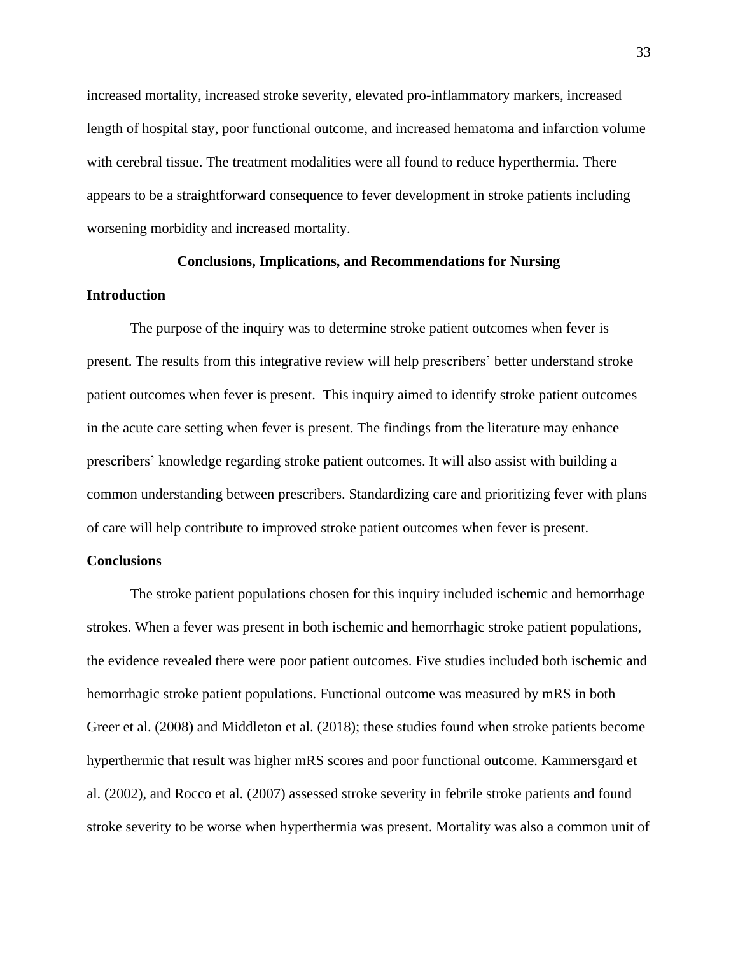increased mortality, increased stroke severity, elevated pro-inflammatory markers, increased length of hospital stay, poor functional outcome, and increased hematoma and infarction volume with cerebral tissue. The treatment modalities were all found to reduce hyperthermia. There appears to be a straightforward consequence to fever development in stroke patients including worsening morbidity and increased mortality.

# **Conclusions, Implications, and Recommendations for Nursing**

# **Introduction**

The purpose of the inquiry was to determine stroke patient outcomes when fever is present. The results from this integrative review will help prescribers' better understand stroke patient outcomes when fever is present. This inquiry aimed to identify stroke patient outcomes in the acute care setting when fever is present. The findings from the literature may enhance prescribers' knowledge regarding stroke patient outcomes. It will also assist with building a common understanding between prescribers. Standardizing care and prioritizing fever with plans of care will help contribute to improved stroke patient outcomes when fever is present.

# **Conclusions**

The stroke patient populations chosen for this inquiry included ischemic and hemorrhage strokes. When a fever was present in both ischemic and hemorrhagic stroke patient populations, the evidence revealed there were poor patient outcomes. Five studies included both ischemic and hemorrhagic stroke patient populations. Functional outcome was measured by mRS in both Greer et al. (2008) and Middleton et al. (2018); these studies found when stroke patients become hyperthermic that result was higher mRS scores and poor functional outcome. Kammersgard et al. (2002), and Rocco et al. (2007) assessed stroke severity in febrile stroke patients and found stroke severity to be worse when hyperthermia was present. Mortality was also a common unit of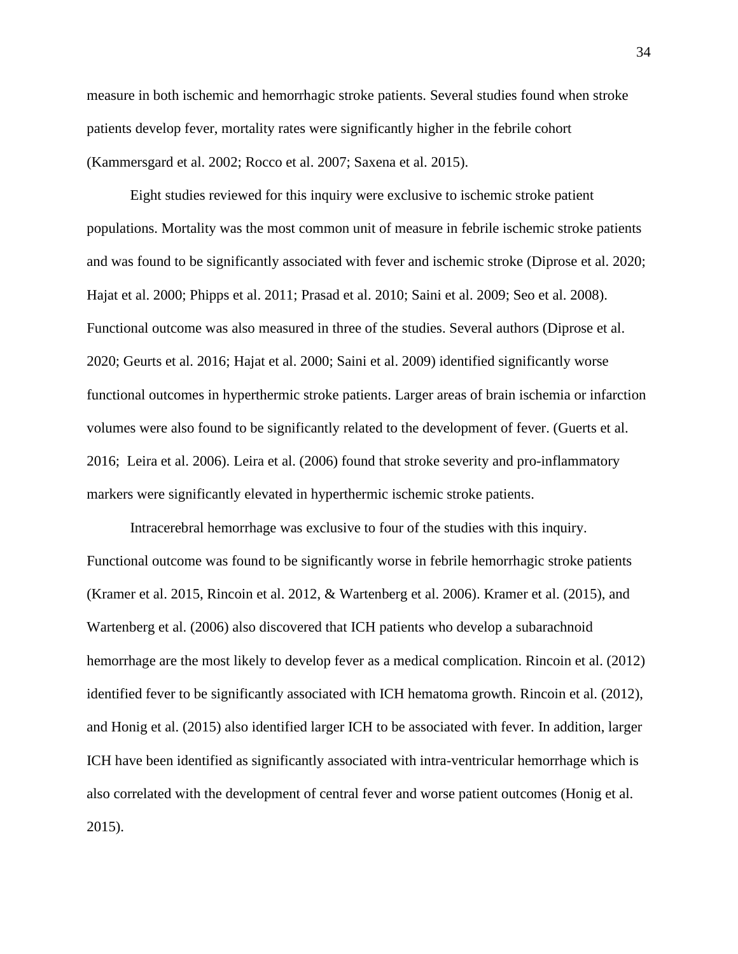measure in both ischemic and hemorrhagic stroke patients. Several studies found when stroke patients develop fever, mortality rates were significantly higher in the febrile cohort (Kammersgard et al. 2002; Rocco et al. 2007; Saxena et al. 2015).

Eight studies reviewed for this inquiry were exclusive to ischemic stroke patient populations. Mortality was the most common unit of measure in febrile ischemic stroke patients and was found to be significantly associated with fever and ischemic stroke (Diprose et al. 2020; Hajat et al. 2000; Phipps et al. 2011; Prasad et al. 2010; Saini et al. 2009; Seo et al. 2008). Functional outcome was also measured in three of the studies. Several authors (Diprose et al. 2020; Geurts et al. 2016; Hajat et al. 2000; Saini et al. 2009) identified significantly worse functional outcomes in hyperthermic stroke patients. Larger areas of brain ischemia or infarction volumes were also found to be significantly related to the development of fever. (Guerts et al. 2016; Leira et al. 2006). Leira et al. (2006) found that stroke severity and pro-inflammatory markers were significantly elevated in hyperthermic ischemic stroke patients.

Intracerebral hemorrhage was exclusive to four of the studies with this inquiry. Functional outcome was found to be significantly worse in febrile hemorrhagic stroke patients (Kramer et al. 2015, Rincoin et al. 2012, & Wartenberg et al. 2006). Kramer et al. (2015), and Wartenberg et al. (2006) also discovered that ICH patients who develop a subarachnoid hemorrhage are the most likely to develop fever as a medical complication. Rincoin et al. (2012) identified fever to be significantly associated with ICH hematoma growth. Rincoin et al. (2012), and Honig et al. (2015) also identified larger ICH to be associated with fever. In addition, larger ICH have been identified as significantly associated with intra-ventricular hemorrhage which is also correlated with the development of central fever and worse patient outcomes (Honig et al. 2015).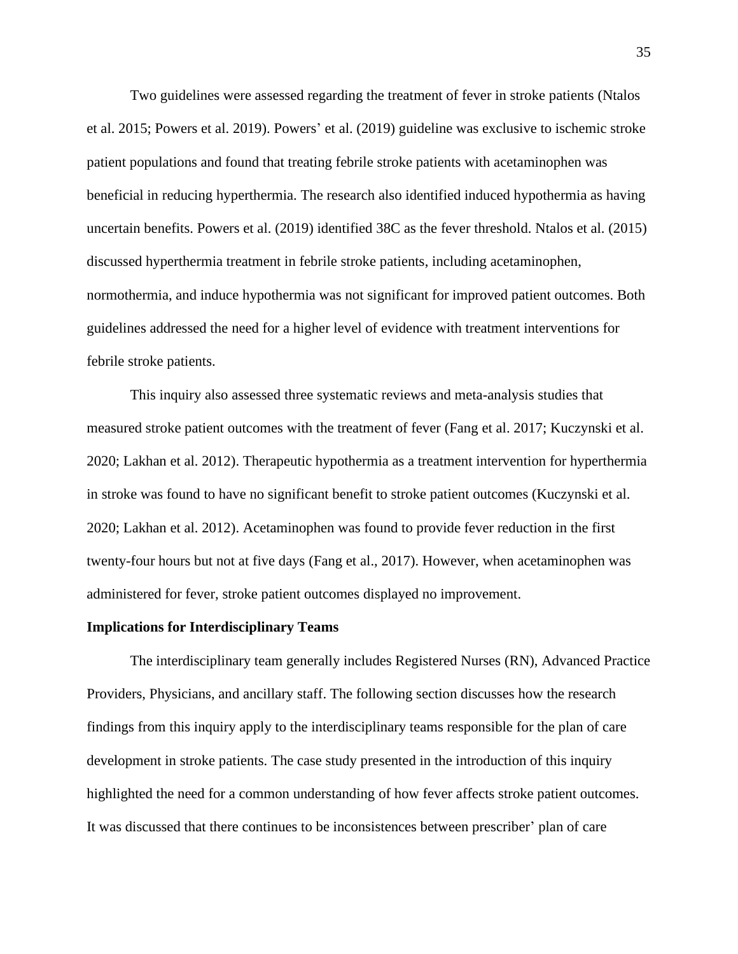Two guidelines were assessed regarding the treatment of fever in stroke patients (Ntalos et al. 2015; Powers et al. 2019). Powers' et al. (2019) guideline was exclusive to ischemic stroke patient populations and found that treating febrile stroke patients with acetaminophen was beneficial in reducing hyperthermia. The research also identified induced hypothermia as having uncertain benefits. Powers et al. (2019) identified 38C as the fever threshold. Ntalos et al. (2015) discussed hyperthermia treatment in febrile stroke patients, including acetaminophen, normothermia, and induce hypothermia was not significant for improved patient outcomes. Both guidelines addressed the need for a higher level of evidence with treatment interventions for febrile stroke patients.

This inquiry also assessed three systematic reviews and meta-analysis studies that measured stroke patient outcomes with the treatment of fever (Fang et al. 2017; Kuczynski et al. 2020; Lakhan et al. 2012). Therapeutic hypothermia as a treatment intervention for hyperthermia in stroke was found to have no significant benefit to stroke patient outcomes (Kuczynski et al. 2020; Lakhan et al. 2012). Acetaminophen was found to provide fever reduction in the first twenty-four hours but not at five days (Fang et al., 2017). However, when acetaminophen was administered for fever, stroke patient outcomes displayed no improvement.

# **Implications for Interdisciplinary Teams**

The interdisciplinary team generally includes Registered Nurses (RN), Advanced Practice Providers, Physicians, and ancillary staff. The following section discusses how the research findings from this inquiry apply to the interdisciplinary teams responsible for the plan of care development in stroke patients. The case study presented in the introduction of this inquiry highlighted the need for a common understanding of how fever affects stroke patient outcomes. It was discussed that there continues to be inconsistences between prescriber' plan of care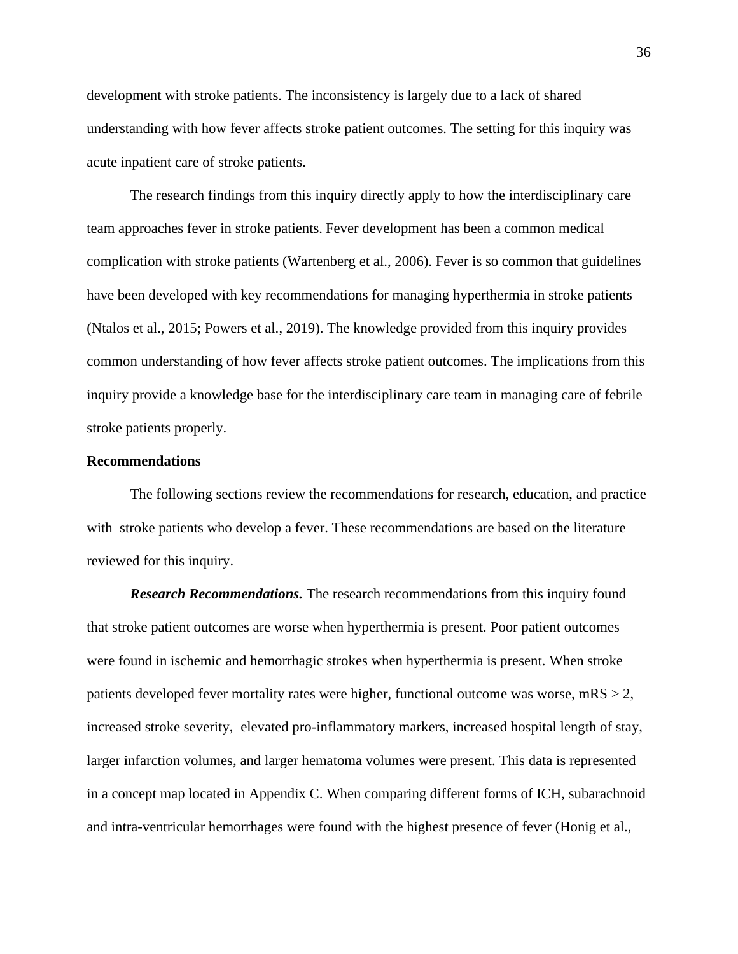development with stroke patients. The inconsistency is largely due to a lack of shared understanding with how fever affects stroke patient outcomes. The setting for this inquiry was acute inpatient care of stroke patients.

The research findings from this inquiry directly apply to how the interdisciplinary care team approaches fever in stroke patients. Fever development has been a common medical complication with stroke patients (Wartenberg et al., 2006). Fever is so common that guidelines have been developed with key recommendations for managing hyperthermia in stroke patients (Ntalos et al., 2015; Powers et al., 2019). The knowledge provided from this inquiry provides common understanding of how fever affects stroke patient outcomes. The implications from this inquiry provide a knowledge base for the interdisciplinary care team in managing care of febrile stroke patients properly.

### **Recommendations**

The following sections review the recommendations for research, education, and practice with stroke patients who develop a fever. These recommendations are based on the literature reviewed for this inquiry.

*Research Recommendations.* The research recommendations from this inquiry found that stroke patient outcomes are worse when hyperthermia is present. Poor patient outcomes were found in ischemic and hemorrhagic strokes when hyperthermia is present. When stroke patients developed fever mortality rates were higher, functional outcome was worse,  $mRS > 2$ , increased stroke severity, elevated pro-inflammatory markers, increased hospital length of stay, larger infarction volumes, and larger hematoma volumes were present. This data is represented in a concept map located in Appendix C. When comparing different forms of ICH, subarachnoid and intra-ventricular hemorrhages were found with the highest presence of fever (Honig et al.,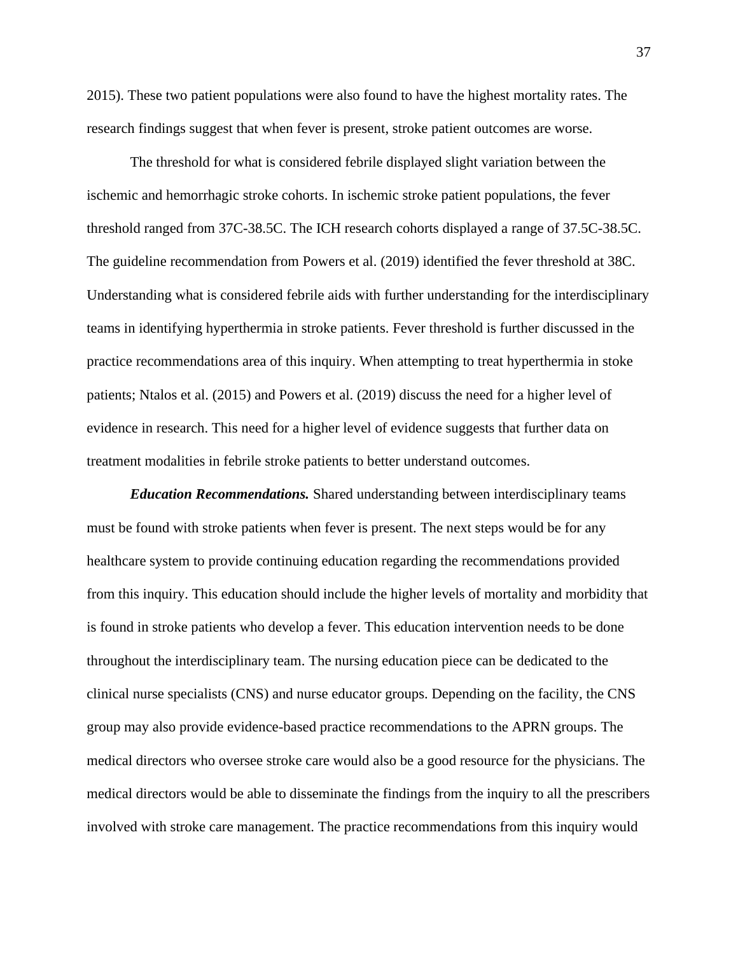2015). These two patient populations were also found to have the highest mortality rates. The research findings suggest that when fever is present, stroke patient outcomes are worse.

The threshold for what is considered febrile displayed slight variation between the ischemic and hemorrhagic stroke cohorts. In ischemic stroke patient populations, the fever threshold ranged from 37C-38.5C. The ICH research cohorts displayed a range of 37.5C-38.5C. The guideline recommendation from Powers et al. (2019) identified the fever threshold at 38C. Understanding what is considered febrile aids with further understanding for the interdisciplinary teams in identifying hyperthermia in stroke patients. Fever threshold is further discussed in the practice recommendations area of this inquiry. When attempting to treat hyperthermia in stoke patients; Ntalos et al. (2015) and Powers et al. (2019) discuss the need for a higher level of evidence in research. This need for a higher level of evidence suggests that further data on treatment modalities in febrile stroke patients to better understand outcomes.

*Education Recommendations.* Shared understanding between interdisciplinary teams must be found with stroke patients when fever is present. The next steps would be for any healthcare system to provide continuing education regarding the recommendations provided from this inquiry. This education should include the higher levels of mortality and morbidity that is found in stroke patients who develop a fever. This education intervention needs to be done throughout the interdisciplinary team. The nursing education piece can be dedicated to the clinical nurse specialists (CNS) and nurse educator groups. Depending on the facility, the CNS group may also provide evidence-based practice recommendations to the APRN groups. The medical directors who oversee stroke care would also be a good resource for the physicians. The medical directors would be able to disseminate the findings from the inquiry to all the prescribers involved with stroke care management. The practice recommendations from this inquiry would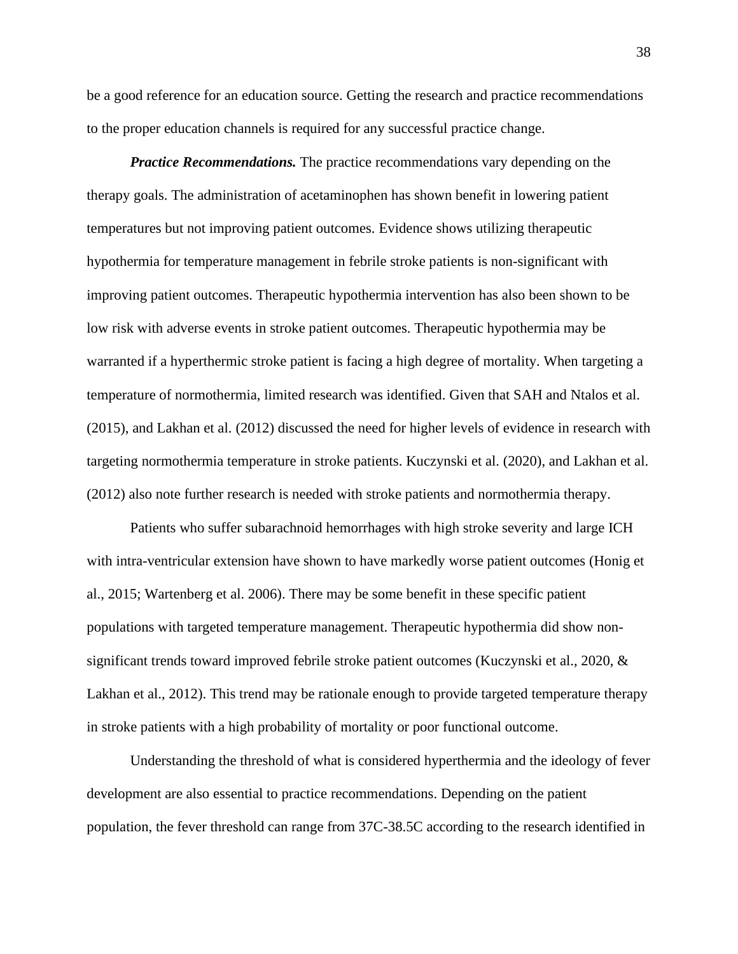be a good reference for an education source. Getting the research and practice recommendations to the proper education channels is required for any successful practice change.

*Practice Recommendations.* The practice recommendations vary depending on the therapy goals. The administration of acetaminophen has shown benefit in lowering patient temperatures but not improving patient outcomes. Evidence shows utilizing therapeutic hypothermia for temperature management in febrile stroke patients is non-significant with improving patient outcomes. Therapeutic hypothermia intervention has also been shown to be low risk with adverse events in stroke patient outcomes. Therapeutic hypothermia may be warranted if a hyperthermic stroke patient is facing a high degree of mortality. When targeting a temperature of normothermia, limited research was identified. Given that SAH and Ntalos et al. (2015), and Lakhan et al. (2012) discussed the need for higher levels of evidence in research with targeting normothermia temperature in stroke patients. Kuczynski et al. (2020), and Lakhan et al. (2012) also note further research is needed with stroke patients and normothermia therapy.

Patients who suffer subarachnoid hemorrhages with high stroke severity and large ICH with intra-ventricular extension have shown to have markedly worse patient outcomes (Honig et al., 2015; Wartenberg et al. 2006). There may be some benefit in these specific patient populations with targeted temperature management. Therapeutic hypothermia did show nonsignificant trends toward improved febrile stroke patient outcomes (Kuczynski et al., 2020, & Lakhan et al., 2012). This trend may be rationale enough to provide targeted temperature therapy in stroke patients with a high probability of mortality or poor functional outcome.

Understanding the threshold of what is considered hyperthermia and the ideology of fever development are also essential to practice recommendations. Depending on the patient population, the fever threshold can range from 37C-38.5C according to the research identified in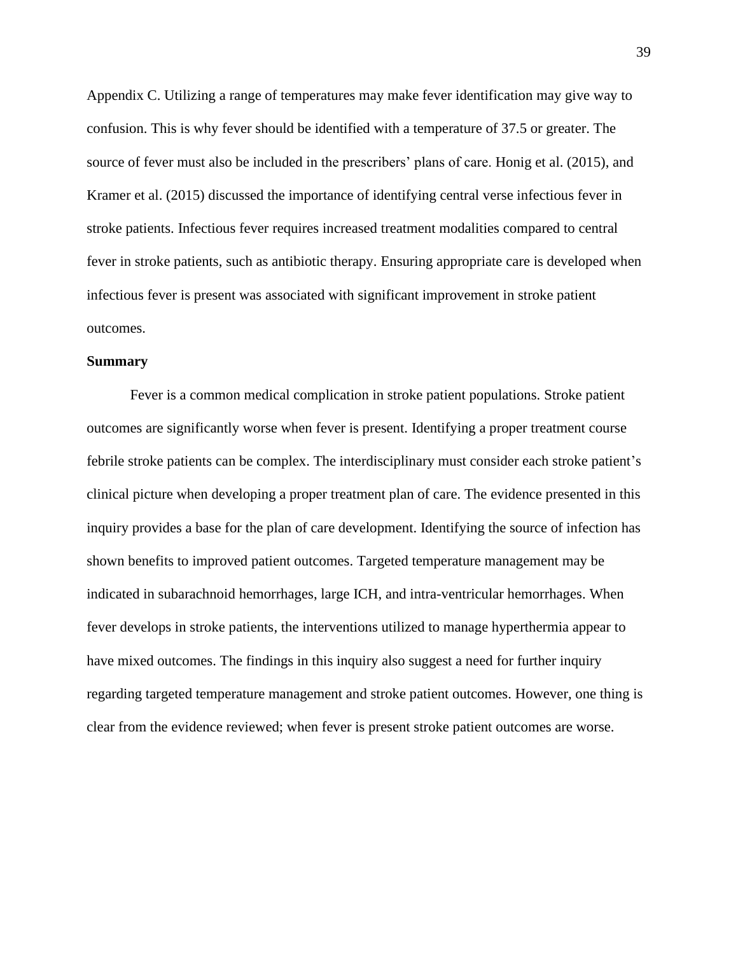Appendix C. Utilizing a range of temperatures may make fever identification may give way to confusion. This is why fever should be identified with a temperature of 37.5 or greater. The source of fever must also be included in the prescribers' plans of care. Honig et al. (2015), and Kramer et al. (2015) discussed the importance of identifying central verse infectious fever in stroke patients. Infectious fever requires increased treatment modalities compared to central fever in stroke patients, such as antibiotic therapy. Ensuring appropriate care is developed when infectious fever is present was associated with significant improvement in stroke patient outcomes.

#### **Summary**

Fever is a common medical complication in stroke patient populations. Stroke patient outcomes are significantly worse when fever is present. Identifying a proper treatment course febrile stroke patients can be complex. The interdisciplinary must consider each stroke patient's clinical picture when developing a proper treatment plan of care. The evidence presented in this inquiry provides a base for the plan of care development. Identifying the source of infection has shown benefits to improved patient outcomes. Targeted temperature management may be indicated in subarachnoid hemorrhages, large ICH, and intra-ventricular hemorrhages. When fever develops in stroke patients, the interventions utilized to manage hyperthermia appear to have mixed outcomes. The findings in this inquiry also suggest a need for further inquiry regarding targeted temperature management and stroke patient outcomes. However, one thing is clear from the evidence reviewed; when fever is present stroke patient outcomes are worse.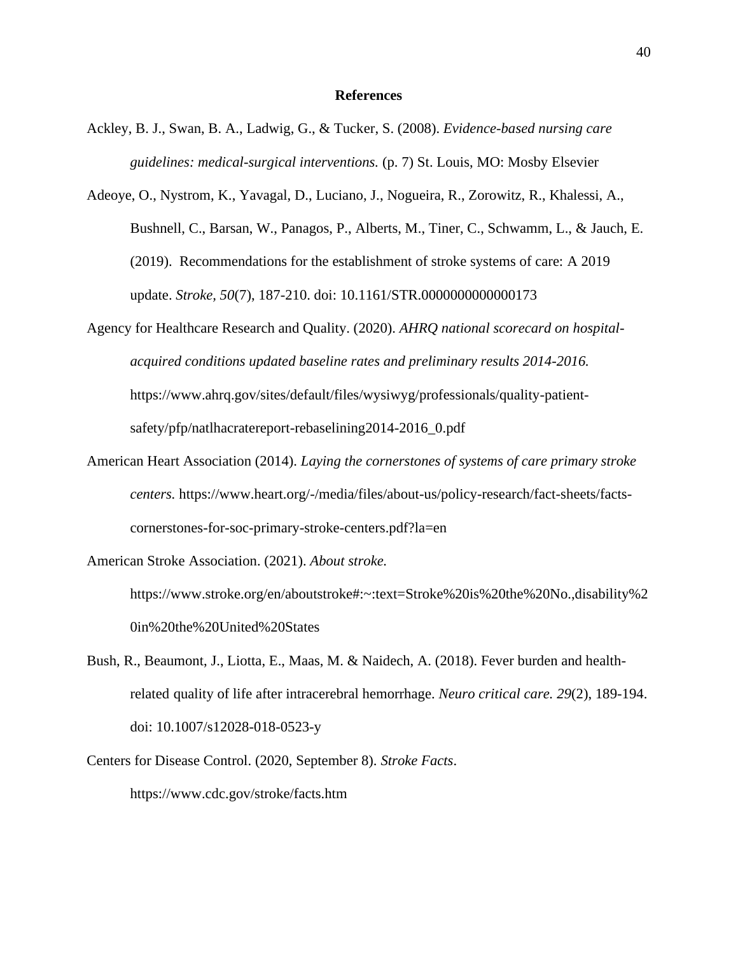#### **References**

- Ackley, B. J., Swan, B. A., Ladwig, G., & Tucker, S. (2008). *Evidence-based nursing care guidelines: medical-surgical interventions.* (p. 7) St. Louis, MO: Mosby Elsevier
- Adeoye, O., Nystrom, K., Yavagal, D., Luciano, J., Nogueira, R., Zorowitz, R., Khalessi, A., Bushnell, C., Barsan, W., Panagos, P., Alberts, M., Tiner, C., Schwamm, L., & Jauch, E. (2019). Recommendations for the establishment of stroke systems of care: A 2019 update. *Stroke, 50*(7), 187-210. doi: 10.1161/STR.0000000000000173
- Agency for Healthcare Research and Quality. (2020). *AHRQ national scorecard on hospitalacquired conditions updated baseline rates and preliminary results 2014-2016.* https://www.ahrq.gov/sites/default/files/wysiwyg/professionals/quality-patientsafety/pfp/natlhacratereport-rebaselining2014-2016\_0.pdf
- American Heart Association (2014). *Laying the cornerstones of systems of care primary stroke centers.* https://www.heart.org/-/media/files/about-us/policy-research/fact-sheets/factscornerstones-for-soc-primary-stroke-centers.pdf?la=en

American Stroke Association. (2021). *About stroke.*

https://www.stroke.org/en/aboutstroke#:~:text=Stroke%20is%20the%20No.,disability%2 0in%20the%20United%20States

- Bush, R., Beaumont, J., Liotta, E., Maas, M. & Naidech, A. (2018). Fever burden and healthrelated quality of life after intracerebral hemorrhage. *Neuro critical care. 29*(2), 189-194. doi: 10.1007/s12028-018-0523-y
- Centers for Disease Control. (2020, September 8). *Stroke Facts*. https://www.cdc.gov/stroke/facts.htm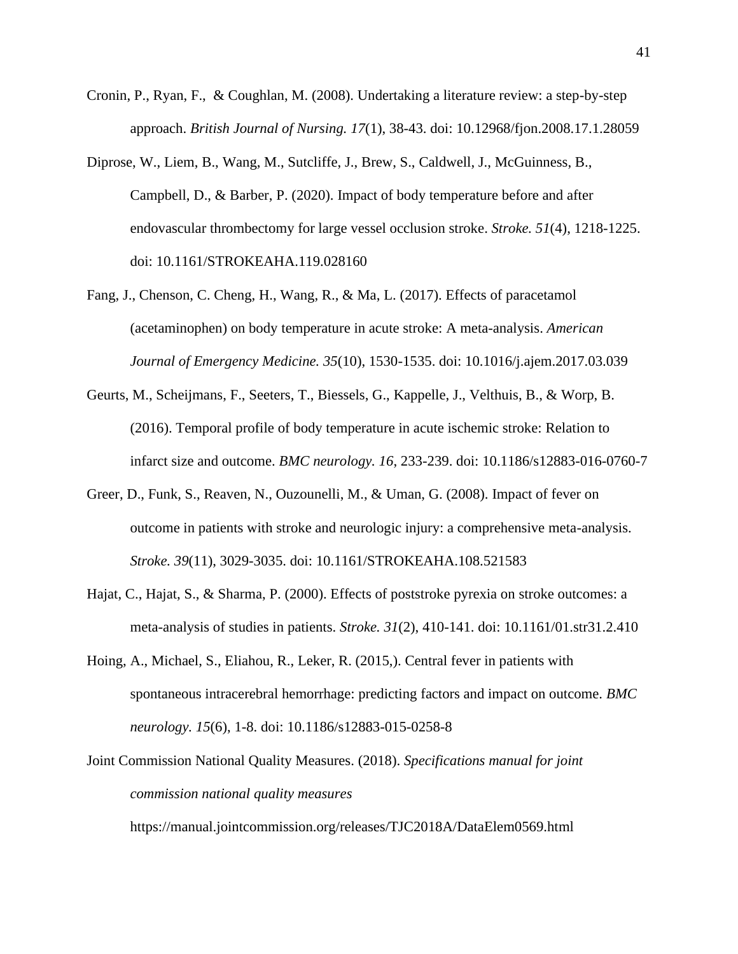- Cronin, P., Ryan, F., & Coughlan, M. (2008). Undertaking a literature review: a step-by-step approach. *British Journal of Nursing. 17*(1), 38-43. doi: 10.12968/fjon.2008.17.1.28059
- Diprose, W., Liem, B., Wang, M., Sutcliffe, J., Brew, S., Caldwell, J., McGuinness, B., Campbell, D., & Barber, P. (2020). Impact of body temperature before and after endovascular thrombectomy for large vessel occlusion stroke. *Stroke. 51*(4), 1218-1225. doi: 10.1161/STROKEAHA.119.028160
- Fang, J., Chenson, C. Cheng, H., Wang, R., & Ma, L. (2017). Effects of paracetamol (acetaminophen) on body temperature in acute stroke: A meta-analysis. *American Journal of Emergency Medicine. 35*(10), 1530-1535. doi: 10.1016/j.ajem.2017.03.039
- Geurts, M., Scheijmans, F., Seeters, T., Biessels, G., Kappelle, J., Velthuis, B., & Worp, B. (2016). Temporal profile of body temperature in acute ischemic stroke: Relation to infarct size and outcome. *BMC neurology. 16*, 233-239. doi: 10.1186/s12883-016-0760-7
- Greer, D., Funk, S., Reaven, N., Ouzounelli, M., & Uman, G. (2008). Impact of fever on outcome in patients with stroke and neurologic injury: a comprehensive meta-analysis. *Stroke. 39*(11), 3029-3035. doi: 10.1161/STROKEAHA.108.521583
- Hajat, C., Hajat, S., & Sharma, P. (2000). Effects of poststroke pyrexia on stroke outcomes: a meta-analysis of studies in patients. *Stroke. 31*(2), 410-141. doi: 10.1161/01.str31.2.410
- Hoing, A., Michael, S., Eliahou, R., Leker, R. (2015,). Central fever in patients with spontaneous intracerebral hemorrhage: predicting factors and impact on outcome. *BMC neurology. 15*(6), 1-8. doi: 10.1186/s12883-015-0258-8
- Joint Commission National Quality Measures. (2018). *Specifications manual for joint commission national quality measures*

https://manual.jointcommission.org/releases/TJC2018A/DataElem0569.html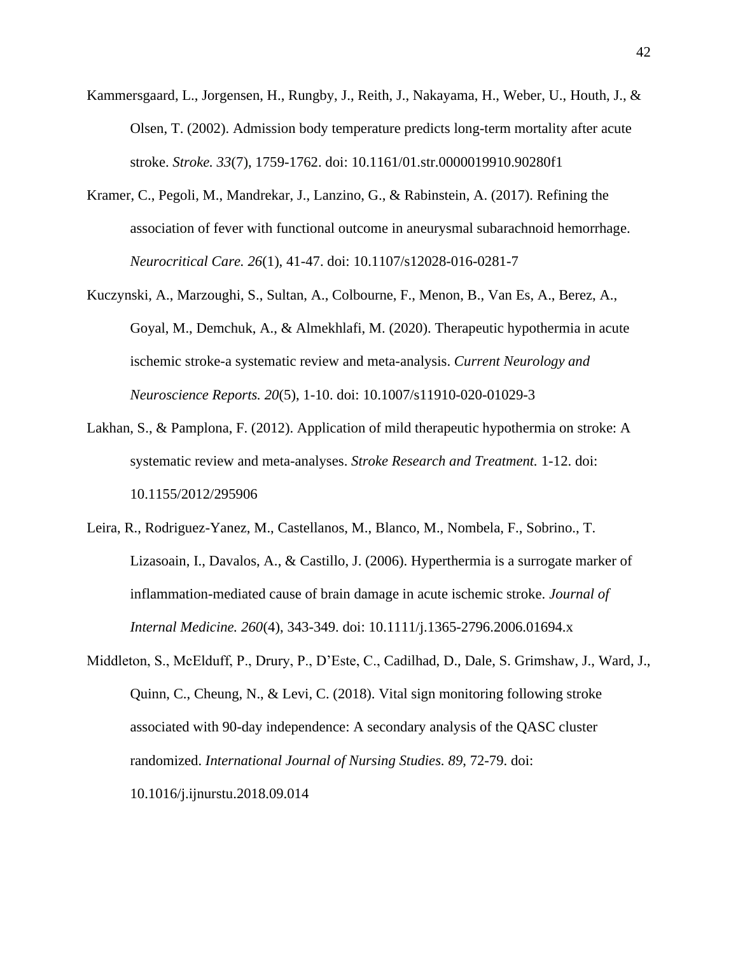- Kammersgaard, L., Jorgensen, H., Rungby, J., Reith, J., Nakayama, H., Weber, U., Houth, J., & Olsen, T. (2002). Admission body temperature predicts long-term mortality after acute stroke. *Stroke. 33*(7), 1759-1762. doi: 10.1161/01.str.0000019910.90280f1
- Kramer, C., Pegoli, M., Mandrekar, J., Lanzino, G., & Rabinstein, A. (2017). Refining the association of fever with functional outcome in aneurysmal subarachnoid hemorrhage. *Neurocritical Care. 26*(1), 41-47. doi: 10.1107/s12028-016-0281-7
- Kuczynski, A., Marzoughi, S., Sultan, A., Colbourne, F., Menon, B., Van Es, A., Berez, A., Goyal, M., Demchuk, A., & Almekhlafi, M. (2020). Therapeutic hypothermia in acute ischemic stroke-a systematic review and meta-analysis. *Current Neurology and Neuroscience Reports. 20*(5), 1-10. doi: 10.1007/s11910-020-01029-3
- Lakhan, S., & Pamplona, F. (2012). Application of mild therapeutic hypothermia on stroke: A systematic review and meta-analyses. *Stroke Research and Treatment.* 1-12. doi: 10.1155/2012/295906
- Leira, R., Rodriguez-Yanez, M., Castellanos, M., Blanco, M., Nombela, F., Sobrino., T. Lizasoain, I., Davalos, A., & Castillo, J. (2006). Hyperthermia is a surrogate marker of inflammation-mediated cause of brain damage in acute ischemic stroke. *Journal of Internal Medicine. 260*(4), 343-349. doi: 10.1111/j.1365-2796.2006.01694.x
- Middleton, S., McElduff, P., Drury, P., D'Este, C., Cadilhad, D., Dale, S. Grimshaw, J., Ward, J., Quinn, C., Cheung, N., & Levi, C. (2018). Vital sign monitoring following stroke associated with 90-day independence: A secondary analysis of the QASC cluster randomized. *International Journal of Nursing Studies. 89*, 72-79. doi: 10.1016/j.ijnurstu.2018.09.014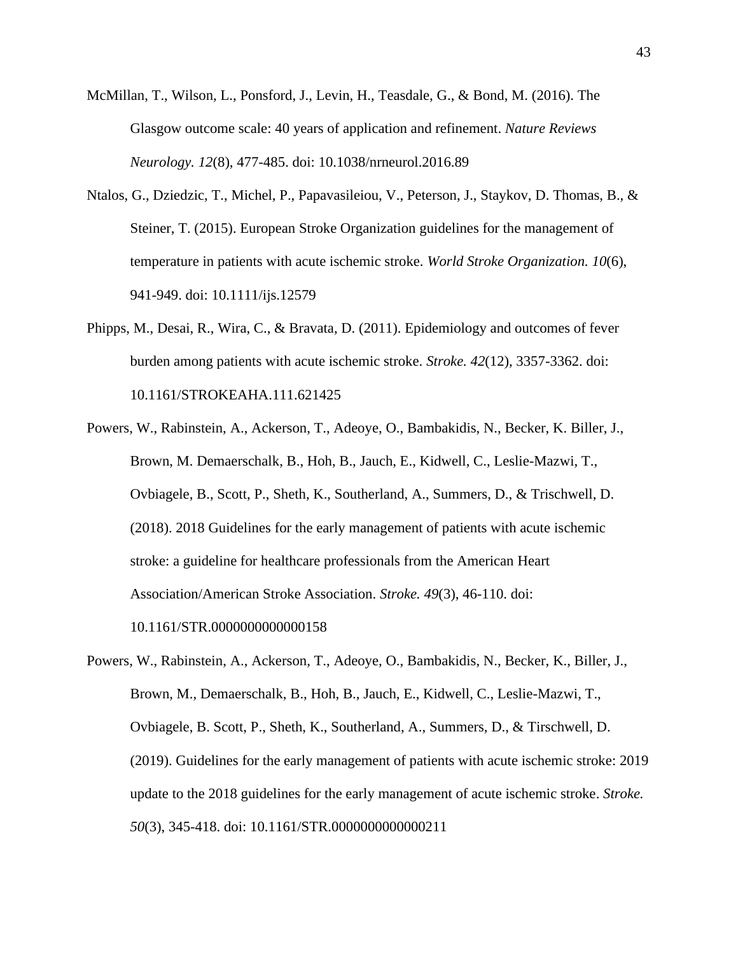- McMillan, T., Wilson, L., Ponsford, J., Levin, H., Teasdale, G., & Bond, M. (2016). The Glasgow outcome scale: 40 years of application and refinement. *Nature Reviews Neurology. 12*(8), 477-485. doi: 10.1038/nrneurol.2016.89
- Ntalos, G., Dziedzic, T., Michel, P., Papavasileiou, V., Peterson, J., Staykov, D. Thomas, B., & Steiner, T. (2015). European Stroke Organization guidelines for the management of temperature in patients with acute ischemic stroke. *World Stroke Organization. 10*(6), 941-949. doi: 10.1111/ijs.12579
- Phipps, M., Desai, R., Wira, C., & Bravata, D. (2011). Epidemiology and outcomes of fever burden among patients with acute ischemic stroke. *Stroke. 42*(12), 3357-3362. doi: 10.1161/STROKEAHA.111.621425
- Powers, W., Rabinstein, A., Ackerson, T., Adeoye, O., Bambakidis, N., Becker, K. Biller, J., Brown, M. Demaerschalk, B., Hoh, B., Jauch, E., Kidwell, C., Leslie-Mazwi, T., Ovbiagele, B., Scott, P., Sheth, K., Southerland, A., Summers, D., & Trischwell, D. (2018). 2018 Guidelines for the early management of patients with acute ischemic stroke: a guideline for healthcare professionals from the American Heart Association/American Stroke Association. *Stroke. 49*(3), 46-110. doi: 10.1161/STR.0000000000000158
- Powers, W., Rabinstein, A., Ackerson, T., Adeoye, O., Bambakidis, N., Becker, K., Biller, J., Brown, M., Demaerschalk, B., Hoh, B., Jauch, E., Kidwell, C., Leslie-Mazwi, T., Ovbiagele, B. Scott, P., Sheth, K., Southerland, A., Summers, D., & Tirschwell, D. (2019). Guidelines for the early management of patients with acute ischemic stroke: 2019 update to the 2018 guidelines for the early management of acute ischemic stroke. *Stroke. 50*(3), 345-418. doi: 10.1161/STR.0000000000000211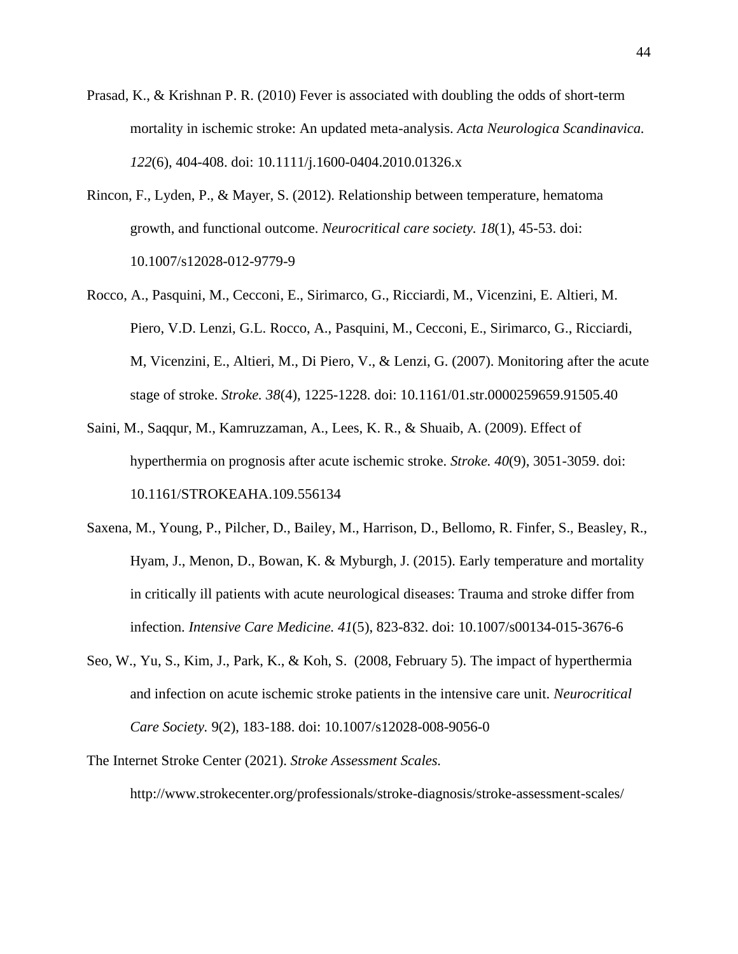- Prasad, K., & Krishnan P. R. (2010) Fever is associated with doubling the odds of short-term mortality in ischemic stroke: An updated meta-analysis. *Acta Neurologica Scandinavica. 122*(6), 404-408. doi: 10.1111/j.1600-0404.2010.01326.x
- Rincon, F., Lyden, P., & Mayer, S. (2012). Relationship between temperature, hematoma growth, and functional outcome. *Neurocritical care society. 18*(1), 45-53. doi: 10.1007/s12028-012-9779-9
- Rocco, A., Pasquini, M., Cecconi, E., Sirimarco, G., Ricciardi, M., Vicenzini, E. Altieri, M. Piero, V.D. Lenzi, G.L. Rocco, A., Pasquini, M., Cecconi, E., Sirimarco, G., Ricciardi, M, Vicenzini, E., Altieri, M., Di Piero, V., & Lenzi, G. (2007). Monitoring after the acute stage of stroke. *Stroke. 38*(4), 1225-1228. doi: 10.1161/01.str.0000259659.91505.40
- Saini, M., Saqqur, M., Kamruzzaman, A., Lees, K. R., & Shuaib, A. (2009). Effect of hyperthermia on prognosis after acute ischemic stroke. *Stroke. 40*(9), 3051-3059. doi: 10.1161/STROKEAHA.109.556134
- Saxena, M., Young, P., Pilcher, D., Bailey, M., Harrison, D., Bellomo, R. Finfer, S., Beasley, R., Hyam, J., Menon, D., Bowan, K. & Myburgh, J. (2015). Early temperature and mortality in critically ill patients with acute neurological diseases: Trauma and stroke differ from infection. *Intensive Care Medicine. 41*(5), 823-832. doi: 10.1007/s00134-015-3676-6
- Seo, W., Yu, S., Kim, J., Park, K., & Koh, S. (2008, February 5). The impact of hyperthermia and infection on acute ischemic stroke patients in the intensive care unit. *Neurocritical Care Society.* 9(2), 183-188. doi: 10.1007/s12028-008-9056-0
- The Internet Stroke Center (2021). *Stroke Assessment Scales.*

http://www.strokecenter.org/professionals/stroke-diagnosis/stroke-assessment-scales/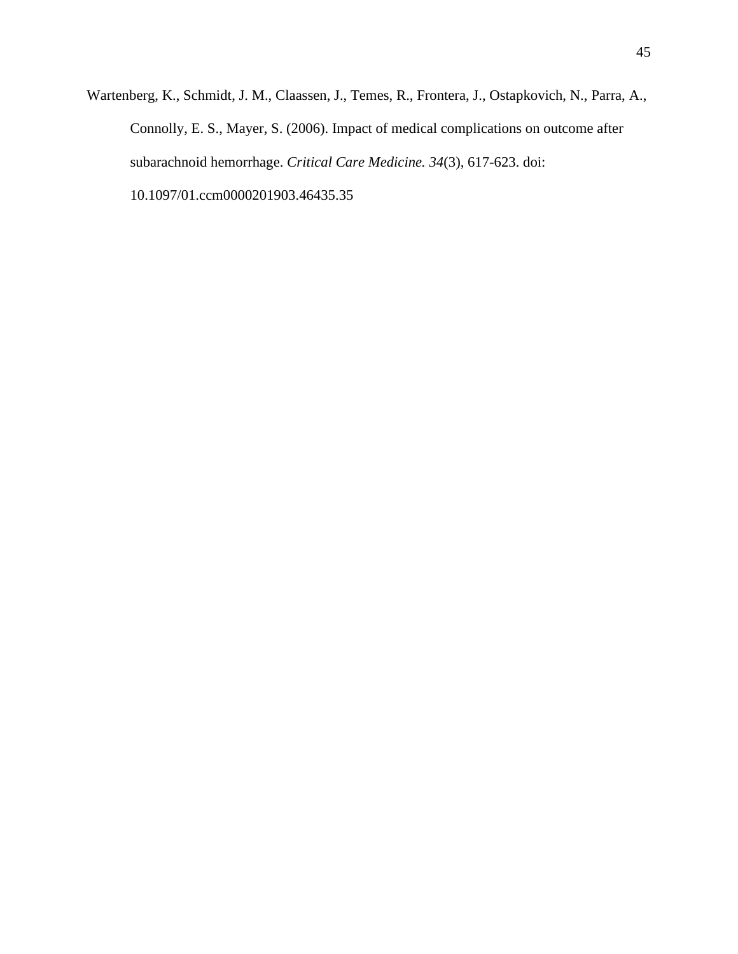Wartenberg, K., Schmidt, J. M., Claassen, J., Temes, R., Frontera, J., Ostapkovich, N., Parra, A., Connolly, E. S., Mayer, S. (2006). Impact of medical complications on outcome after subarachnoid hemorrhage. *Critical Care Medicine. 34*(3), 617-623. doi: 10.1097/01.ccm0000201903.46435.35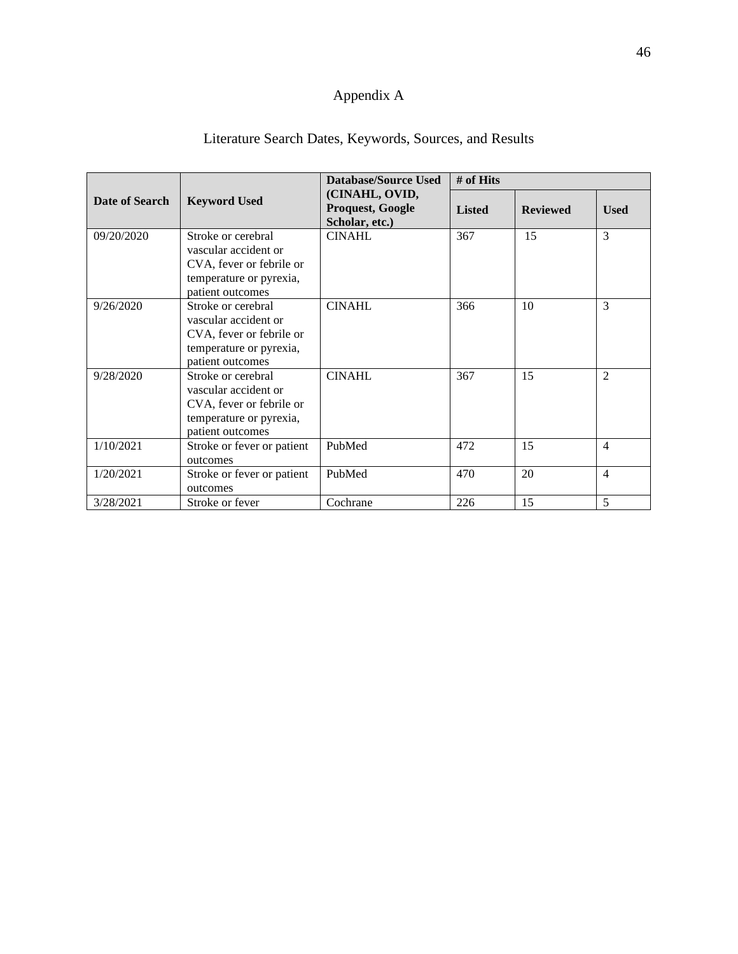# Appendix A

| Literature Search Dates, Keywords, Sources, and Results |  |  |  |
|---------------------------------------------------------|--|--|--|
|---------------------------------------------------------|--|--|--|

|                |                                                                                                                       | Database/Source Used                                 | # of Hits     |                 |                |
|----------------|-----------------------------------------------------------------------------------------------------------------------|------------------------------------------------------|---------------|-----------------|----------------|
| Date of Search | <b>Keyword Used</b>                                                                                                   | (CINAHL, OVID,<br>Proquest, Google<br>Scholar, etc.) | <b>Listed</b> | <b>Reviewed</b> | <b>Used</b>    |
| 09/20/2020     | Stroke or cerebral<br>vascular accident or<br>CVA, fever or febrile or<br>temperature or pyrexia,<br>patient outcomes | <b>CINAHL</b>                                        | 367           | 15              | 3              |
| 9/26/2020      | Stroke or cerebral<br>vascular accident or<br>CVA, fever or febrile or<br>temperature or pyrexia,<br>patient outcomes | <b>CINAHL</b>                                        | 366           | 10              | 3              |
| 9/28/2020      | Stroke or cerebral<br>vascular accident or<br>CVA, fever or febrile or<br>temperature or pyrexia,<br>patient outcomes | <b>CINAHL</b>                                        | 367           | 15              | $\mathfrak{D}$ |
| 1/10/2021      | Stroke or fever or patient<br>outcomes                                                                                | PubMed                                               | 472           | 15              | $\overline{4}$ |
| 1/20/2021      | Stroke or fever or patient<br>outcomes                                                                                | PubMed                                               | 470           | 20              | $\overline{4}$ |
| 3/28/2021      | Stroke or fever                                                                                                       | Cochrane                                             | 226           | 15              | 5              |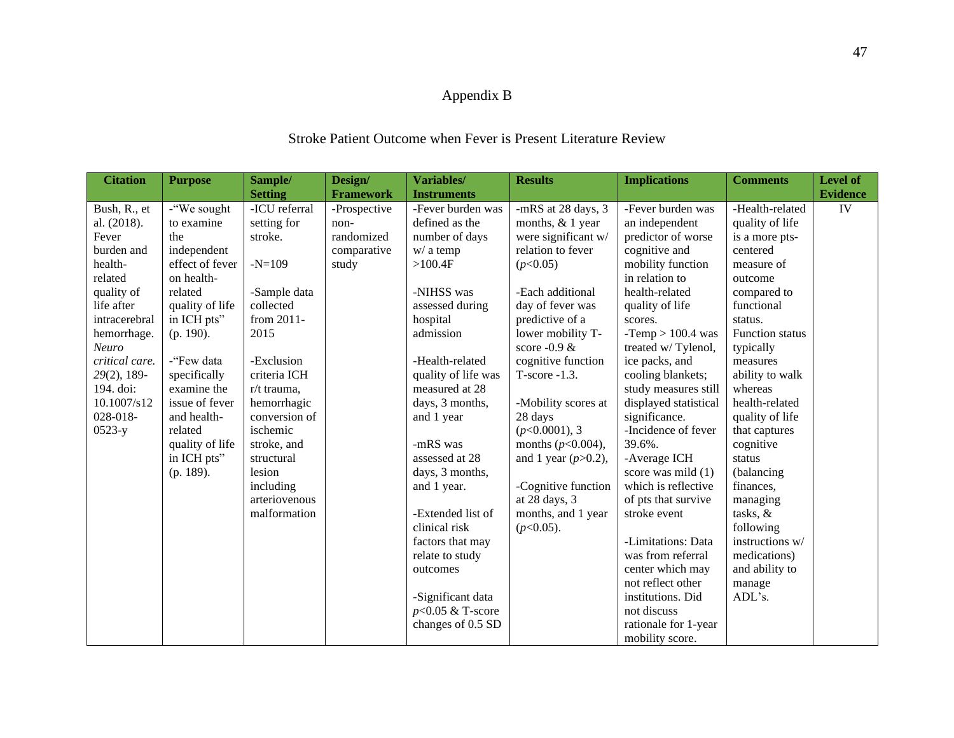## Appendix B

## Stroke Patient Outcome when Fever is Present Literature Review

| <b>Citation</b> | <b>Purpose</b>  | Sample/        | Design/          | Variables/          | <b>Results</b>         | <b>Implications</b>   | <b>Comments</b>        | Level of        |
|-----------------|-----------------|----------------|------------------|---------------------|------------------------|-----------------------|------------------------|-----------------|
|                 |                 | <b>Setting</b> | <b>Framework</b> | <b>Instruments</b>  |                        |                       |                        | <b>Evidence</b> |
| Bush, R., et    | -"We sought     | -ICU referral  | -Prospective     | -Fever burden was   | -mRS at 28 days, 3     | -Fever burden was     | -Health-related        | IV              |
| al. (2018).     | to examine      | setting for    | non-             | defined as the      | months, & 1 year       | an independent        | quality of life        |                 |
| Fever           | the             | stroke.        | randomized       | number of days      | were significant w/    | predictor of worse    | is a more pts-         |                 |
| burden and      | independent     |                | comparative      | $w/$ a temp         | relation to fever      | cognitive and         | centered               |                 |
| health-         | effect of fever | $-N=109$       | study            | >100.4F             | (p<0.05)               | mobility function     | measure of             |                 |
| related         | on health-      |                |                  |                     |                        | in relation to        | outcome                |                 |
| quality of      | related         | -Sample data   |                  | -NIHSS was          | -Each additional       | health-related        | compared to            |                 |
| life after      | quality of life | collected      |                  | assessed during     | day of fever was       | quality of life       | functional             |                 |
| intracerebral   | in ICH pts"     | from 2011-     |                  | hospital            | predictive of a        | scores.               | status.                |                 |
| hemorrhage.     | $(p. 190)$ .    | 2015           |                  | admission           | lower mobility T-      | -Temp $> 100.4$ was   | <b>Function status</b> |                 |
| Neuro           |                 |                |                  |                     | score $-0.9 \&$        | treated w/Tylenol,    | typically              |                 |
| critical care.  | -"Few data      | -Exclusion     |                  | -Health-related     | cognitive function     | ice packs, and        | measures               |                 |
| 29(2), 189-     | specifically    | criteria ICH   |                  | quality of life was | $T-score -1.3.$        | cooling blankets;     | ability to walk        |                 |
| 194. doi:       | examine the     | r/t trauma,    |                  | measured at 28      |                        | study measures still  | whereas                |                 |
| 10.1007/s12     | issue of fever  | hemorrhagic    |                  | days, 3 months,     | -Mobility scores at    | displayed statistical | health-related         |                 |
| 028-018-        | and health-     | conversion of  |                  | and 1 year          | 28 days                | significance.         | quality of life        |                 |
| $0523-y$        | related         | ischemic       |                  |                     | $(p<0.0001)$ , 3       | -Incidence of fever   | that captures          |                 |
|                 | quality of life | stroke, and    |                  | -mRS was            | months ( $p$ <0.004),  | 39.6%.                | cognitive              |                 |
|                 | in ICH pts"     | structural     |                  | assessed at 28      | and 1 year $(p>0.2)$ , | -Average ICH          | status                 |                 |
|                 | (p. 189).       | lesion         |                  | days, 3 months,     |                        | score was mild (1)    | (balancing             |                 |
|                 |                 | including      |                  | and 1 year.         | -Cognitive function    | which is reflective   | finances,              |                 |
|                 |                 | arteriovenous  |                  |                     | at 28 days, 3          | of pts that survive   | managing               |                 |
|                 |                 | malformation   |                  | -Extended list of   | months, and 1 year     | stroke event          | tasks, &               |                 |
|                 |                 |                |                  | clinical risk       | $(p<0.05)$ .           |                       | following              |                 |
|                 |                 |                |                  | factors that may    |                        | -Limitations: Data    | instructions w/        |                 |
|                 |                 |                |                  | relate to study     |                        | was from referral     | medications)           |                 |
|                 |                 |                |                  | outcomes            |                        | center which may      | and ability to         |                 |
|                 |                 |                |                  |                     |                        | not reflect other     | manage                 |                 |
|                 |                 |                |                  | -Significant data   |                        | institutions. Did     | ADL's.                 |                 |
|                 |                 |                |                  | $p<0.05$ & T-score  |                        | not discuss           |                        |                 |
|                 |                 |                |                  | changes of 0.5 SD   |                        | rationale for 1-year  |                        |                 |
|                 |                 |                |                  |                     |                        | mobility score.       |                        |                 |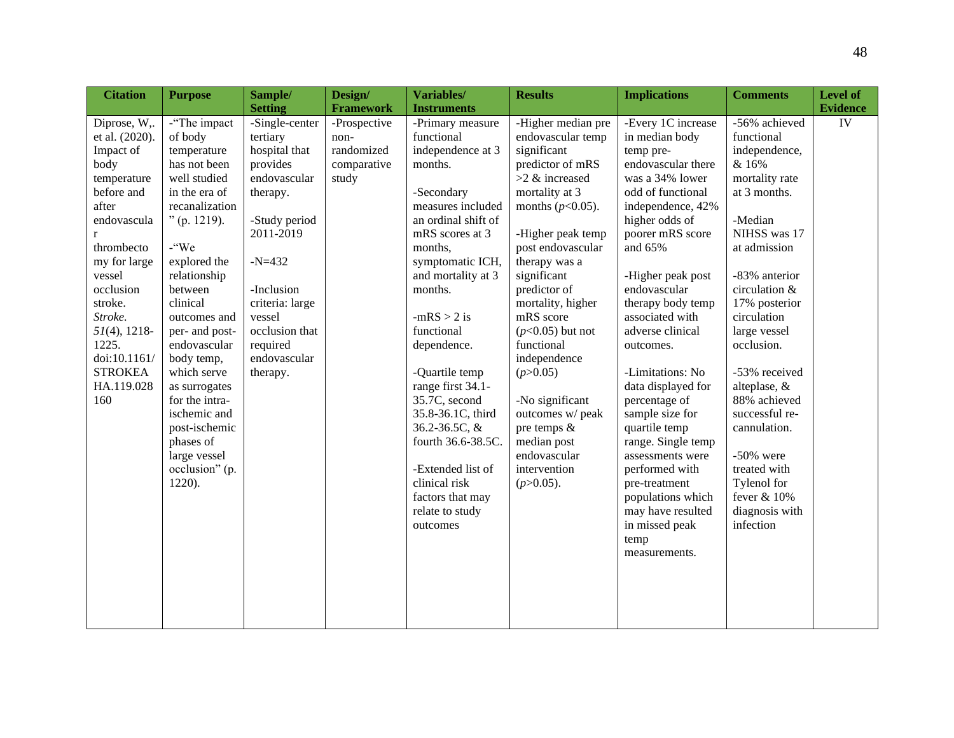| <b>Citation</b> | <b>Purpose</b> | Sample/         | Design/          | Variables/          | <b>Results</b>      | <b>Implications</b> | <b>Comments</b> | <b>Level of</b> |
|-----------------|----------------|-----------------|------------------|---------------------|---------------------|---------------------|-----------------|-----------------|
|                 |                | <b>Setting</b>  | <b>Framework</b> | <b>Instruments</b>  |                     |                     |                 | <b>Evidence</b> |
| Diprose, W,.    | -"The impact   | -Single-center  | -Prospective     | -Primary measure    | -Higher median pre  | -Every 1C increase  | -56% achieved   | ${\rm IV}$      |
| et al. (2020).  | of body        | tertiary        | non-             | functional          | endovascular temp   | in median body      | functional      |                 |
| Impact of       | temperature    | hospital that   | randomized       | independence at 3   | significant         | temp pre-           | independence,   |                 |
| body            | has not been   | provides        | comparative      | months.             | predictor of mRS    | endovascular there  | & 16%           |                 |
| temperature     | well studied   | endovascular    | study            |                     | $>2$ & increased    | was a 34% lower     | mortality rate  |                 |
| before and      | in the era of  | therapy.        |                  | -Secondary          | mortality at 3      | odd of functional   | at 3 months.    |                 |
| after           | recanalization |                 |                  | measures included   | months $(p<0.05)$ . | independence, 42%   |                 |                 |
| endovascula     | $"$ (p. 1219). | -Study period   |                  | an ordinal shift of |                     | higher odds of      | -Median         |                 |
| r               |                | 2011-2019       |                  | mRS scores at 3     | -Higher peak temp   | poorer mRS score    | NIHSS was 17    |                 |
| thrombecto      | $-$ "We        |                 |                  | months,             | post endovascular   | and 65%             | at admission    |                 |
| my for large    | explored the   | $-N=432$        |                  | symptomatic ICH,    | therapy was a       |                     |                 |                 |
| vessel          | relationship   |                 |                  | and mortality at 3  | significant         | -Higher peak post   | -83% anterior   |                 |
| occlusion       | between        | -Inclusion      |                  | months.             | predictor of        | endovascular        | circulation &   |                 |
| stroke.         | clinical       | criteria: large |                  |                     | mortality, higher   | therapy body temp   | 17% posterior   |                 |
| Stroke.         | outcomes and   | vessel          |                  | $-mRS > 2$ is       | mRS score           | associated with     | circulation     |                 |
| $51(4)$ , 1218- | per- and post- | occlusion that  |                  | functional          | $(p<0.05)$ but not  | adverse clinical    | large vessel    |                 |
| 1225.           | endovascular   | required        |                  | dependence.         | functional          | outcomes.           | occlusion.      |                 |
| doi:10.1161/    | body temp,     | endovascular    |                  |                     | independence        |                     |                 |                 |
| <b>STROKEA</b>  | which serve    | therapy.        |                  | -Quartile temp      | (p>0.05)            | -Limitations: No    | -53% received   |                 |
| HA.119.028      | as surrogates  |                 |                  | range first 34.1-   |                     | data displayed for  | alteplase, &    |                 |
| 160             | for the intra- |                 |                  | 35.7C, second       | -No significant     | percentage of       | 88% achieved    |                 |
|                 | ischemic and   |                 |                  | 35.8-36.1C, third   | outcomes w/ peak    | sample size for     | successful re-  |                 |
|                 | post-ischemic  |                 |                  | 36.2-36.5C, &       | pre temps &         | quartile temp       | cannulation.    |                 |
|                 | phases of      |                 |                  | fourth 36.6-38.5C.  | median post         | range. Single temp  |                 |                 |
|                 | large vessel   |                 |                  |                     | endovascular        | assessments were    | $-50\%$ were    |                 |
|                 | occlusion" (p. |                 |                  | -Extended list of   | intervention        | performed with      | treated with    |                 |
|                 | $1220$ ).      |                 |                  | clinical risk       | $(p>0.05)$ .        | pre-treatment       | Tylenol for     |                 |
|                 |                |                 |                  | factors that may    |                     | populations which   | fever & 10%     |                 |
|                 |                |                 |                  | relate to study     |                     | may have resulted   | diagnosis with  |                 |
|                 |                |                 |                  | outcomes            |                     | in missed peak      | infection       |                 |
|                 |                |                 |                  |                     |                     | temp                |                 |                 |
|                 |                |                 |                  |                     |                     | measurements.       |                 |                 |
|                 |                |                 |                  |                     |                     |                     |                 |                 |
|                 |                |                 |                  |                     |                     |                     |                 |                 |
|                 |                |                 |                  |                     |                     |                     |                 |                 |
|                 |                |                 |                  |                     |                     |                     |                 |                 |
|                 |                |                 |                  |                     |                     |                     |                 |                 |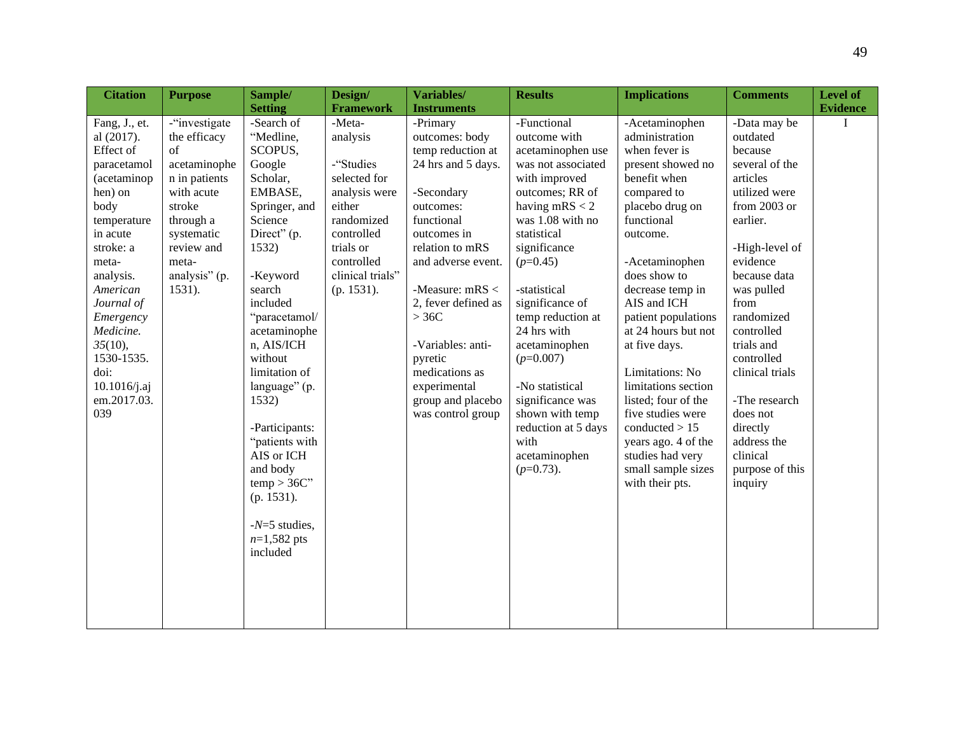| <b>Citation</b>                                                                                                                                                                                                                                                                    | <b>Purpose</b>                                                                                                                                                                | Sample/                                                                                                                                                                                                                                                                                                                                                                                                      | Design/                                                                                                                                                             | Variables/                                                                                                                                                                                                                                                                                                                             | <b>Results</b>                                                                                                                                                                                                                                                                                                                                                                                                                   | <b>Implications</b>                                                                                                                                                                                                                                                                                                                                                                                                                                                                | <b>Comments</b>                                                                                                                                                                                                                                                                                                                                                   | <b>Level of</b> |
|------------------------------------------------------------------------------------------------------------------------------------------------------------------------------------------------------------------------------------------------------------------------------------|-------------------------------------------------------------------------------------------------------------------------------------------------------------------------------|--------------------------------------------------------------------------------------------------------------------------------------------------------------------------------------------------------------------------------------------------------------------------------------------------------------------------------------------------------------------------------------------------------------|---------------------------------------------------------------------------------------------------------------------------------------------------------------------|----------------------------------------------------------------------------------------------------------------------------------------------------------------------------------------------------------------------------------------------------------------------------------------------------------------------------------------|----------------------------------------------------------------------------------------------------------------------------------------------------------------------------------------------------------------------------------------------------------------------------------------------------------------------------------------------------------------------------------------------------------------------------------|------------------------------------------------------------------------------------------------------------------------------------------------------------------------------------------------------------------------------------------------------------------------------------------------------------------------------------------------------------------------------------------------------------------------------------------------------------------------------------|-------------------------------------------------------------------------------------------------------------------------------------------------------------------------------------------------------------------------------------------------------------------------------------------------------------------------------------------------------------------|-----------------|
|                                                                                                                                                                                                                                                                                    |                                                                                                                                                                               | <b>Setting</b>                                                                                                                                                                                                                                                                                                                                                                                               | <b>Framework</b>                                                                                                                                                    | <b>Instruments</b>                                                                                                                                                                                                                                                                                                                     |                                                                                                                                                                                                                                                                                                                                                                                                                                  |                                                                                                                                                                                                                                                                                                                                                                                                                                                                                    |                                                                                                                                                                                                                                                                                                                                                                   | <b>Evidence</b> |
| Fang, J., et.<br>al (2017).<br>Effect of<br>paracetamol<br>(acetaminop<br>hen) on<br>body<br>temperature<br>in acute<br>stroke: a<br>meta-<br>analysis.<br>American<br>Journal of<br>Emergency<br>Medicine.<br>35(10),<br>1530-1535.<br>doi:<br>10.1016/j.aj<br>em.2017.03.<br>039 | -"investigate"<br>the efficacy<br>of<br>acetaminophe<br>n in patients<br>with acute<br>stroke<br>through a<br>systematic<br>review and<br>meta-<br>analysis" (p.<br>$1531$ ). | -Search of<br>"Medline,<br>SCOPUS,<br>Google<br>Scholar,<br>EMBASE,<br>Springer, and<br>Science<br>Direct" (p.<br>1532)<br>-Keyword<br>search<br>included<br>"paracetamol/<br>acetaminophe<br>n, AIS/ICH<br>without<br>limitation of<br>language" (p.<br>1532)<br>-Participants:<br>"patients with<br>AIS or ICH<br>and body<br>$temp > 36C$ "<br>(p. 1531).<br>$-N=5$ studies,<br>$n=1,582$ pts<br>included | -Meta-<br>analysis<br>-"Studies<br>selected for<br>analysis were<br>either<br>randomized<br>controlled<br>trials or<br>controlled<br>clinical trials"<br>(p. 1531). | -Primary<br>outcomes: body<br>temp reduction at<br>24 hrs and 5 days.<br>-Secondary<br>outcomes:<br>functional<br>outcomes in<br>relation to mRS<br>and adverse event.<br>-Measure: mRS <<br>2, fever defined as<br>$>36C$<br>-Variables: anti-<br>pyretic<br>medications as<br>experimental<br>group and placebo<br>was control group | -Functional<br>outcome with<br>acetaminophen use<br>was not associated<br>with improved<br>outcomes; RR of<br>having $mRS < 2$<br>was 1.08 with no<br>statistical<br>significance<br>$(p=0.45)$<br>-statistical<br>significance of<br>temp reduction at<br>24 hrs with<br>acetaminophen<br>$(p=0.007)$<br>-No statistical<br>significance was<br>shown with temp<br>reduction at 5 days<br>with<br>acetaminophen<br>$(p=0.73)$ . | -Acetaminophen<br>administration<br>when fever is<br>present showed no<br>benefit when<br>compared to<br>placebo drug on<br>functional<br>outcome.<br>-Acetaminophen<br>does show to<br>decrease temp in<br>AIS and ICH<br>patient populations<br>at 24 hours but not<br>at five days.<br>Limitations: No<br>limitations section<br>listed; four of the<br>five studies were<br>conducted > 15<br>years ago. 4 of the<br>studies had very<br>small sample sizes<br>with their pts. | -Data may be<br>outdated<br>because<br>several of the<br>articles<br>utilized were<br>from $2003$ or<br>earlier.<br>-High-level of<br>evidence<br>because data<br>was pulled<br>from<br>randomized<br>controlled<br>trials and<br>controlled<br>clinical trials<br>-The research<br>does not<br>directly<br>address the<br>clinical<br>purpose of this<br>inquiry | I               |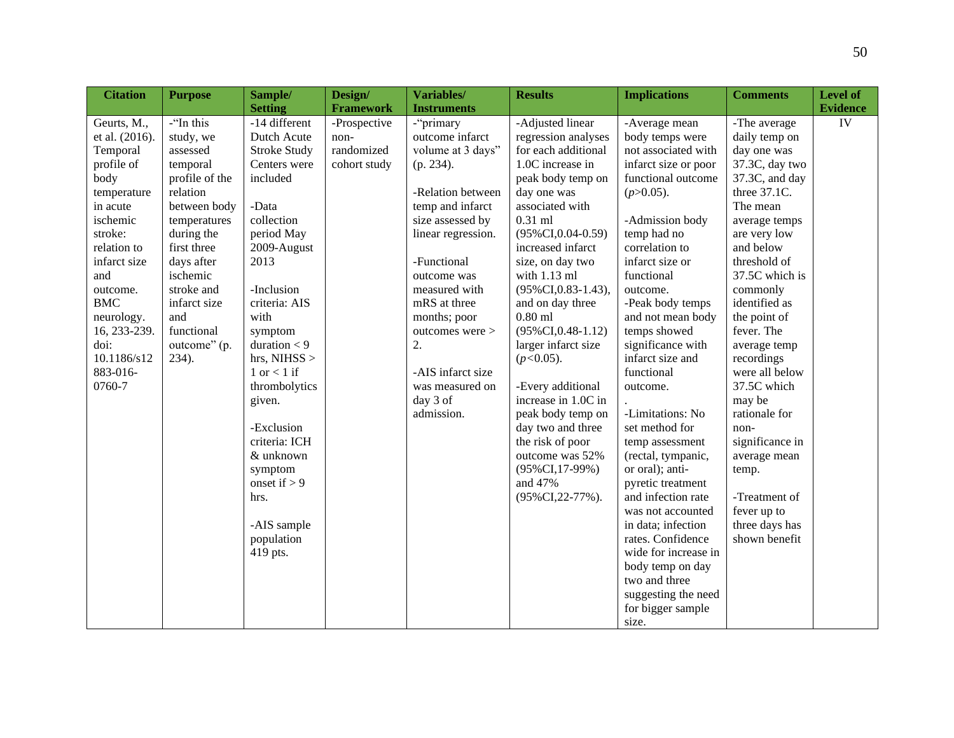| <b>Citation</b> | <b>Purpose</b> | Sample/             | Design/          | Variables/         | <b>Results</b>          | <b>Implications</b>  | <b>Comments</b> | Level of        |
|-----------------|----------------|---------------------|------------------|--------------------|-------------------------|----------------------|-----------------|-----------------|
|                 |                | <b>Setting</b>      | <b>Framework</b> | <b>Instruments</b> |                         |                      |                 | <b>Evidence</b> |
| Geurts, M.,     | -"In this      | -14 different       | -Prospective     | -"primary          | -Adjusted linear        | -Average mean        | -The average    | IV              |
| et al. (2016).  | study, we      | Dutch Acute         | non-             | outcome infarct    | regression analyses     | body temps were      | daily temp on   |                 |
| Temporal        | assessed       | <b>Stroke Study</b> | randomized       | volume at 3 days"  | for each additional     | not associated with  | day one was     |                 |
| profile of      | temporal       | Centers were        | cohort study     | (p. 234).          | 1.0C increase in        | infarct size or poor | 37.3C, day two  |                 |
| body            | profile of the | included            |                  |                    | peak body temp on       | functional outcome   | 37.3C, and day  |                 |
| temperature     | relation       |                     |                  | -Relation between  | day one was             | $(p>0.05)$ .         | three 37.1C.    |                 |
| in acute        | between body   | -Data               |                  | temp and infarct   | associated with         |                      | The mean        |                 |
| ischemic        | temperatures   | collection          |                  | size assessed by   | $0.31$ ml               | -Admission body      | average temps   |                 |
| stroke:         | during the     | period May          |                  | linear regression. | $(95\% CI, 0.04-0.59)$  | temp had no          | are very low    |                 |
| relation to     | first three    | 2009-August         |                  |                    | increased infarct       | correlation to       | and below       |                 |
| infarct size    | days after     | 2013                |                  | -Functional        | size, on day two        | infarct size or      | threshold of    |                 |
| and             | ischemic       |                     |                  | outcome was        | with $1.13$ ml          | functional           | 37.5C which is  |                 |
| outcome.        | stroke and     | -Inclusion          |                  | measured with      | $(95\% CI, 0.83-1.43),$ | outcome.             | commonly        |                 |
| <b>BMC</b>      | infarct size   | criteria: AIS       |                  | mRS at three       | and on day three        | -Peak body temps     | identified as   |                 |
| neurology.      | and            | with                |                  | months; poor       | $0.80$ ml               | and not mean body    | the point of    |                 |
| 16, 233-239.    | functional     | symptom             |                  | outcomes were >    | $(95\%CI, 0.48-1.12)$   | temps showed         | fever. The      |                 |
| doi:            | outcome" (p.   | duration $<$ 9      |                  | 2.                 | larger infarct size     | significance with    | average temp    |                 |
| 10.1186/s12     | 234).          | hrs, NIHSS $>$      |                  |                    | $(p<0.05)$ .            | infarct size and     | recordings      |                 |
| 883-016-        |                | 1 or $<$ 1 if       |                  | -AIS infarct size  |                         | functional           | were all below  |                 |
| 0760-7          |                | thrombolytics       |                  | was measured on    | -Every additional       | outcome.             | 37.5C which     |                 |
|                 |                | given.              |                  | day 3 of           | increase in 1.0C in     |                      | may be          |                 |
|                 |                |                     |                  | admission.         | peak body temp on       | -Limitations: No     | rationale for   |                 |
|                 |                | -Exclusion          |                  |                    | day two and three       | set method for       | non-            |                 |
|                 |                | criteria: ICH       |                  |                    | the risk of poor        | temp assessment      | significance in |                 |
|                 |                | & unknown           |                  |                    | outcome was 52%         | (rectal, tympanic,   | average mean    |                 |
|                 |                | symptom             |                  |                    | $(95\%CI, 17-99\%)$     | or oral); anti-      | temp.           |                 |
|                 |                | onset if $> 9$      |                  |                    | and 47%                 | pyretic treatment    |                 |                 |
|                 |                | hrs.                |                  |                    | (95%CI, 22-77%).        | and infection rate   | -Treatment of   |                 |
|                 |                |                     |                  |                    |                         | was not accounted    | fever up to     |                 |
|                 |                | -AIS sample         |                  |                    |                         | in data; infection   | three days has  |                 |
|                 |                | population          |                  |                    |                         | rates. Confidence    | shown benefit   |                 |
|                 |                | 419 pts.            |                  |                    |                         | wide for increase in |                 |                 |
|                 |                |                     |                  |                    |                         | body temp on day     |                 |                 |
|                 |                |                     |                  |                    |                         | two and three        |                 |                 |
|                 |                |                     |                  |                    |                         | suggesting the need  |                 |                 |
|                 |                |                     |                  |                    |                         | for bigger sample    |                 |                 |
|                 |                |                     |                  |                    |                         | size.                |                 |                 |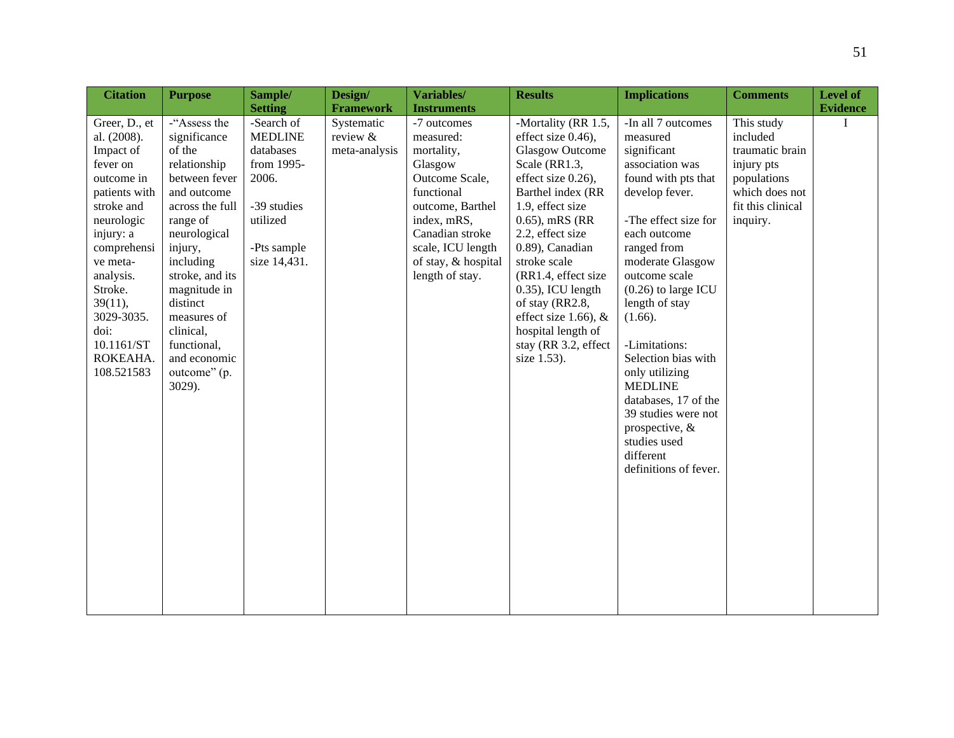| <b>Citation</b>                                                                                                                                                                                                                                           | <b>Purpose</b>                                                                                                                                                                                                                                                                                    | Sample/                                                                                                                    | Design/                                 | Variables/                                                                                                                                                                                             | <b>Results</b>                                                                                                                                                                                                                                                                                                                                                                        | <b>Implications</b>                                                                                                                                                                                                                                                                                                                                                                                                                                            | <b>Comments</b>                                                                                                           | Level of        |
|-----------------------------------------------------------------------------------------------------------------------------------------------------------------------------------------------------------------------------------------------------------|---------------------------------------------------------------------------------------------------------------------------------------------------------------------------------------------------------------------------------------------------------------------------------------------------|----------------------------------------------------------------------------------------------------------------------------|-----------------------------------------|--------------------------------------------------------------------------------------------------------------------------------------------------------------------------------------------------------|---------------------------------------------------------------------------------------------------------------------------------------------------------------------------------------------------------------------------------------------------------------------------------------------------------------------------------------------------------------------------------------|----------------------------------------------------------------------------------------------------------------------------------------------------------------------------------------------------------------------------------------------------------------------------------------------------------------------------------------------------------------------------------------------------------------------------------------------------------------|---------------------------------------------------------------------------------------------------------------------------|-----------------|
|                                                                                                                                                                                                                                                           |                                                                                                                                                                                                                                                                                                   | <b>Setting</b>                                                                                                             | <b>Framework</b>                        | <b>Instruments</b>                                                                                                                                                                                     |                                                                                                                                                                                                                                                                                                                                                                                       |                                                                                                                                                                                                                                                                                                                                                                                                                                                                |                                                                                                                           | <b>Evidence</b> |
| Greer, D., et<br>al. (2008).<br>Impact of<br>fever on<br>outcome in<br>patients with<br>stroke and<br>neurologic<br>injury: a<br>comprehensi<br>ve meta-<br>analysis.<br>Stroke.<br>39(11),<br>3029-3035.<br>doi:<br>10.1161/ST<br>ROKEAHA.<br>108.521583 | -"Assess the<br>significance<br>of the<br>relationship<br>between fever<br>and outcome<br>across the full<br>range of<br>neurological<br>injury,<br>including<br>stroke, and its<br>magnitude in<br>distinct<br>measures of<br>clinical,<br>functional,<br>and economic<br>outcome" (p.<br>3029). | -Search of<br><b>MEDLINE</b><br>databases<br>from 1995-<br>2006.<br>-39 studies<br>utilized<br>-Pts sample<br>size 14,431. | Systematic<br>review &<br>meta-analysis | -7 outcomes<br>measured:<br>mortality,<br>Glasgow<br>Outcome Scale,<br>functional<br>outcome, Barthel<br>index, mRS,<br>Canadian stroke<br>scale, ICU length<br>of stay, & hospital<br>length of stay. | -Mortality (RR 1.5,<br>effect size 0.46),<br><b>Glasgow Outcome</b><br>Scale (RR1.3,<br>effect size 0.26),<br>Barthel index (RR<br>1.9, effect size<br>$0.65$ ), mRS (RR<br>2.2, effect size<br>0.89), Canadian<br>stroke scale<br>(RR1.4, effect size<br>0.35), ICU length<br>of stay (RR2.8,<br>effect size 1.66), $&$<br>hospital length of<br>stay (RR 3.2, effect<br>size 1.53). | -In all 7 outcomes<br>measured<br>significant<br>association was<br>found with pts that<br>develop fever.<br>-The effect size for<br>each outcome<br>ranged from<br>moderate Glasgow<br>outcome scale<br>$(0.26)$ to large ICU<br>length of stay<br>(1.66).<br>-Limitations:<br>Selection bias with<br>only utilizing<br><b>MEDLINE</b><br>databases, 17 of the<br>39 studies were not<br>prospective, &<br>studies used<br>different<br>definitions of fever. | This study<br>included<br>traumatic brain<br>injury pts<br>populations<br>which does not<br>fit this clinical<br>inquiry. | I               |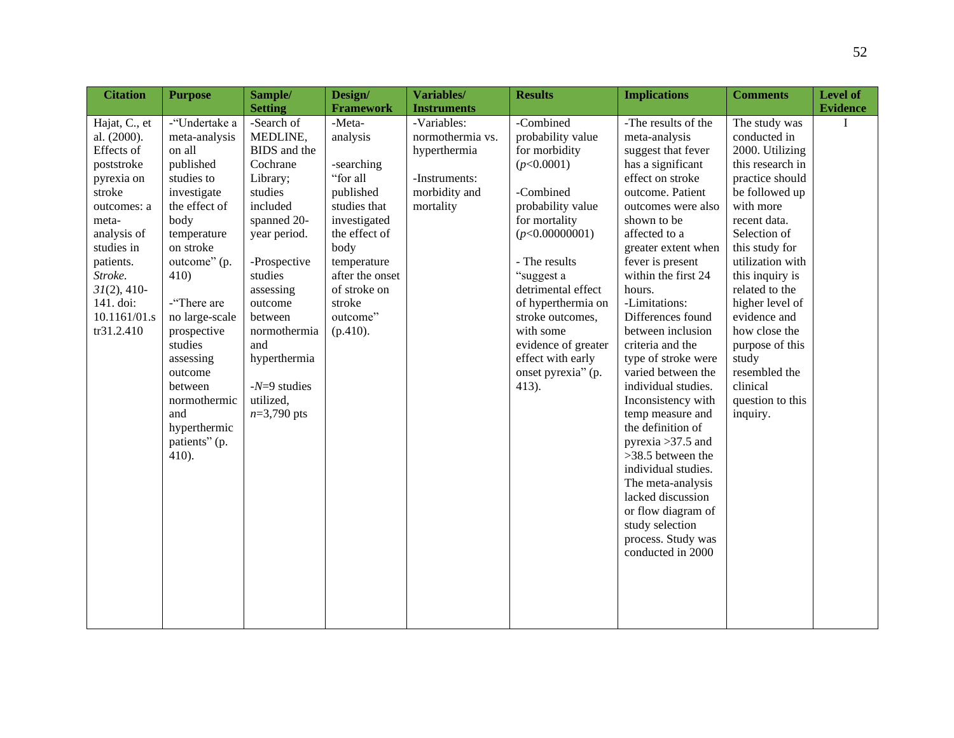| <b>Citation</b>                                                                                                                                                                                                            | <b>Purpose</b>                                                                                                                                                                                                                                                                                                                    | Sample/                                                                                                                                                                                                                                                                   | Design/                                                                                                                                                                                                   | Variables/                                                                                     | <b>Results</b>                                                                                                                                                                                                                                                                                                            | <b>Implications</b>                                                                                                                                                                                                                                                                                                                                                                                                                                                                                                                                                                                                                                                          | <b>Comments</b>                                                                                                                                                                                                                                                                                                                                                                | Level of        |
|----------------------------------------------------------------------------------------------------------------------------------------------------------------------------------------------------------------------------|-----------------------------------------------------------------------------------------------------------------------------------------------------------------------------------------------------------------------------------------------------------------------------------------------------------------------------------|---------------------------------------------------------------------------------------------------------------------------------------------------------------------------------------------------------------------------------------------------------------------------|-----------------------------------------------------------------------------------------------------------------------------------------------------------------------------------------------------------|------------------------------------------------------------------------------------------------|---------------------------------------------------------------------------------------------------------------------------------------------------------------------------------------------------------------------------------------------------------------------------------------------------------------------------|------------------------------------------------------------------------------------------------------------------------------------------------------------------------------------------------------------------------------------------------------------------------------------------------------------------------------------------------------------------------------------------------------------------------------------------------------------------------------------------------------------------------------------------------------------------------------------------------------------------------------------------------------------------------------|--------------------------------------------------------------------------------------------------------------------------------------------------------------------------------------------------------------------------------------------------------------------------------------------------------------------------------------------------------------------------------|-----------------|
|                                                                                                                                                                                                                            |                                                                                                                                                                                                                                                                                                                                   | <b>Setting</b>                                                                                                                                                                                                                                                            | <b>Framework</b>                                                                                                                                                                                          | <b>Instruments</b>                                                                             |                                                                                                                                                                                                                                                                                                                           |                                                                                                                                                                                                                                                                                                                                                                                                                                                                                                                                                                                                                                                                              |                                                                                                                                                                                                                                                                                                                                                                                | <b>Evidence</b> |
| Hajat, C., et<br>al. (2000).<br>Effects of<br>poststroke<br>pyrexia on<br>stroke<br>outcomes: a<br>meta-<br>analysis of<br>studies in<br>patients.<br>Stroke.<br>$31(2)$ , 410-<br>141. doi:<br>10.1161/01.s<br>tr31.2.410 | -"Undertake a<br>meta-analysis<br>on all<br>published<br>studies to<br>investigate<br>the effect of<br>body<br>temperature<br>on stroke<br>outcome" (p.<br>410)<br>-"There are<br>no large-scale<br>prospective<br>studies<br>assessing<br>outcome<br>between<br>normothermic<br>and<br>hyperthermic<br>patients" (p.<br>$410$ ). | -Search of<br>MEDLINE,<br>BIDS and the<br>Cochrane<br>Library;<br>studies<br>included<br>spanned 20-<br>year period.<br>-Prospective<br>studies<br>assessing<br>outcome<br>between<br>normothermia<br>and<br>hyperthermia<br>$-N=9$ studies<br>utilized,<br>$n=3,790$ pts | -Meta-<br>analysis<br>-searching<br>"for all<br>published<br>studies that<br>investigated<br>the effect of<br>body<br>temperature<br>after the onset<br>of stroke on<br>stroke<br>outcome"<br>$(p.410)$ . | -Variables:<br>normothermia vs.<br>hyperthermia<br>-Instruments:<br>morbidity and<br>mortality | -Combined<br>probability value<br>for morbidity<br>(p<0.0001)<br>-Combined<br>probability value<br>for mortality<br>(p<0.00000001)<br>- The results<br>"suggest a<br>detrimental effect<br>of hyperthermia on<br>stroke outcomes,<br>with some<br>evidence of greater<br>effect with early<br>onset pyrexia" (p.<br>413). | -The results of the<br>meta-analysis<br>suggest that fever<br>has a significant<br>effect on stroke<br>outcome. Patient<br>outcomes were also<br>shown to be<br>affected to a<br>greater extent when<br>fever is present<br>within the first 24<br>hours.<br>-Limitations:<br>Differences found<br>between inclusion<br>criteria and the<br>type of stroke were<br>varied between the<br>individual studies.<br>Inconsistency with<br>temp measure and<br>the definition of<br>pyrexia $>37.5$ and<br>>38.5 between the<br>individual studies.<br>The meta-analysis<br>lacked discussion<br>or flow diagram of<br>study selection<br>process. Study was<br>conducted in 2000 | The study was<br>conducted in<br>2000. Utilizing<br>this research in<br>practice should<br>be followed up<br>with more<br>recent data.<br>Selection of<br>this study for<br>utilization with<br>this inquiry is<br>related to the<br>higher level of<br>evidence and<br>how close the<br>purpose of this<br>study<br>resembled the<br>clinical<br>question to this<br>inquiry. | I               |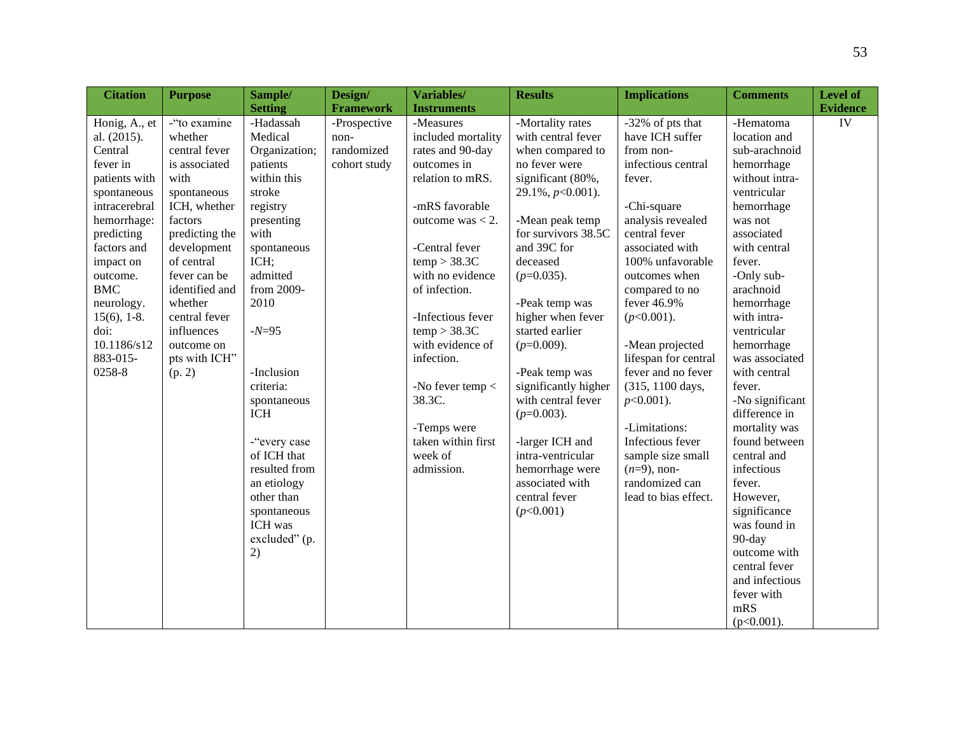| <b>Citation</b> | <b>Purpose</b> | Sample/        | Design/          | Variables/         | <b>Results</b>       | <b>Implications</b>  | <b>Comments</b> | Level of        |
|-----------------|----------------|----------------|------------------|--------------------|----------------------|----------------------|-----------------|-----------------|
|                 |                | <b>Setting</b> | <b>Framework</b> | <b>Instruments</b> |                      |                      |                 | <b>Evidence</b> |
| Honig, A., et   | -"to examine   | -Hadassah      | -Prospective     | -Measures          | -Mortality rates     | $-32\%$ of pts that  | -Hematoma       | IV              |
| al. (2015).     | whether        | Medical        | non-             | included mortality | with central fever   | have ICH suffer      | location and    |                 |
| Central         | central fever  | Organization;  | randomized       | rates and 90-day   | when compared to     | from non-            | sub-arachnoid   |                 |
| fever in        | is associated  | patients       | cohort study     | outcomes in        | no fever were        | infectious central   | hemorrhage      |                 |
| patients with   | with           | within this    |                  | relation to mRS.   | significant (80%,    | fever.               | without intra-  |                 |
| spontaneous     | spontaneous    | stroke         |                  |                    | $29.1\%, p<0.001$ ). |                      | ventricular     |                 |
| intracerebral   | ICH, whether   | registry       |                  | -mRS favorable     |                      | -Chi-square          | hemorrhage      |                 |
| hemorrhage:     | factors        | presenting     |                  | outcome was $<$ 2. | -Mean peak temp      | analysis revealed    | was not         |                 |
| predicting      | predicting the | with           |                  |                    | for survivors 38.5C  | central fever        | associated      |                 |
| factors and     | development    | spontaneous    |                  | -Central fever     | and 39C for          | associated with      | with central    |                 |
| impact on       | of central     | ICH;           |                  | temp > 38.3C       | deceased             | 100% unfavorable     | fever.          |                 |
| outcome.        | fever can be   | admitted       |                  | with no evidence   | $(p=0.035)$ .        | outcomes when        | -Only sub-      |                 |
| <b>BMC</b>      | identified and | from 2009-     |                  | of infection.      |                      | compared to no       | arachnoid       |                 |
| neurology.      | whether        | 2010           |                  |                    | -Peak temp was       | fever 46.9%          | hemorrhage      |                 |
| $15(6)$ , 1-8.  | central fever  |                |                  | -Infectious fever  | higher when fever    | $(p<0.001)$ .        | with intra-     |                 |
| doi:            | influences     | $-N=95$        |                  | temp > 38.3C       | started earlier      |                      | ventricular     |                 |
| 10.1186/s12     | outcome on     |                |                  | with evidence of   | $(p=0.009)$ .        | -Mean projected      | hemorrhage      |                 |
| 883-015-        | pts with ICH"  |                |                  | infection.         |                      | lifespan for central | was associated  |                 |
| 0258-8          | (p. 2)         | -Inclusion     |                  |                    | -Peak temp was       | fever and no fever   | with central    |                 |
|                 |                | criteria:      |                  | -No fever temp <   | significantly higher | (315, 1100 days,     | fever.          |                 |
|                 |                | spontaneous    |                  | 38.3C.             | with central fever   | $p<0.001$ ).         | -No significant |                 |
|                 |                | <b>ICH</b>     |                  |                    | $(p=0.003)$ .        |                      | difference in   |                 |
|                 |                |                |                  | -Temps were        |                      | -Limitations:        | mortality was   |                 |
|                 |                | -"every case   |                  | taken within first | -larger ICH and      | Infectious fever     | found between   |                 |
|                 |                | of ICH that    |                  | week of            | intra-ventricular    | sample size small    | central and     |                 |
|                 |                | resulted from  |                  | admission.         | hemorrhage were      | $(n=9)$ , non-       | infectious      |                 |
|                 |                | an etiology    |                  |                    | associated with      | randomized can       | fever.          |                 |
|                 |                | other than     |                  |                    | central fever        | lead to bias effect. | However,        |                 |
|                 |                | spontaneous    |                  |                    | (p<0.001)            |                      | significance    |                 |
|                 |                | ICH was        |                  |                    |                      |                      | was found in    |                 |
|                 |                | excluded" (p.  |                  |                    |                      |                      | 90-day          |                 |
|                 |                | 2)             |                  |                    |                      |                      | outcome with    |                 |
|                 |                |                |                  |                    |                      |                      | central fever   |                 |
|                 |                |                |                  |                    |                      |                      | and infectious  |                 |
|                 |                |                |                  |                    |                      |                      | fever with      |                 |
|                 |                |                |                  |                    |                      |                      | mRS             |                 |
|                 |                |                |                  |                    |                      |                      | $(p<0.001)$ .   |                 |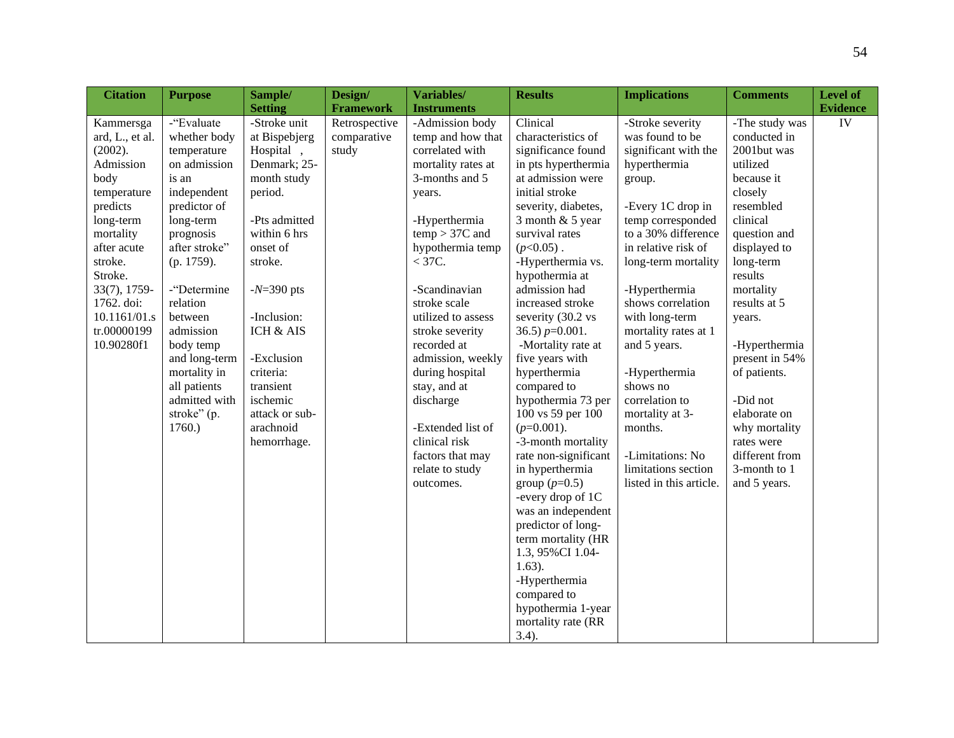| <b>Citation</b> | <b>Purpose</b> | Sample/        | Design/          | Variables/         | <b>Results</b>       | <b>Implications</b>     | <b>Comments</b> | <b>Level of</b> |
|-----------------|----------------|----------------|------------------|--------------------|----------------------|-------------------------|-----------------|-----------------|
|                 |                | <b>Setting</b> | <b>Framework</b> | <b>Instruments</b> |                      |                         |                 | <b>Evidence</b> |
| Kammersga       | -"Evaluate     | -Stroke unit   | Retrospective    | -Admission body    | Clinical             | -Stroke severity        | -The study was  | IV              |
| ard, L., et al. | whether body   | at Bispebjerg  | comparative      | temp and how that  | characteristics of   | was found to be         | conducted in    |                 |
| (2002).         | temperature    | Hospital       | study            | correlated with    | significance found   | significant with the    | 2001but was     |                 |
| Admission       | on admission   | Denmark; 25-   |                  | mortality rates at | in pts hyperthermia  | hyperthermia            | utilized        |                 |
| body            | is an          | month study    |                  | 3-months and 5     | at admission were    | group.                  | because it      |                 |
| temperature     | independent    | period.        |                  | years.             | initial stroke       |                         | closely         |                 |
| predicts        | predictor of   |                |                  |                    | severity, diabetes,  | -Every 1C drop in       | resembled       |                 |
| long-term       | long-term      | -Pts admitted  |                  | -Hyperthermia      | 3 month $& 5$ year   | temp corresponded       | clinical        |                 |
| mortality       | prognosis      | within 6 hrs   |                  | $temp > 37C$ and   | survival rates       | to a 30% difference     | question and    |                 |
| after acute     | after stroke"  | onset of       |                  | hypothermia temp   | $(p<0.05)$ .         | in relative risk of     | displayed to    |                 |
| stroke.         | (p. 1759).     | stroke.        |                  | $<$ 37C.           | -Hyperthermia vs.    | long-term mortality     | long-term       |                 |
| Stroke.         |                |                |                  |                    | hypothermia at       |                         | results         |                 |
| 33(7), 1759-    | -"Determine    | $-N=390$ pts   |                  | -Scandinavian      | admission had        | -Hyperthermia           | mortality       |                 |
| 1762. doi:      | relation       |                |                  | stroke scale       | increased stroke     | shows correlation       | results at 5    |                 |
| 10.1161/01.s    | between        | -Inclusion:    |                  | utilized to assess | severity (30.2 vs    | with long-term          | years.          |                 |
| tr.00000199     | admission      | ICH & AIS      |                  | stroke severity    | 36.5) $p=0.001$ .    | mortality rates at 1    |                 |                 |
| 10.90280f1      | body temp      |                |                  | recorded at        | -Mortality rate at   | and 5 years.            | -Hyperthermia   |                 |
|                 | and long-term  | -Exclusion     |                  | admission, weekly  | five years with      |                         | present in 54%  |                 |
|                 | mortality in   | criteria:      |                  | during hospital    | hyperthermia         | -Hyperthermia           | of patients.    |                 |
|                 | all patients   | transient      |                  | stay, and at       | compared to          | shows no                |                 |                 |
|                 | admitted with  | ischemic       |                  | discharge          | hypothermia 73 per   | correlation to          | -Did not        |                 |
|                 | stroke" (p.    | attack or sub- |                  |                    | 100 vs 59 per 100    | mortality at 3-         | elaborate on    |                 |
|                 | 1760.          | arachnoid      |                  | -Extended list of  | $(p=0.001)$ .        | months.                 | why mortality   |                 |
|                 |                | hemorrhage.    |                  | clinical risk      | -3-month mortality   |                         | rates were      |                 |
|                 |                |                |                  | factors that may   | rate non-significant | -Limitations: No        | different from  |                 |
|                 |                |                |                  | relate to study    | in hyperthermia      | limitations section     | 3-month to 1    |                 |
|                 |                |                |                  | outcomes.          | group $(p=0.5)$      | listed in this article. | and 5 years.    |                 |
|                 |                |                |                  |                    | -every drop of 1C    |                         |                 |                 |
|                 |                |                |                  |                    | was an independent   |                         |                 |                 |
|                 |                |                |                  |                    | predictor of long-   |                         |                 |                 |
|                 |                |                |                  |                    | term mortality (HR   |                         |                 |                 |
|                 |                |                |                  |                    | 1.3, 95%CI 1.04-     |                         |                 |                 |
|                 |                |                |                  |                    | $1.63$ ).            |                         |                 |                 |
|                 |                |                |                  |                    | -Hyperthermia        |                         |                 |                 |
|                 |                |                |                  |                    | compared to          |                         |                 |                 |
|                 |                |                |                  |                    | hypothermia 1-year   |                         |                 |                 |
|                 |                |                |                  |                    | mortality rate (RR   |                         |                 |                 |
|                 |                |                |                  |                    | $3.4$ ).             |                         |                 |                 |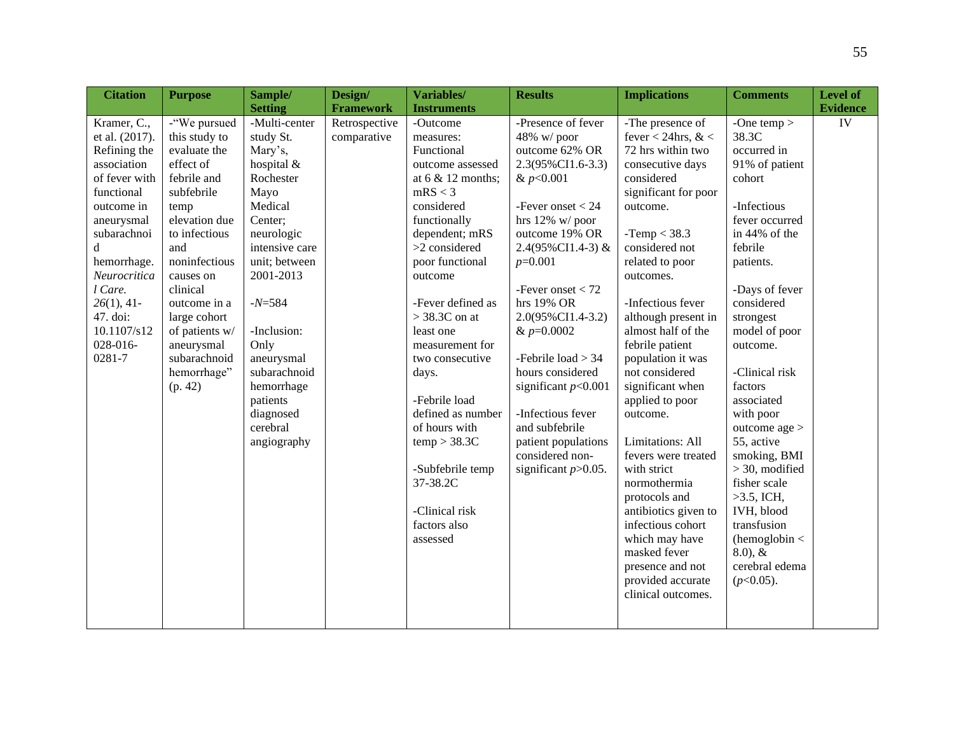|                                                                                                                                                                                                                                                         | <b>Purpose</b>                                                                                                                                                                                                                                                                               | Sample/                                                                                                                                                                                                                                                                                         | Design/                      | Variables/                                                                                                                                                                                                                                                                                                                                                                                                                                        | <b>Results</b>                                                                                                                                                                                                                                                                                                                                                                                                                                   | <b>Implications</b>                                                                                                                                                                                                                                                                                                                                                                                                                                                                                                                                                                                     | <b>Comments</b>                                                                                                                                                                                                                                                                                                                                                                                                                                                                    | <b>Level of</b>       |
|---------------------------------------------------------------------------------------------------------------------------------------------------------------------------------------------------------------------------------------------------------|----------------------------------------------------------------------------------------------------------------------------------------------------------------------------------------------------------------------------------------------------------------------------------------------|-------------------------------------------------------------------------------------------------------------------------------------------------------------------------------------------------------------------------------------------------------------------------------------------------|------------------------------|---------------------------------------------------------------------------------------------------------------------------------------------------------------------------------------------------------------------------------------------------------------------------------------------------------------------------------------------------------------------------------------------------------------------------------------------------|--------------------------------------------------------------------------------------------------------------------------------------------------------------------------------------------------------------------------------------------------------------------------------------------------------------------------------------------------------------------------------------------------------------------------------------------------|---------------------------------------------------------------------------------------------------------------------------------------------------------------------------------------------------------------------------------------------------------------------------------------------------------------------------------------------------------------------------------------------------------------------------------------------------------------------------------------------------------------------------------------------------------------------------------------------------------|------------------------------------------------------------------------------------------------------------------------------------------------------------------------------------------------------------------------------------------------------------------------------------------------------------------------------------------------------------------------------------------------------------------------------------------------------------------------------------|-----------------------|
|                                                                                                                                                                                                                                                         |                                                                                                                                                                                                                                                                                              | <b>Setting</b>                                                                                                                                                                                                                                                                                  | <b>Framework</b>             | <b>Instruments</b>                                                                                                                                                                                                                                                                                                                                                                                                                                |                                                                                                                                                                                                                                                                                                                                                                                                                                                  |                                                                                                                                                                                                                                                                                                                                                                                                                                                                                                                                                                                                         |                                                                                                                                                                                                                                                                                                                                                                                                                                                                                    |                       |
| Kramer, C.,<br>et al. (2017).<br>Refining the<br>association<br>of fever with<br>functional<br>outcome in<br>aneurysmal<br>subarachnoi<br>d<br>hemorrhage.<br>Neurocritica<br>l Care.<br>$26(1)$ , 41-<br>47. doi:<br>10.1107/s12<br>028-016-<br>0281-7 | -"We pursued<br>this study to<br>evaluate the<br>effect of<br>febrile and<br>subfebrile<br>temp<br>elevation due<br>to infectious<br>and<br>noninfectious<br>causes on<br>clinical<br>outcome in a<br>large cohort<br>of patients w/<br>aneurysmal<br>subarachnoid<br>hemorrhage"<br>(p. 42) | -Multi-center<br>study St.<br>Mary's,<br>hospital &<br>Rochester<br>Mayo<br>Medical<br>Center;<br>neurologic<br>intensive care<br>unit; between<br>2001-2013<br>$-N=584$<br>-Inclusion:<br>Only<br>aneurysmal<br>subarachnoid<br>hemorrhage<br>patients<br>diagnosed<br>cerebral<br>angiography | Retrospective<br>comparative | -Outcome<br>measures:<br>Functional<br>outcome assessed<br>at $6 & 12$ months;<br>mRS < 3<br>considered<br>functionally<br>dependent; mRS<br>>2 considered<br>poor functional<br>outcome<br>-Fever defined as<br>$>$ 38.3C on at<br>least one<br>measurement for<br>two consecutive<br>days.<br>-Febrile load<br>defined as number<br>of hours with<br>temp > 38.3C<br>-Subfebrile temp<br>37-38.2C<br>-Clinical risk<br>factors also<br>assessed | -Presence of fever<br>48% w/poor<br>outcome 62% OR<br>2.3(95%CI1.6-3.3)<br>& $p<0.001$<br>-Fever onset $< 24$<br>hrs $12\%$ w/poor<br>outcome 19% OR<br>2.4(95%CI1.4-3) &<br>$p=0.001$<br>-Fever onset $<$ 72<br>hrs 19% OR<br>2.0(95%CI1.4-3.2)<br>& $p=0.0002$<br>-Febrile load > 34<br>hours considered<br>significant $p<0.001$<br>-Infectious fever<br>and subfebrile<br>patient populations<br>considered non-<br>significant $p > 0.05$ . | -The presence of<br>fever < 24hrs, $<$<br>72 hrs within two<br>consecutive days<br>considered<br>significant for poor<br>outcome.<br>$-Temp < 38.3$<br>considered not<br>related to poor<br>outcomes.<br>-Infectious fever<br>although present in<br>almost half of the<br>febrile patient<br>population it was<br>not considered<br>significant when<br>applied to poor<br>outcome.<br>Limitations: All<br>fevers were treated<br>with strict<br>normothermia<br>protocols and<br>antibiotics given to<br>infectious cohort<br>which may have<br>masked fever<br>presence and not<br>provided accurate | -One temp $>$<br>38.3C<br>occurred in<br>91% of patient<br>cohort<br>-Infectious<br>fever occurred<br>in 44% of the<br>febrile<br>patients.<br>-Days of fever<br>considered<br>strongest<br>model of poor<br>outcome.<br>-Clinical risk<br>factors<br>associated<br>with poor<br>outcome age $>$<br>55, active<br>smoking, BMI<br>$>$ 30, modified<br>fisher scale<br>$>3.5$ , ICH,<br>IVH, blood<br>transfusion<br>(hemoglobin <<br>$(8.0), \&$<br>cerebral edema<br>$(p<0.05)$ . | <b>Evidence</b><br>IV |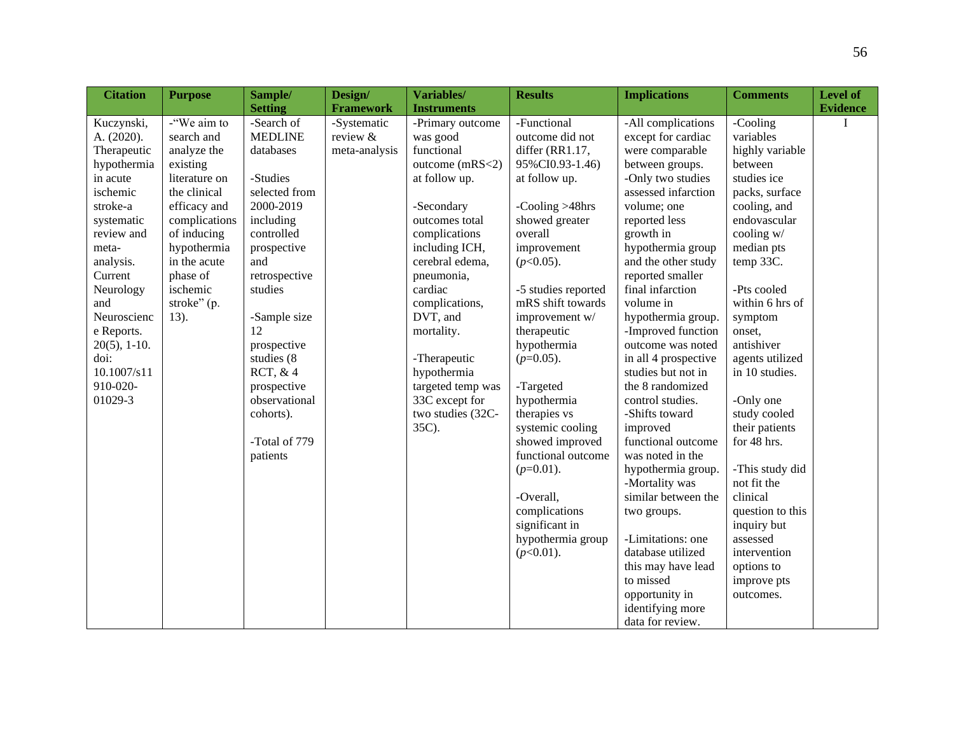| <b>Citation</b> | <b>Purpose</b> | Sample/        | Design/          | Variables/         | <b>Results</b>      | <b>Implications</b>  | <b>Comments</b>  | Level of        |
|-----------------|----------------|----------------|------------------|--------------------|---------------------|----------------------|------------------|-----------------|
|                 |                | <b>Setting</b> | <b>Framework</b> | <b>Instruments</b> |                     |                      |                  | <b>Evidence</b> |
| Kuczynski,      | -"We aim to    | -Search of     | -Systematic      | -Primary outcome   | -Functional         | -All complications   | -Cooling         | T               |
| A. (2020).      | search and     | <b>MEDLINE</b> | review &         | was good           | outcome did not     | except for cardiac   | variables        |                 |
| Therapeutic     | analyze the    | databases      | meta-analysis    | functional         | differ (RR1.17,     | were comparable      | highly variable  |                 |
| hypothermia     | existing       |                |                  | outcome (mRS<2)    | 95%CI0.93-1.46)     | between groups.      | between          |                 |
| in acute        | literature on  | -Studies       |                  | at follow up.      | at follow up.       | -Only two studies    | studies ice      |                 |
| ischemic        | the clinical   | selected from  |                  |                    |                     | assessed infarction  | packs, surface   |                 |
| stroke-a        | efficacy and   | 2000-2019      |                  | -Secondary         | -Cooling $>48$ hrs  | volume; one          | cooling, and     |                 |
| systematic      | complications  | including      |                  | outcomes total     | showed greater      | reported less        | endovascular     |                 |
| review and      | of inducing    | controlled     |                  | complications      | overall             | growth in            | cooling w/       |                 |
| meta-           | hypothermia    | prospective    |                  | including ICH,     | improvement         | hypothermia group    | median pts       |                 |
| analysis.       | in the acute   | and            |                  | cerebral edema,    | $(p<0.05)$ .        | and the other study  | temp 33C.        |                 |
| Current         | phase of       | retrospective  |                  | pneumonia,         |                     | reported smaller     |                  |                 |
| Neurology       | ischemic       | studies        |                  | cardiac            | -5 studies reported | final infarction     | -Pts cooled      |                 |
| and             | stroke" (p.    |                |                  | complications,     | mRS shift towards   | volume in            | within 6 hrs of  |                 |
| Neuroscienc     | 13).           | -Sample size   |                  | DVT, and           | improvement w/      | hypothermia group.   | symptom          |                 |
| e Reports.      |                | 12             |                  | mortality.         | therapeutic         | -Improved function   | onset,           |                 |
| $20(5)$ , 1-10. |                | prospective    |                  |                    | hypothermia         | outcome was noted    | antishiver       |                 |
| doi:            |                | studies (8     |                  | -Therapeutic       | $(p=0.05)$ .        | in all 4 prospective | agents utilized  |                 |
| 10.1007/s11     |                | RCT, $&4$      |                  | hypothermia        |                     | studies but not in   | in 10 studies.   |                 |
| 910-020-        |                | prospective    |                  | targeted temp was  | -Targeted           | the 8 randomized     |                  |                 |
| 01029-3         |                | observational  |                  | 33C except for     | hypothermia         | control studies.     | -Only one        |                 |
|                 |                | cohorts).      |                  | two studies (32C-  | therapies vs        | -Shifts toward       | study cooled     |                 |
|                 |                |                |                  | 35C).              | systemic cooling    | improved             | their patients   |                 |
|                 |                | -Total of 779  |                  |                    | showed improved     | functional outcome   | for 48 hrs.      |                 |
|                 |                | patients       |                  |                    | functional outcome  | was noted in the     |                  |                 |
|                 |                |                |                  |                    | $(p=0.01)$ .        | hypothermia group.   | -This study did  |                 |
|                 |                |                |                  |                    |                     | -Mortality was       | not fit the      |                 |
|                 |                |                |                  |                    | -Overall,           | similar between the  | clinical         |                 |
|                 |                |                |                  |                    | complications       | two groups.          | question to this |                 |
|                 |                |                |                  |                    | significant in      |                      | inquiry but      |                 |
|                 |                |                |                  |                    | hypothermia group   | -Limitations: one    | assessed         |                 |
|                 |                |                |                  |                    | $(p<0.01)$ .        | database utilized    | intervention     |                 |
|                 |                |                |                  |                    |                     | this may have lead   | options to       |                 |
|                 |                |                |                  |                    |                     | to missed            | improve pts      |                 |
|                 |                |                |                  |                    |                     | opportunity in       | outcomes.        |                 |
|                 |                |                |                  |                    |                     | identifying more     |                  |                 |
|                 |                |                |                  |                    |                     | data for review.     |                  |                 |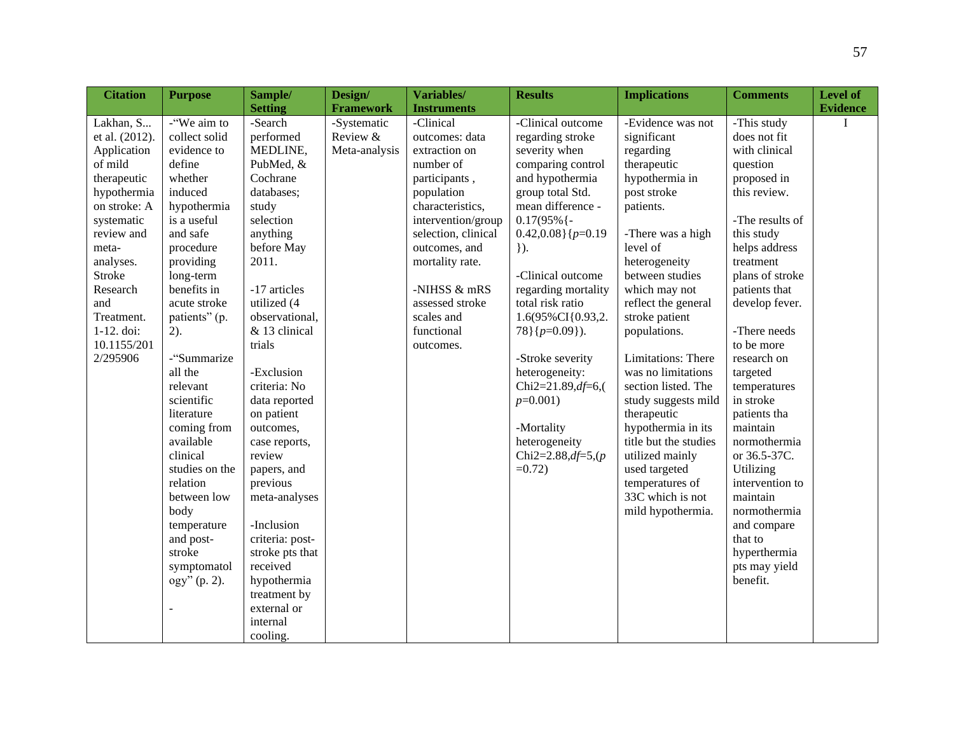| <b>Citation</b> | <b>Purpose</b> | Sample/         | Design/          | Variables/          | <b>Results</b>          | <b>Implications</b>   | <b>Comments</b> | <b>Level of</b> |
|-----------------|----------------|-----------------|------------------|---------------------|-------------------------|-----------------------|-----------------|-----------------|
|                 |                | <b>Setting</b>  | <b>Framework</b> | <b>Instruments</b>  |                         |                       |                 | <b>Evidence</b> |
| Lakhan, S       | -"We aim to    | -Search         | -Systematic      | -Clinical           | -Clinical outcome       | -Evidence was not     | -This study     | I               |
| et al. (2012).  | collect solid  | performed       | Review &         | outcomes: data      | regarding stroke        | significant           | does not fit    |                 |
| Application     | evidence to    | MEDLINE,        | Meta-analysis    | extraction on       | severity when           | regarding             | with clinical   |                 |
| of mild         | define         | PubMed, &       |                  | number of           | comparing control       | therapeutic           | question        |                 |
| therapeutic     | whether        | Cochrane        |                  | participants,       | and hypothermia         | hypothermia in        | proposed in     |                 |
| hypothermia     | induced        | databases;      |                  | population          | group total Std.        | post stroke           | this review.    |                 |
| on stroke: A    | hypothermia    | study           |                  | characteristics,    | mean difference -       | patients.             |                 |                 |
| systematic      | is a useful    | selection       |                  | intervention/group  | $0.17(95\%$ {-          |                       | -The results of |                 |
| review and      | and safe       | anything        |                  | selection, clinical | $0.42,0.08$ }{ $p=0.19$ | -There was a high     | this study      |                 |
| meta-           | procedure      | before May      |                  | outcomes, and       | $\}$ ).                 | level of              | helps address   |                 |
| analyses.       | providing      | 2011.           |                  | mortality rate.     |                         | heterogeneity         | treatment       |                 |
| <b>Stroke</b>   | long-term      |                 |                  |                     | -Clinical outcome       | between studies       | plans of stroke |                 |
| Research        | benefits in    | -17 articles    |                  | -NIHSS & mRS        | regarding mortality     | which may not         | patients that   |                 |
| and             | acute stroke   | utilized (4     |                  | assessed stroke     | total risk ratio        | reflect the general   | develop fever.  |                 |
| Treatment.      | patients" (p.  | observational,  |                  | scales and          | 1.6(95%CI{0.93,2.       | stroke patient        |                 |                 |
| 1-12. doi:      | $2)$ .         | & 13 clinical   |                  | functional          | $78$ }{ $p=0.09$ }).    | populations.          | -There needs    |                 |
| 10.1155/201     |                | trials          |                  | outcomes.           |                         |                       | to be more      |                 |
| 2/295906        | -"Summarize    |                 |                  |                     | -Stroke severity        | Limitations: There    | research on     |                 |
|                 | all the        | -Exclusion      |                  |                     | heterogeneity:          | was no limitations    | targeted        |                 |
|                 | relevant       | criteria: No    |                  |                     | Chi2=21.89,df=6,(       | section listed. The   | temperatures    |                 |
|                 | scientific     | data reported   |                  |                     | $p=0.001$               | study suggests mild   | in stroke       |                 |
|                 | literature     | on patient      |                  |                     |                         | therapeutic           | patients tha    |                 |
|                 | coming from    | outcomes,       |                  |                     | -Mortality              | hypothermia in its    | maintain        |                 |
|                 | available      | case reports,   |                  |                     | heterogeneity           | title but the studies | normothermia    |                 |
|                 | clinical       | review          |                  |                     | Chi2=2.88,df=5,(p       | utilized mainly       | or 36.5-37C.    |                 |
|                 | studies on the | papers, and     |                  |                     | $=0.72$ )               | used targeted         | Utilizing       |                 |
|                 | relation       | previous        |                  |                     |                         | temperatures of       | intervention to |                 |
|                 | between low    | meta-analyses   |                  |                     |                         | 33C which is not      | maintain        |                 |
|                 | body           |                 |                  |                     |                         | mild hypothermia.     | normothermia    |                 |
|                 | temperature    | -Inclusion      |                  |                     |                         |                       | and compare     |                 |
|                 | and post-      | criteria: post- |                  |                     |                         |                       | that to         |                 |
|                 | stroke         | stroke pts that |                  |                     |                         |                       | hyperthermia    |                 |
|                 | symptomatol    | received        |                  |                     |                         |                       | pts may yield   |                 |
|                 | ogy" (p. 2).   | hypothermia     |                  |                     |                         |                       | benefit.        |                 |
|                 |                | treatment by    |                  |                     |                         |                       |                 |                 |
|                 |                | external or     |                  |                     |                         |                       |                 |                 |
|                 |                | internal        |                  |                     |                         |                       |                 |                 |
|                 |                | cooling.        |                  |                     |                         |                       |                 |                 |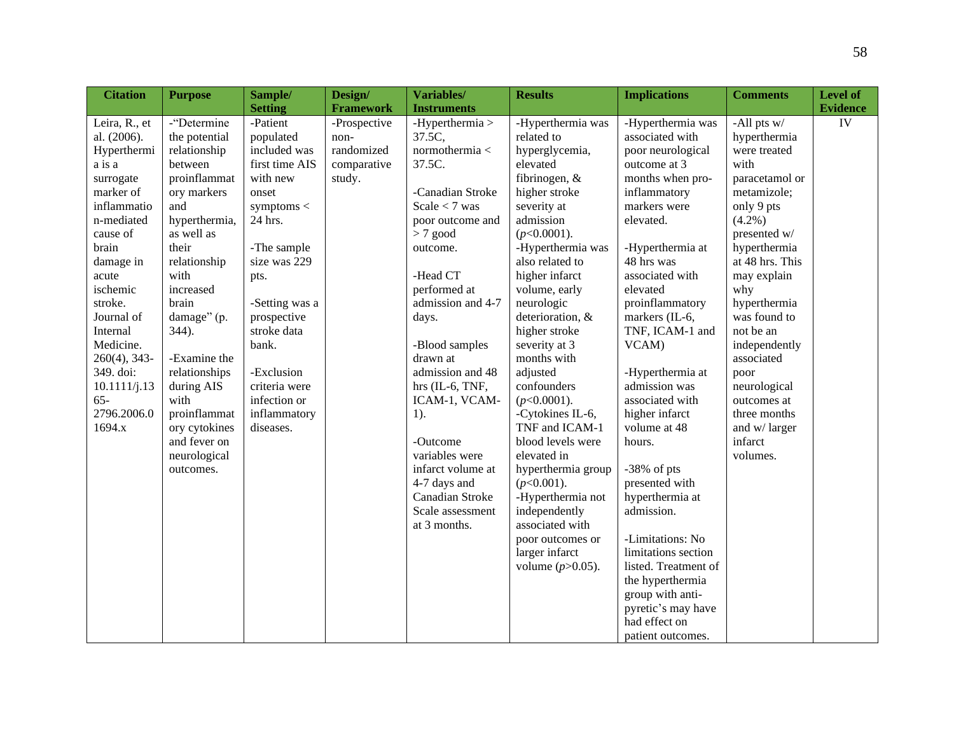| <b>Citation</b> | <b>Purpose</b> | Sample/        | Design/          | Variables/         | <b>Results</b>      | <b>Implications</b>  | <b>Comments</b> | Level of        |
|-----------------|----------------|----------------|------------------|--------------------|---------------------|----------------------|-----------------|-----------------|
|                 |                | <b>Setting</b> | <b>Framework</b> | <b>Instruments</b> |                     |                      |                 | <b>Evidence</b> |
| Leira, R., et   | -"Determine    | -Patient       | -Prospective     | -Hyperthermia $>$  | -Hyperthermia was   | -Hyperthermia was    | -All pts $w/$   | IV              |
| al. (2006).     | the potential  | populated      | non-             | 37.5C,             | related to          | associated with      | hyperthermia    |                 |
| Hyperthermi     | relationship   | included was   | randomized       | normothermia <     | hyperglycemia,      | poor neurological    | were treated    |                 |
| a is a          | between        | first time AIS | comparative      | 37.5C.             | elevated            | outcome at 3         | with            |                 |
| surrogate       | proinflammat   | with new       | study.           |                    | fibrinogen, &       | months when pro-     | paracetamol or  |                 |
| marker of       | ory markers    | onset          |                  | -Canadian Stroke   | higher stroke       | inflammatory         | metamizole;     |                 |
| inflammatio     | and            | symptoms $<$   |                  | Scale $<$ 7 was    | severity at         | markers were         | only 9 pts      |                 |
| n-mediated      | hyperthermia,  | 24 hrs.        |                  | poor outcome and   | admission           | elevated.            | $(4.2\%)$       |                 |
| cause of        | as well as     |                |                  | $>7$ good          | $(p<0.0001)$ .      |                      | presented w/    |                 |
| brain           | their          | -The sample    |                  | outcome.           | -Hyperthermia was   | -Hyperthermia at     | hyperthermia    |                 |
| damage in       | relationship   | size was 229   |                  |                    | also related to     | 48 hrs was           | at 48 hrs. This |                 |
| acute           | with           | pts.           |                  | -Head CT           | higher infarct      | associated with      | may explain     |                 |
| ischemic        | increased      |                |                  | performed at       | volume, early       | elevated             | why             |                 |
| stroke.         | brain          | -Setting was a |                  | admission and 4-7  | neurologic          | proinflammatory      | hyperthermia    |                 |
| Journal of      | damage" (p.    | prospective    |                  | days.              | deterioration, &    | markers (IL-6,       | was found to    |                 |
| Internal        | 344).          | stroke data    |                  |                    | higher stroke       | TNF, ICAM-1 and      | not be an       |                 |
| Medicine.       |                | bank.          |                  | -Blood samples     | severity at 3       | VCAM)                | independently   |                 |
| $260(4)$ , 343- | -Examine the   |                |                  | drawn at           | months with         |                      | associated      |                 |
| 349. doi:       | relationships  | -Exclusion     |                  | admission and 48   | adjusted            | -Hyperthermia at     | poor            |                 |
| 10.1111/j.13    | during AIS     | criteria were  |                  | hrs $(IL-6, TNF,$  | confounders         | admission was        | neurological    |                 |
| $65 -$          | with           | infection or   |                  | ICAM-1, VCAM-      | $(p<0.0001)$ .      | associated with      | outcomes at     |                 |
| 2796.2006.0     | proinflammat   | inflammatory   |                  | $1$ ).             | -Cytokines IL-6,    | higher infarct       | three months    |                 |
| 1694.x          | ory cytokines  | diseases.      |                  |                    | TNF and ICAM-1      | volume at 48         | and w/larger    |                 |
|                 | and fever on   |                |                  | -Outcome           | blood levels were   | hours.               | infarct         |                 |
|                 | neurological   |                |                  | variables were     | elevated in         |                      | volumes.        |                 |
|                 | outcomes.      |                |                  | infarct volume at  | hyperthermia group  | $-38\%$ of pts       |                 |                 |
|                 |                |                |                  | 4-7 days and       | $(p<0.001)$ .       | presented with       |                 |                 |
|                 |                |                |                  | Canadian Stroke    | -Hyperthermia not   | hyperthermia at      |                 |                 |
|                 |                |                |                  | Scale assessment   | independently       | admission.           |                 |                 |
|                 |                |                |                  | at 3 months.       | associated with     |                      |                 |                 |
|                 |                |                |                  |                    | poor outcomes or    | -Limitations: No     |                 |                 |
|                 |                |                |                  |                    | larger infarct      | limitations section  |                 |                 |
|                 |                |                |                  |                    | volume $(p>0.05)$ . | listed. Treatment of |                 |                 |
|                 |                |                |                  |                    |                     | the hyperthermia     |                 |                 |
|                 |                |                |                  |                    |                     | group with anti-     |                 |                 |
|                 |                |                |                  |                    |                     | pyretic's may have   |                 |                 |
|                 |                |                |                  |                    |                     | had effect on        |                 |                 |
|                 |                |                |                  |                    |                     | patient outcomes.    |                 |                 |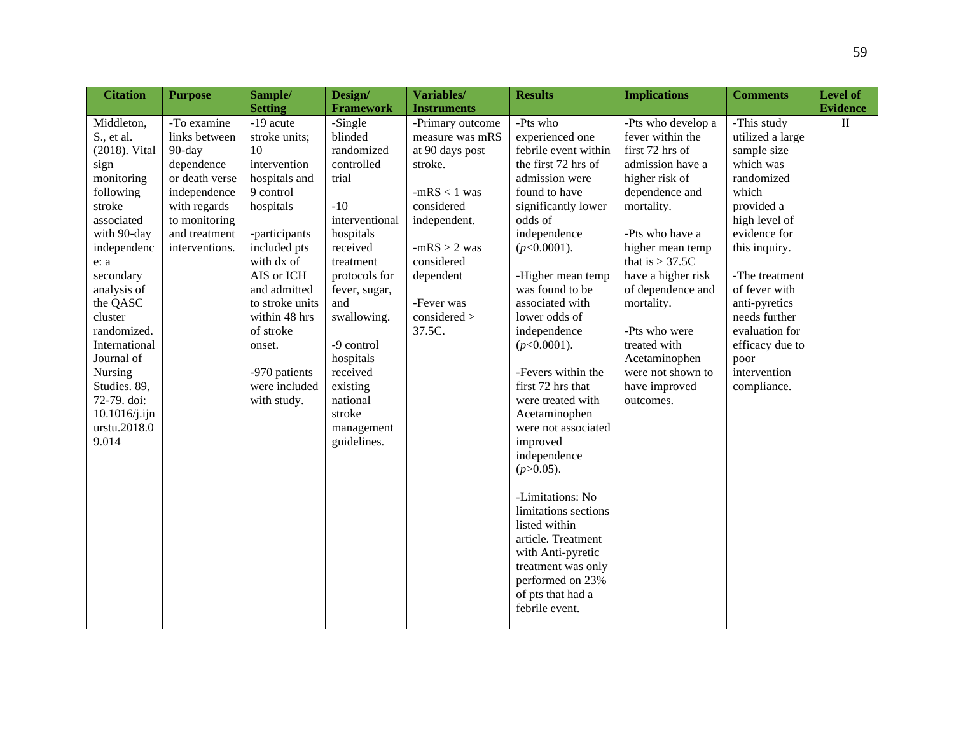| <b>Citation</b>                                                                          | <b>Purpose</b>                                                                                         | Sample/                                                                                      | Design/                                                                                       | Variables/                                                                                        | <b>Results</b>                                                                                                                                                                        | <b>Implications</b>                                                                                                             | <b>Comments</b>                                                                                    | Level of        |
|------------------------------------------------------------------------------------------|--------------------------------------------------------------------------------------------------------|----------------------------------------------------------------------------------------------|-----------------------------------------------------------------------------------------------|---------------------------------------------------------------------------------------------------|---------------------------------------------------------------------------------------------------------------------------------------------------------------------------------------|---------------------------------------------------------------------------------------------------------------------------------|----------------------------------------------------------------------------------------------------|-----------------|
|                                                                                          |                                                                                                        | <b>Setting</b>                                                                               | <b>Framework</b>                                                                              | <b>Instruments</b>                                                                                |                                                                                                                                                                                       |                                                                                                                                 |                                                                                                    | <b>Evidence</b> |
| Middleton,<br>S., et al.<br>(2018). Vital<br>sign<br>monitoring<br>following<br>stroke   | -To examine<br>links between<br>90-day<br>dependence<br>or death verse<br>independence<br>with regards | -19 acute<br>stroke units;<br>10<br>intervention<br>hospitals and<br>9 control<br>hospitals  | -Single<br>blinded<br>randomized<br>controlled<br>trial<br>$-10$                              | -Primary outcome<br>measure was mRS<br>at 90 days post<br>stroke.<br>$-mRS < 1$ was<br>considered | -Pts who<br>experienced one<br>febrile event within<br>the first 72 hrs of<br>admission were<br>found to have<br>significantly lower                                                  | -Pts who develop a<br>fever within the<br>first 72 hrs of<br>admission have a<br>higher risk of<br>dependence and<br>mortality. | -This study<br>utilized a large<br>sample size<br>which was<br>randomized<br>which<br>provided a   | $\mathbf{I}$    |
| associated<br>with 90-day<br>independenc<br>e: a<br>secondary<br>analysis of<br>the QASC | to monitoring<br>and treatment<br>interventions.                                                       | -participants<br>included pts<br>with dx of<br>AIS or ICH<br>and admitted<br>to stroke units | interventional<br>hospitals<br>received<br>treatment<br>protocols for<br>fever, sugar,<br>and | independent.<br>$-mRS > 2$ was<br>considered<br>dependent<br>-Fever was                           | odds of<br>independence<br>$(p<0.0001)$ .<br>-Higher mean temp<br>was found to be<br>associated with                                                                                  | -Pts who have a<br>higher mean temp<br>that is $> 37.5C$<br>have a higher risk<br>of dependence and<br>mortality.               | high level of<br>evidence for<br>this inquiry.<br>-The treatment<br>of fever with<br>anti-pyretics |                 |
| cluster<br>randomized.<br>International<br>Journal of<br>Nursing                         |                                                                                                        | within 48 hrs<br>of stroke<br>onset.<br>-970 patients                                        | swallowing.<br>-9 control<br>hospitals<br>received                                            | $considered$ ><br>37.5C.                                                                          | lower odds of<br>independence<br>$(p<0.0001)$ .<br>-Fevers within the                                                                                                                 | -Pts who were<br>treated with<br>Acetaminophen<br>were not shown to                                                             | needs further<br>evaluation for<br>efficacy due to<br>poor<br>intervention                         |                 |
| Studies. 89,<br>72-79. doi:<br>10.1016/j.ijn<br>urstu.2018.0<br>9.014                    |                                                                                                        | were included<br>with study.                                                                 | existing<br>national<br>stroke<br>management<br>guidelines.                                   |                                                                                                   | first 72 hrs that<br>were treated with<br>Acetaminophen<br>were not associated<br>improved<br>independence<br>$(p>0.05)$ .                                                            | have improved<br>outcomes.                                                                                                      | compliance.                                                                                        |                 |
|                                                                                          |                                                                                                        |                                                                                              |                                                                                               |                                                                                                   | -Limitations: No<br>limitations sections<br>listed within<br>article. Treatment<br>with Anti-pyretic<br>treatment was only<br>performed on 23%<br>of pts that had a<br>febrile event. |                                                                                                                                 |                                                                                                    |                 |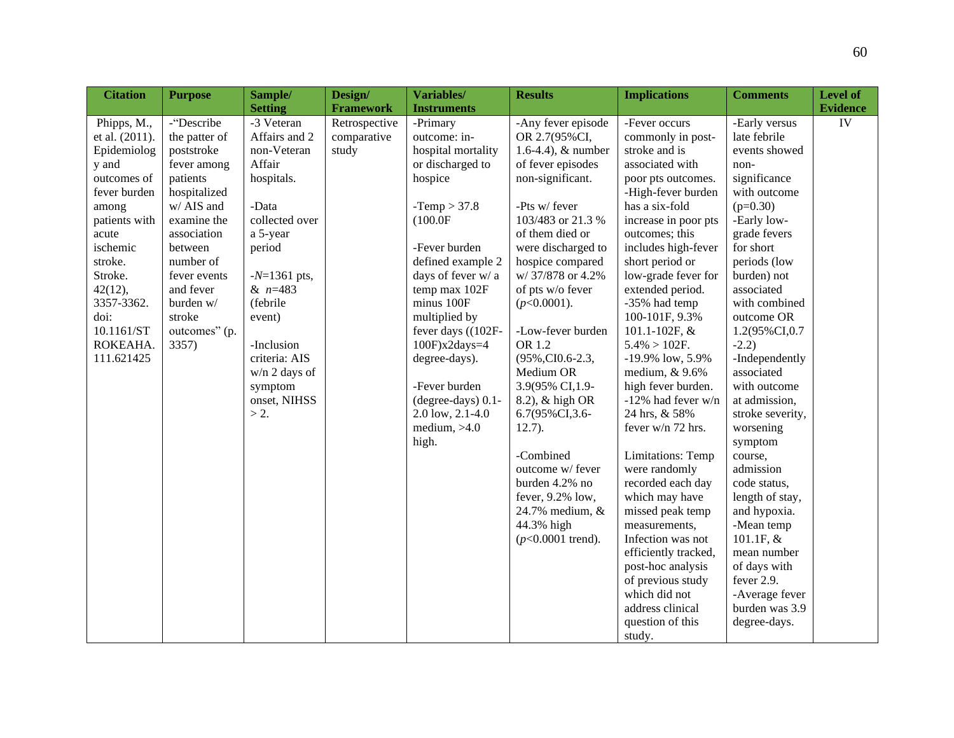| <b>Citation</b> | <b>Purpose</b> | Sample/         | Design/          | Variables/          | <b>Results</b>       | <b>Implications</b>  | <b>Comments</b>  | Level of        |
|-----------------|----------------|-----------------|------------------|---------------------|----------------------|----------------------|------------------|-----------------|
|                 |                | <b>Setting</b>  | <b>Framework</b> | <b>Instruments</b>  |                      |                      |                  | <b>Evidence</b> |
| Phipps, M.,     | -"Describe     | -3 Veteran      | Retrospective    | -Primary            | -Any fever episode   | -Fever occurs        | -Early versus    | IV              |
| et al. (2011).  | the patter of  | Affairs and 2   | comparative      | outcome: in-        | OR 2.7(95%CI,        | commonly in post-    | late febrile     |                 |
| Epidemiolog     | poststroke     | non-Veteran     | study            | hospital mortality  | 1.6-4.4), $&$ number | stroke and is        | events showed    |                 |
| y and           | fever among    | Affair          |                  | or discharged to    | of fever episodes    | associated with      | non-             |                 |
| outcomes of     | patients       | hospitals.      |                  | hospice             | non-significant.     | poor pts outcomes.   | significance     |                 |
| fever burden    | hospitalized   |                 |                  |                     |                      | -High-fever burden   | with outcome     |                 |
| among           | w/ AIS and     | -Data           |                  | $-Temp > 37.8$      | -Pts w/ fever        | has a six-fold       | $(p=0.30)$       |                 |
| patients with   | examine the    | collected over  |                  | (100.0F)            | 103/483 or 21.3 %    | increase in poor pts | -Early low-      |                 |
| acute           | association    | a 5-year        |                  |                     | of them died or      | outcomes; this       | grade fevers     |                 |
| ischemic        | between        | period          |                  | -Fever burden       | were discharged to   | includes high-fever  | for short        |                 |
| stroke.         | number of      |                 |                  | defined example 2   | hospice compared     | short period or      | periods (low     |                 |
| Stroke.         | fever events   | $-N=1361$ pts,  |                  | days of fever w/ a  | w/37/878 or 4.2%     | low-grade fever for  | burden) not      |                 |
| 42(12),         | and fever      | $& n=483$       |                  | temp max 102F       | of pts w/o fever     | extended period.     | associated       |                 |
| 3357-3362.      | burden w/      | (febrile        |                  | minus 100F          | $(p<0.0001)$ .       | -35% had temp        | with combined    |                 |
| doi:            | stroke         | event)          |                  | multiplied by       |                      | 100-101F, 9.3%       | outcome OR       |                 |
| 10.1161/ST      | outcomes" (p.  |                 |                  | fever days ((102F-  | -Low-fever burden    | 101.1-102F, &        | 1.2(95%CI,0.7    |                 |
| ROKEAHA.        | 3357)          | -Inclusion      |                  | $100F$ ) $x2days=4$ | OR 1.2               | $5.4\% > 102F.$      | $-2.2)$          |                 |
| 111.621425      |                | criteria: AIS   |                  | degree-days).       | (95%,CI0.6-2.3,      | -19.9% low, 5.9%     | -Independently   |                 |
|                 |                | $w/n$ 2 days of |                  |                     | Medium OR            | medium, & 9.6%       | associated       |                 |
|                 |                | symptom         |                  | -Fever burden       | 3.9(95% CI,1.9-      | high fever burden.   | with outcome     |                 |
|                 |                | onset, NIHSS    |                  | (degree-days) 0.1-  | 8.2), & high OR      | -12% had fever w/n   | at admission,    |                 |
|                 |                | $> 2$ .         |                  | 2.0 low, 2.1-4.0    | 6.7(95%CI, 3.6-      | 24 hrs, & 58%        | stroke severity, |                 |
|                 |                |                 |                  | medium, $>4.0$      | $12.7$ ).            | fever w/n 72 hrs.    | worsening        |                 |
|                 |                |                 |                  | high.               |                      |                      | symptom          |                 |
|                 |                |                 |                  |                     | -Combined            | Limitations: Temp    | course,          |                 |
|                 |                |                 |                  |                     | outcome w/ fever     | were randomly        | admission        |                 |
|                 |                |                 |                  |                     | burden 4.2% no       | recorded each day    | code status,     |                 |
|                 |                |                 |                  |                     | fever, 9.2% low,     | which may have       | length of stay,  |                 |
|                 |                |                 |                  |                     | 24.7% medium, &      | missed peak temp     | and hypoxia.     |                 |
|                 |                |                 |                  |                     | 44.3% high           | measurements,        | -Mean temp       |                 |
|                 |                |                 |                  |                     | $(p<0.0001$ trend).  | Infection was not    | 101.1F, &        |                 |
|                 |                |                 |                  |                     |                      | efficiently tracked, | mean number      |                 |
|                 |                |                 |                  |                     |                      | post-hoc analysis    | of days with     |                 |
|                 |                |                 |                  |                     |                      | of previous study    | fever 2.9.       |                 |
|                 |                |                 |                  |                     |                      | which did not        | -Average fever   |                 |
|                 |                |                 |                  |                     |                      | address clinical     | burden was 3.9   |                 |
|                 |                |                 |                  |                     |                      | question of this     | degree-days.     |                 |
|                 |                |                 |                  |                     |                      | study.               |                  |                 |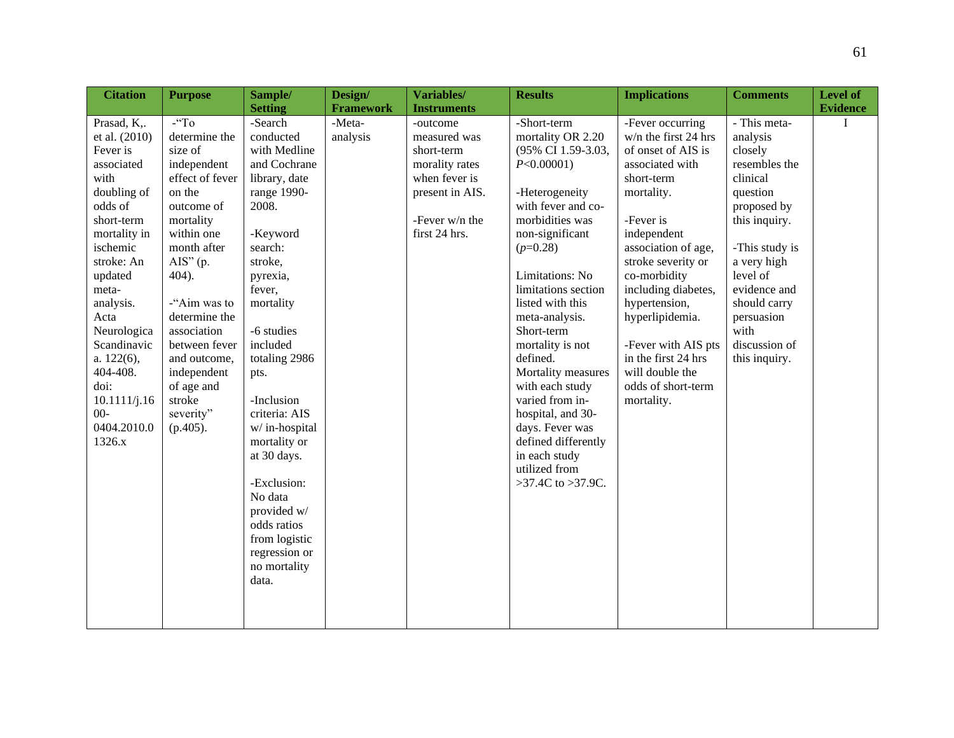| <b>Citation</b>                                                                                                                                                                                                                                                                                             | <b>Purpose</b>                                                                                                                                                                                                                                                                                                                 | Sample/                                                                                                                                                                                                                                                                                                                                                                                                                 | Design/            | Variables/                                                                                                                      | <b>Results</b>                                                                                                                                                                                                                                                                                                                                                                                                                                                                      | <b>Implications</b>                                                                                                                                                                                                                                                                                                                                                    | <b>Comments</b>                                                                                                                                                                                                                                   | <b>Level of</b> |
|-------------------------------------------------------------------------------------------------------------------------------------------------------------------------------------------------------------------------------------------------------------------------------------------------------------|--------------------------------------------------------------------------------------------------------------------------------------------------------------------------------------------------------------------------------------------------------------------------------------------------------------------------------|-------------------------------------------------------------------------------------------------------------------------------------------------------------------------------------------------------------------------------------------------------------------------------------------------------------------------------------------------------------------------------------------------------------------------|--------------------|---------------------------------------------------------------------------------------------------------------------------------|-------------------------------------------------------------------------------------------------------------------------------------------------------------------------------------------------------------------------------------------------------------------------------------------------------------------------------------------------------------------------------------------------------------------------------------------------------------------------------------|------------------------------------------------------------------------------------------------------------------------------------------------------------------------------------------------------------------------------------------------------------------------------------------------------------------------------------------------------------------------|---------------------------------------------------------------------------------------------------------------------------------------------------------------------------------------------------------------------------------------------------|-----------------|
|                                                                                                                                                                                                                                                                                                             |                                                                                                                                                                                                                                                                                                                                | <b>Setting</b>                                                                                                                                                                                                                                                                                                                                                                                                          | <b>Framework</b>   | <b>Instruments</b>                                                                                                              |                                                                                                                                                                                                                                                                                                                                                                                                                                                                                     |                                                                                                                                                                                                                                                                                                                                                                        |                                                                                                                                                                                                                                                   | <b>Evidence</b> |
| Prasad, K,.<br>et al. (2010)<br>Fever is<br>associated<br>with<br>doubling of<br>odds of<br>short-term<br>mortality in<br>ischemic<br>stroke: An<br>updated<br>meta-<br>analysis.<br>Acta<br>Neurologica<br>Scandinavic<br>a. 122(6),<br>404-408.<br>doi:<br>10.1111/j.16<br>$00-$<br>0404.2010.0<br>1326.x | $-$ "To<br>determine the<br>size of<br>independent<br>effect of fever<br>on the<br>outcome of<br>mortality<br>within one<br>month after<br>$\overline{AIS}$ " (p.<br>404).<br>-"Aim was to<br>determine the<br>association<br>between fever<br>and outcome,<br>independent<br>of age and<br>stroke<br>severity"<br>$(p.405)$ . | -Search<br>conducted<br>with Medline<br>and Cochrane<br>library, date<br>range 1990-<br>2008.<br>-Keyword<br>search:<br>stroke,<br>pyrexia,<br>fever,<br>mortality<br>-6 studies<br>included<br>totaling 2986<br>pts.<br>-Inclusion<br>criteria: AIS<br>w/in-hospital<br>mortality or<br>at 30 days.<br>-Exclusion:<br>No data<br>provided w/<br>odds ratios<br>from logistic<br>regression or<br>no mortality<br>data. | -Meta-<br>analysis | -outcome<br>measured was<br>short-term<br>morality rates<br>when fever is<br>present in AIS.<br>-Fever w/n the<br>first 24 hrs. | -Short-term<br>mortality OR 2.20<br>(95% CI 1.59-3.03,<br>$P<0.00001$ )<br>-Heterogeneity<br>with fever and co-<br>morbidities was<br>non-significant<br>$(p=0.28)$<br>Limitations: No<br>limitations section<br>listed with this<br>meta-analysis.<br>Short-term<br>mortality is not<br>defined.<br>Mortality measures<br>with each study<br>varied from in-<br>hospital, and 30-<br>days. Fever was<br>defined differently<br>in each study<br>utilized from<br>>37.4C to >37.9C. | -Fever occurring<br>w/n the first 24 hrs<br>of onset of AIS is<br>associated with<br>short-term<br>mortality.<br>-Fever is<br>independent<br>association of age,<br>stroke severity or<br>co-morbidity<br>including diabetes,<br>hypertension,<br>hyperlipidemia.<br>-Fever with AIS pts<br>in the first 24 hrs<br>will double the<br>odds of short-term<br>mortality. | - This meta-<br>analysis<br>closely<br>resembles the<br>clinical<br>question<br>proposed by<br>this inquiry.<br>-This study is<br>a very high<br>level of<br>evidence and<br>should carry<br>persuasion<br>with<br>discussion of<br>this inquiry. | I               |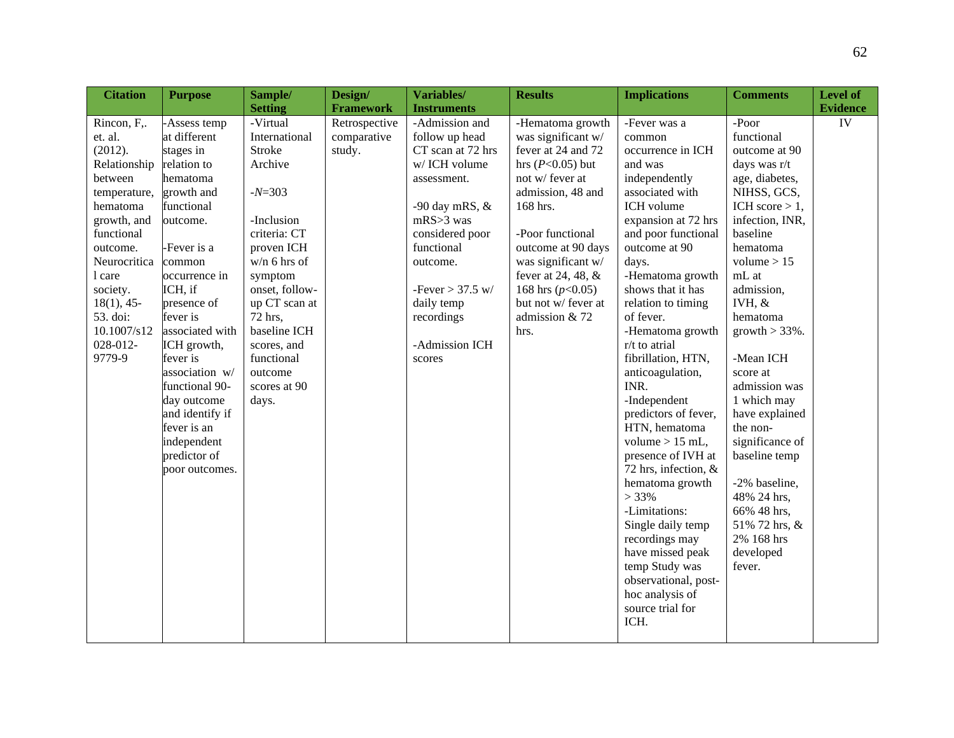| <b>Citation</b> | <b>Purpose</b>  | Sample/        | Design/          | Variables/         | <b>Results</b>      | <b>Implications</b>  | <b>Comments</b>   | <b>Level of</b> |
|-----------------|-----------------|----------------|------------------|--------------------|---------------------|----------------------|-------------------|-----------------|
|                 |                 | <b>Setting</b> | <b>Framework</b> | <b>Instruments</b> |                     |                      |                   | <b>Evidence</b> |
| Rincon, F,.     | -Assess temp    | -Virtual       | Retrospective    | -Admission and     | -Hematoma growth    | -Fever was a         | -Poor             | IV              |
| et. al.         | at different    | International  | comparative      | follow up head     | was significant w/  | common               | functional        |                 |
| (2012).         | stages in       | Stroke         | study.           | CT scan at 72 hrs  | fever at 24 and 72  | occurrence in ICH    | outcome at 90     |                 |
| Relationship    | relation to     | Archive        |                  | w/ICH volume       | hrs $(P<0.05)$ but  | and was              | days was r/t      |                 |
| between         | hematoma        |                |                  | assessment.        | not w/ fever at     | independently        | age, diabetes,    |                 |
| temperature,    | growth and      | $-N=303$       |                  |                    | admission, 48 and   | associated with      | NIHSS, GCS,       |                 |
| hematoma        | functional      |                |                  | -90 day mRS, $&$   | 168 hrs.            | ICH volume           | ICH score $> 1$ , |                 |
| growth, and     | outcome.        | -Inclusion     |                  | $mRS > 3$ was      |                     | expansion at 72 hrs  | infection, INR,   |                 |
| functional      |                 | criteria: CT   |                  | considered poor    | -Poor functional    | and poor functional  | baseline          |                 |
| outcome.        | -Fever is a     | proven ICH     |                  | functional         | outcome at 90 days  | outcome at 90        | hematoma          |                 |
| Neurocritica    | common          | $w/n$ 6 hrs of |                  | outcome.           | was significant w/  | days.                | volume $> 15$     |                 |
| 1 care          | occurrence in   | symptom        |                  |                    | fever at 24, 48, &  | -Hematoma growth     | mL at             |                 |
| society.        | ICH, if         | onset, follow- |                  | -Fever $> 37.5$ w/ | 168 hrs $(p<0.05)$  | shows that it has    | admission,        |                 |
| $18(1)$ , 45-   | presence of     | up CT scan at  |                  | daily temp         | but not w/ fever at | relation to timing   | IVH, $&$          |                 |
| 53. doi:        | fever is        | 72 hrs,        |                  | recordings         | admission & 72      | of fever.            | hematoma          |                 |
| 10.1007/s12     | associated with | baseline ICH   |                  |                    | hrs.                | -Hematoma growth     | $growth > 33\%$ . |                 |
| 028-012-        | ICH growth,     | scores, and    |                  | -Admission ICH     |                     | r/t to atrial        |                   |                 |
| 9779-9          | fever is        | functional     |                  | scores             |                     | fibrillation, HTN,   | -Mean ICH         |                 |
|                 | association w/  | outcome        |                  |                    |                     | anticoagulation,     | score at          |                 |
|                 | functional 90-  | scores at 90   |                  |                    |                     | INR.                 | admission was     |                 |
|                 | day outcome     | days.          |                  |                    |                     | -Independent         | 1 which may       |                 |
|                 | and identify if |                |                  |                    |                     | predictors of fever, | have explained    |                 |
|                 | fever is an     |                |                  |                    |                     | HTN, hematoma        | the non-          |                 |
|                 | independent     |                |                  |                    |                     | volume $> 15$ mL,    | significance of   |                 |
|                 | predictor of    |                |                  |                    |                     | presence of IVH at   | baseline temp     |                 |
|                 | poor outcomes.  |                |                  |                    |                     | 72 hrs, infection, & |                   |                 |
|                 |                 |                |                  |                    |                     | hematoma growth      | -2% baseline,     |                 |
|                 |                 |                |                  |                    |                     | $> 33\%$             | 48% 24 hrs,       |                 |
|                 |                 |                |                  |                    |                     | -Limitations:        | 66% 48 hrs,       |                 |
|                 |                 |                |                  |                    |                     | Single daily temp    | 51% 72 hrs, &     |                 |
|                 |                 |                |                  |                    |                     | recordings may       | 2% 168 hrs        |                 |
|                 |                 |                |                  |                    |                     | have missed peak     | developed         |                 |
|                 |                 |                |                  |                    |                     | temp Study was       | fever.            |                 |
|                 |                 |                |                  |                    |                     | observational, post- |                   |                 |
|                 |                 |                |                  |                    |                     | hoc analysis of      |                   |                 |
|                 |                 |                |                  |                    |                     | source trial for     |                   |                 |
|                 |                 |                |                  |                    |                     | ICH.                 |                   |                 |
|                 |                 |                |                  |                    |                     |                      |                   |                 |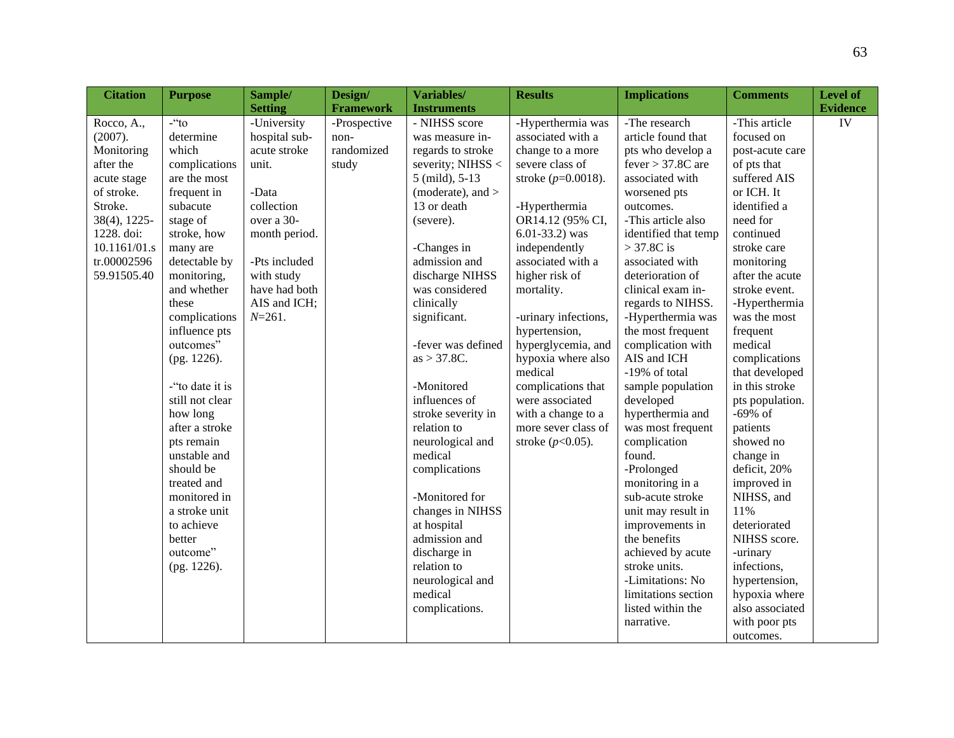| <b>Citation</b> | <b>Purpose</b>  | Sample/        | Design/          | Variables/          | <b>Results</b>        | <b>Implications</b>  | <b>Comments</b> | Level of        |
|-----------------|-----------------|----------------|------------------|---------------------|-----------------------|----------------------|-----------------|-----------------|
|                 |                 | <b>Setting</b> | <b>Framework</b> | <b>Instruments</b>  |                       |                      |                 | <b>Evidence</b> |
| Rocco, A.,      | $-$ "to         | -University    | -Prospective     | - NIHSS score       | -Hyperthermia was     | -The research        | -This article   | IV              |
| (2007).         | determine       | hospital sub-  | non-             | was measure in-     | associated with a     | article found that   | focused on      |                 |
| Monitoring      | which           | acute stroke   | randomized       | regards to stroke   | change to a more      | pts who develop a    | post-acute care |                 |
| after the       | complications   | unit.          | study            | severity; NIHSS <   | severe class of       | $fever > 37.8C$ are  | of pts that     |                 |
| acute stage     | are the most    |                |                  | 5 (mild), 5-13      | stroke $(p=0.0018)$ . | associated with      | suffered AIS    |                 |
| of stroke.      | frequent in     | -Data          |                  | (moderate), and $>$ |                       | worsened pts         | or ICH. It      |                 |
| Stroke.         | subacute        | collection     |                  | 13 or death         | -Hyperthermia         | outcomes.            | identified a    |                 |
| 38(4), 1225-    | stage of        | over a 30-     |                  | (severe).           | OR14.12 (95% CI,      | -This article also   | need for        |                 |
| 1228. doi:      | stroke, how     | month period.  |                  |                     | $6.01 - 33.2$ ) was   | identified that temp | continued       |                 |
| 10.1161/01.s    | many are        |                |                  | -Changes in         | independently         | $>$ 37.8C is         | stroke care     |                 |
| tr.00002596     | detectable by   | -Pts included  |                  | admission and       | associated with a     | associated with      | monitoring      |                 |
| 59.91505.40     | monitoring,     | with study     |                  | discharge NIHSS     | higher risk of        | deterioration of     | after the acute |                 |
|                 | and whether     | have had both  |                  | was considered      | mortality.            | clinical exam in-    | stroke event.   |                 |
|                 | these           | AIS and ICH;   |                  | clinically          |                       | regards to NIHSS.    | -Hyperthermia   |                 |
|                 | complications   | $N = 261.$     |                  | significant.        | -urinary infections,  | -Hyperthermia was    | was the most    |                 |
|                 | influence pts   |                |                  |                     | hypertension,         | the most frequent    | frequent        |                 |
|                 | outcomes"       |                |                  | -fever was defined  | hyperglycemia, and    | complication with    | medical         |                 |
|                 | (pg. 1226).     |                |                  | $as > 37.8C$ .      | hypoxia where also    | AIS and ICH          | complications   |                 |
|                 |                 |                |                  |                     | medical               | -19% of total        | that developed  |                 |
|                 | -"to date it is |                |                  | -Monitored          | complications that    | sample population    | in this stroke  |                 |
|                 | still not clear |                |                  | influences of       | were associated       | developed            | pts population. |                 |
|                 | how long        |                |                  | stroke severity in  | with a change to a    | hyperthermia and     | $-69\%$ of      |                 |
|                 | after a stroke  |                |                  | relation to         | more sever class of   | was most frequent    | patients        |                 |
|                 | pts remain      |                |                  | neurological and    | stroke $(p<0.05)$ .   | complication         | showed no       |                 |
|                 | unstable and    |                |                  | medical             |                       | found.               | change in       |                 |
|                 | should be       |                |                  | complications       |                       | -Prolonged           | deficit, 20%    |                 |
|                 | treated and     |                |                  |                     |                       | monitoring in a      | improved in     |                 |
|                 | monitored in    |                |                  | -Monitored for      |                       | sub-acute stroke     | NIHSS, and      |                 |
|                 | a stroke unit   |                |                  | changes in NIHSS    |                       | unit may result in   | 11%             |                 |
|                 | to achieve      |                |                  | at hospital         |                       | improvements in      | deteriorated    |                 |
|                 | better          |                |                  | admission and       |                       | the benefits         | NIHSS score.    |                 |
|                 | outcome"        |                |                  | discharge in        |                       | achieved by acute    | -urinary        |                 |
|                 | (pg. 1226).     |                |                  | relation to         |                       | stroke units.        | infections,     |                 |
|                 |                 |                |                  | neurological and    |                       | -Limitations: No     | hypertension,   |                 |
|                 |                 |                |                  | medical             |                       | limitations section  | hypoxia where   |                 |
|                 |                 |                |                  | complications.      |                       | listed within the    | also associated |                 |
|                 |                 |                |                  |                     |                       | narrative.           | with poor pts   |                 |
|                 |                 |                |                  |                     |                       |                      | outcomes.       |                 |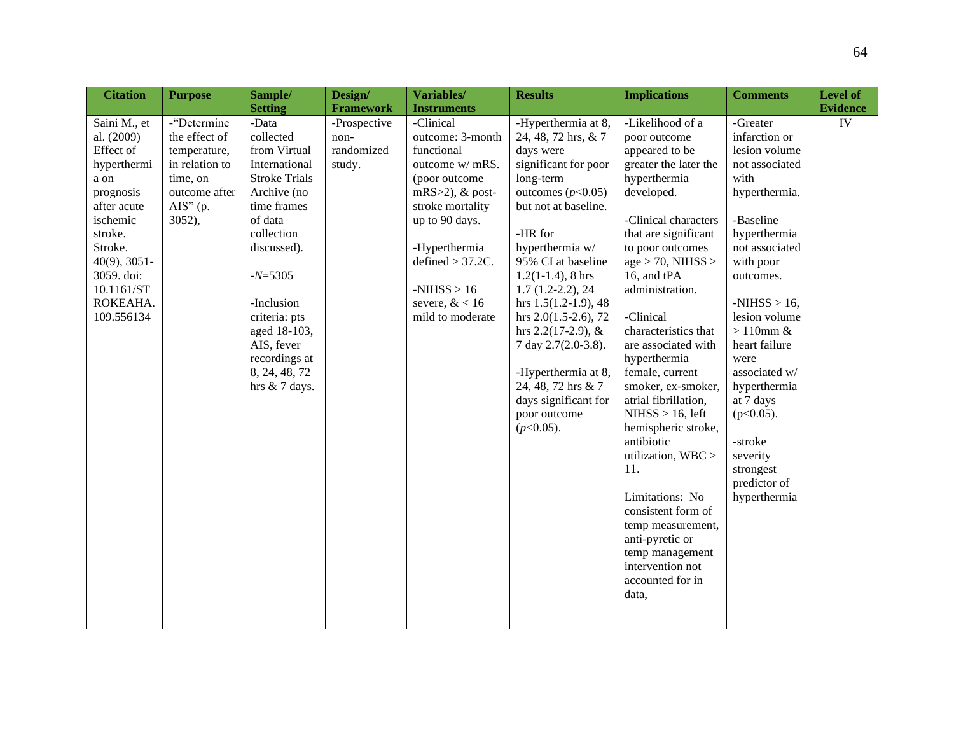| <b>Citation</b>                                                                                                                                                                                       | <b>Purpose</b>                                                                                                                 | Sample/                                                                                                                                                                                                                                                                        | Design/                                      | Variables/                                                                                                                                                                                                                                   | <b>Results</b>                                                                                                                                                                                                                                                                                                                                                                                                                                           | <b>Implications</b>                                                                                                                                                                                                                                                                                                                                                                                                                                                                                                                                                                                                                | <b>Comments</b>                                                                                                                                                                                                                                                                                                                                                              | Level of        |
|-------------------------------------------------------------------------------------------------------------------------------------------------------------------------------------------------------|--------------------------------------------------------------------------------------------------------------------------------|--------------------------------------------------------------------------------------------------------------------------------------------------------------------------------------------------------------------------------------------------------------------------------|----------------------------------------------|----------------------------------------------------------------------------------------------------------------------------------------------------------------------------------------------------------------------------------------------|----------------------------------------------------------------------------------------------------------------------------------------------------------------------------------------------------------------------------------------------------------------------------------------------------------------------------------------------------------------------------------------------------------------------------------------------------------|------------------------------------------------------------------------------------------------------------------------------------------------------------------------------------------------------------------------------------------------------------------------------------------------------------------------------------------------------------------------------------------------------------------------------------------------------------------------------------------------------------------------------------------------------------------------------------------------------------------------------------|------------------------------------------------------------------------------------------------------------------------------------------------------------------------------------------------------------------------------------------------------------------------------------------------------------------------------------------------------------------------------|-----------------|
|                                                                                                                                                                                                       |                                                                                                                                | <b>Setting</b>                                                                                                                                                                                                                                                                 | <b>Framework</b>                             | <b>Instruments</b>                                                                                                                                                                                                                           |                                                                                                                                                                                                                                                                                                                                                                                                                                                          |                                                                                                                                                                                                                                                                                                                                                                                                                                                                                                                                                                                                                                    |                                                                                                                                                                                                                                                                                                                                                                              | <b>Evidence</b> |
| Saini M., et<br>al. (2009)<br>Effect of<br>hyperthermi<br>a on<br>prognosis<br>after acute<br>ischemic<br>stroke.<br>Stroke.<br>$40(9)$ , 3051-<br>3059. doi:<br>10.1161/ST<br>ROKEAHA.<br>109.556134 | -"Determine<br>the effect of<br>temperature,<br>in relation to<br>time, on<br>outcome after<br>$\overline{AIS}$ " (p.<br>3052, | -Data<br>collected<br>from Virtual<br>International<br><b>Stroke Trials</b><br>Archive (no<br>time frames<br>of data<br>collection<br>discussed).<br>$-N=5305$<br>-Inclusion<br>criteria: pts<br>aged 18-103,<br>AIS, fever<br>recordings at<br>8, 24, 48, 72<br>hrs & 7 days. | -Prospective<br>non-<br>randomized<br>study. | -Clinical<br>outcome: 3-month<br>functional<br>outcome w/ mRS.<br>(poor outcome<br>$mRS > 2$ ), & post-<br>stroke mortality<br>up to 90 days.<br>-Hyperthermia<br>defined $> 37.2C$ .<br>$-NIHSS > 16$<br>severe, $< 16$<br>mild to moderate | -Hyperthermia at 8,<br>24, 48, 72 hrs, & 7<br>days were<br>significant for poor<br>long-term<br>outcomes $(p<0.05)$<br>but not at baseline.<br>-HR for<br>hyperthermia w/<br>95% CI at baseline<br>$1.2(1-1.4)$ , 8 hrs<br>$1.7(1.2-2.2), 24$<br>hrs $1.5(1.2-1.9)$ , 48<br>hrs $2.0(1.5-2.6)$ , 72<br>hrs $2.2(17-2.9)$ , &<br>7 day 2.7(2.0-3.8).<br>-Hyperthermia at 8,<br>24, 48, 72 hrs & 7<br>days significant for<br>poor outcome<br>$(p<0.05)$ . | -Likelihood of a<br>poor outcome<br>appeared to be<br>greater the later the<br>hyperthermia<br>developed.<br>-Clinical characters<br>that are significant<br>to poor outcomes<br>$age > 70$ , NIHSS ><br>16, and tPA<br>administration.<br>-Clinical<br>characteristics that<br>are associated with<br>hyperthermia<br>female, current<br>smoker, ex-smoker,<br>atrial fibrillation,<br>$NIHSS > 16$ , left<br>hemispheric stroke,<br>antibiotic<br>utilization, WBC ><br>11.<br>Limitations: No<br>consistent form of<br>temp measurement,<br>anti-pyretic or<br>temp management<br>intervention not<br>accounted for in<br>data, | -Greater<br>infarction or<br>lesion volume<br>not associated<br>with<br>hyperthermia.<br>-Baseline<br>hyperthermia<br>not associated<br>with poor<br>outcomes.<br>$-NIHSS > 16$ ,<br>lesion volume<br>$>110$ mm &<br>heart failure<br>were<br>associated w/<br>hyperthermia<br>at 7 days<br>$(p<0.05)$ .<br>-stroke<br>severity<br>strongest<br>predictor of<br>hyperthermia | ${\rm IV}$      |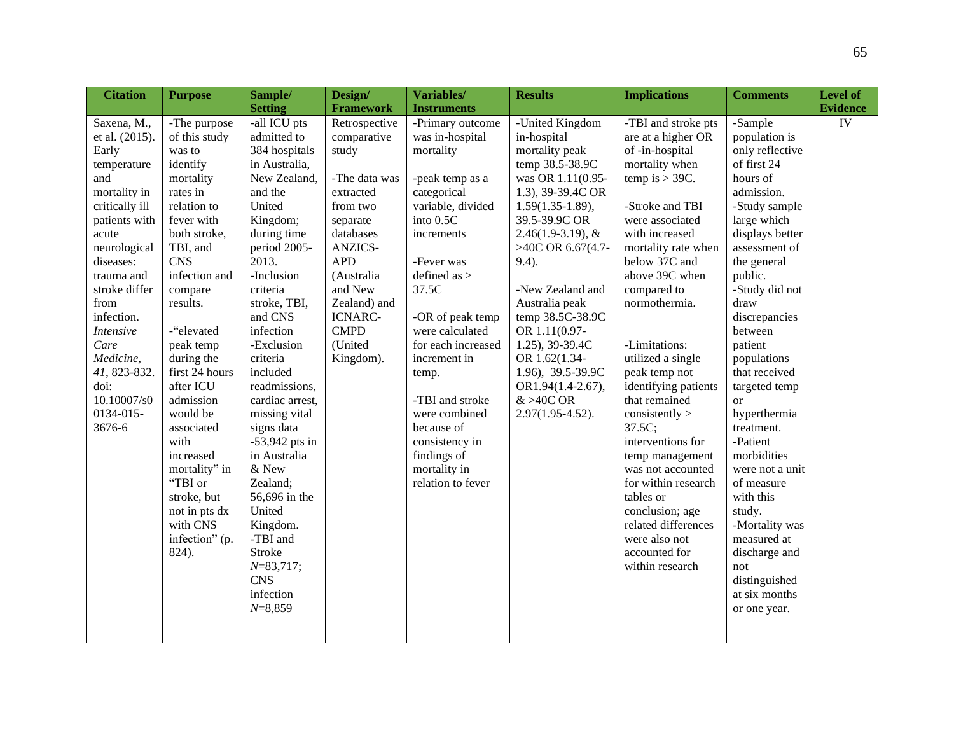| <b>Citation</b>                                                                                                                                                                                                                                                                                                   | <b>Purpose</b>                                                                                                                                                                                                                                                                                                                                                                                                                     | Sample/                                                                                                                                                                                                                                                                                                                                                                                                                                                                                                                | Design/                                                                                                                                                                                                                                                        | Variables/                                                                                                                                                                                                                                                                                                                                                                                                      | <b>Results</b>                                                                                                                                                                                                                                                                                                                                                                                                | <b>Implications</b>                                                                                                                                                                                                                                                                                                                                                                                                                                                                                                                                                            | <b>Comments</b>                                                                                                                                                                                                                                                                                                                                                                                                                                                                                                              | <b>Level of</b>       |
|-------------------------------------------------------------------------------------------------------------------------------------------------------------------------------------------------------------------------------------------------------------------------------------------------------------------|------------------------------------------------------------------------------------------------------------------------------------------------------------------------------------------------------------------------------------------------------------------------------------------------------------------------------------------------------------------------------------------------------------------------------------|------------------------------------------------------------------------------------------------------------------------------------------------------------------------------------------------------------------------------------------------------------------------------------------------------------------------------------------------------------------------------------------------------------------------------------------------------------------------------------------------------------------------|----------------------------------------------------------------------------------------------------------------------------------------------------------------------------------------------------------------------------------------------------------------|-----------------------------------------------------------------------------------------------------------------------------------------------------------------------------------------------------------------------------------------------------------------------------------------------------------------------------------------------------------------------------------------------------------------|---------------------------------------------------------------------------------------------------------------------------------------------------------------------------------------------------------------------------------------------------------------------------------------------------------------------------------------------------------------------------------------------------------------|--------------------------------------------------------------------------------------------------------------------------------------------------------------------------------------------------------------------------------------------------------------------------------------------------------------------------------------------------------------------------------------------------------------------------------------------------------------------------------------------------------------------------------------------------------------------------------|------------------------------------------------------------------------------------------------------------------------------------------------------------------------------------------------------------------------------------------------------------------------------------------------------------------------------------------------------------------------------------------------------------------------------------------------------------------------------------------------------------------------------|-----------------------|
|                                                                                                                                                                                                                                                                                                                   |                                                                                                                                                                                                                                                                                                                                                                                                                                    |                                                                                                                                                                                                                                                                                                                                                                                                                                                                                                                        |                                                                                                                                                                                                                                                                |                                                                                                                                                                                                                                                                                                                                                                                                                 |                                                                                                                                                                                                                                                                                                                                                                                                               |                                                                                                                                                                                                                                                                                                                                                                                                                                                                                                                                                                                |                                                                                                                                                                                                                                                                                                                                                                                                                                                                                                                              |                       |
| Saxena, M.,<br>et al. (2015).<br>Early<br>temperature<br>and<br>mortality in<br>critically ill<br>patients with<br>acute<br>neurological<br>diseases:<br>trauma and<br>stroke differ<br>from<br>infection.<br><b>Intensive</b><br>Care<br>Medicine,<br>41, 823-832.<br>doi:<br>10.10007/s0<br>0134-015-<br>3676-6 | -The purpose<br>of this study<br>was to<br>identify<br>mortality<br>rates in<br>relation to<br>fever with<br>both stroke,<br>TBI, and<br><b>CNS</b><br>infection and<br>compare<br>results.<br>-"elevated<br>peak temp<br>during the<br>first 24 hours<br>after ICU<br>admission<br>would be<br>associated<br>with<br>increased<br>mortality" in<br>"TBI or<br>stroke, but<br>not in pts dx<br>with CNS<br>infection" (p.<br>824). | <b>Setting</b><br>-all ICU pts<br>admitted to<br>384 hospitals<br>in Australia,<br>New Zealand,<br>and the<br>United<br>Kingdom;<br>during time<br>period 2005-<br>2013.<br>-Inclusion<br>criteria<br>stroke, TBI,<br>and CNS<br>infection<br>-Exclusion<br>criteria<br>included<br>readmissions,<br>cardiac arrest,<br>missing vital<br>signs data<br>$-53,942$ pts in<br>in Australia<br>$\&$ New<br>Zealand;<br>56,696 in the<br>United<br>Kingdom.<br>-TBI and<br>Stroke<br>$N=83,717;$<br><b>CNS</b><br>infection | <b>Framework</b><br>Retrospective<br>comparative<br>study<br>-The data was<br>extracted<br>from two<br>separate<br>databases<br><b>ANZICS-</b><br><b>APD</b><br>(Australia<br>and New<br>Zealand) and<br><b>ICNARC-</b><br><b>CMPD</b><br>(United<br>Kingdom). | <b>Instruments</b><br>-Primary outcome<br>was in-hospital<br>mortality<br>-peak temp as a<br>categorical<br>variable, divided<br>into 0.5C<br>increments<br>-Fever was<br>defined as $>$<br>37.5C<br>-OR of peak temp<br>were calculated<br>for each increased<br>increment in<br>temp.<br>-TBI and stroke<br>were combined<br>because of<br>consistency in<br>findings of<br>mortality in<br>relation to fever | -United Kingdom<br>in-hospital<br>mortality peak<br>temp 38.5-38.9C<br>was OR 1.11(0.95-<br>1.3), 39-39.4C OR<br>$1.59(1.35-1.89),$<br>39.5-39.9C OR<br>$2.46(1.9-3.19), \&$<br>>40C OR 6.67(4.7-<br>$9.4$ ).<br>-New Zealand and<br>Australia peak<br>temp 38.5C-38.9C<br>OR 1.11(0.97-<br>1.25), 39-39.4C<br>OR 1.62(1.34-<br>1.96), 39.5-39.9C<br>OR1.94(1.4-2.67),<br>$&>40C$ OR<br>$2.97(1.95 - 4.52)$ . | -TBI and stroke pts<br>are at a higher OR<br>of -in-hospital<br>mortality when<br>temp is $>$ 39C.<br>-Stroke and TBI<br>were associated<br>with increased<br>mortality rate when<br>below 37C and<br>above 39C when<br>compared to<br>normothermia.<br>-Limitations:<br>utilized a single<br>peak temp not<br>identifying patients<br>that remained<br>consistently<br>37.5C;<br>interventions for<br>temp management<br>was not accounted<br>for within research<br>tables or<br>conclusion; age<br>related differences<br>were also not<br>accounted for<br>within research | -Sample<br>population is<br>only reflective<br>of first 24<br>hours of<br>admission.<br>-Study sample<br>large which<br>displays better<br>assessment of<br>the general<br>public.<br>-Study did not<br>draw<br>discrepancies<br>between<br>patient<br>populations<br>that received<br>targeted temp<br>$\alpha$<br>hyperthermia<br>treatment.<br>-Patient<br>morbidities<br>were not a unit<br>of measure<br>with this<br>study.<br>-Mortality was<br>measured at<br>discharge and<br>not<br>distinguished<br>at six months | <b>Evidence</b><br>IV |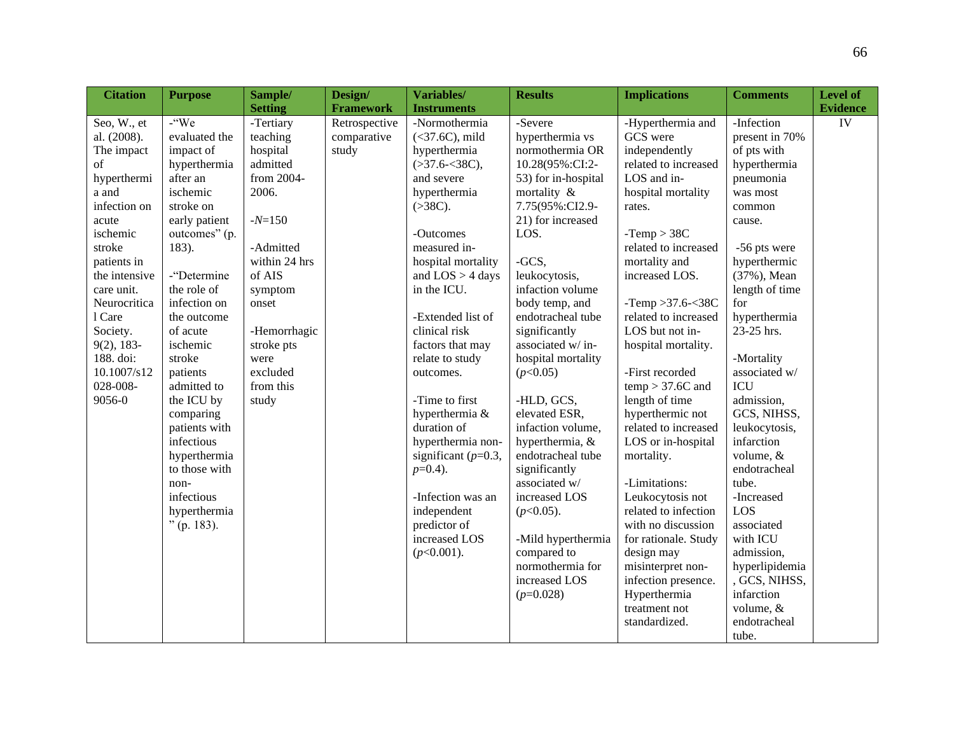| <b>Citation</b> | <b>Purpose</b> | Sample/        | Design/          | Variables/              | <b>Results</b>      | <b>Implications</b>  | <b>Comments</b> | <b>Level of</b> |
|-----------------|----------------|----------------|------------------|-------------------------|---------------------|----------------------|-----------------|-----------------|
|                 |                | <b>Setting</b> | <b>Framework</b> | <b>Instruments</b>      |                     |                      |                 | Evidence        |
| Seo, W., et     | -"We           | -Tertiary      | Retrospective    | -Normothermia           | -Severe             | -Hyperthermia and    | -Infection      | IV              |
| al. (2008).     | evaluated the  | teaching       | comparative      | $(37.6C)$ , mild        | hyperthermia vs     | GCS were             | present in 70%  |                 |
| The impact      | impact of      | hospital       | study            | hyperthermia            | normothermia OR     | independently        | of pts with     |                 |
| of              | hyperthermia   | admitted       |                  | ( > 37.6 < 38C),        | 10.28(95%:CI:2-     | related to increased | hyperthermia    |                 |
| hyperthermi     | after an       | from 2004-     |                  | and severe              | 53) for in-hospital | LOS and in-          | pneumonia       |                 |
| a and           | ischemic       | 2006.          |                  | hyperthermia            | mortality &         | hospital mortality   | was most        |                 |
| infection on    | stroke on      |                |                  | ( >38C).                | 7.75(95%:CI2.9-     | rates.               | common          |                 |
| acute           | early patient  | $-N=150$       |                  |                         | 21) for increased   |                      | cause.          |                 |
| ischemic        | outcomes" (p.  |                |                  | -Outcomes               | LOS.                | $-Temp > 38C$        |                 |                 |
| stroke          | 183).          | -Admitted      |                  | measured in-            |                     | related to increased | -56 pts were    |                 |
| patients in     |                | within 24 hrs  |                  | hospital mortality      | -GCS,               | mortality and        | hyperthermic    |                 |
| the intensive   | -"Determine    | of AIS         |                  | and $LOS > 4$ days      | leukocytosis,       | increased LOS.       | (37%), Mean     |                 |
| care unit.      | the role of    | symptom        |                  | in the ICU.             | infaction volume    |                      | length of time  |                 |
| Neurocritica    | infection on   | onset          |                  |                         | body temp, and      | -Temp > 37.6 - $38C$ | for             |                 |
| 1 Care          | the outcome    |                |                  | -Extended list of       | endotracheal tube   | related to increased | hyperthermia    |                 |
| Society.        | of acute       | -Hemorrhagic   |                  | clinical risk           | significantly       | LOS but not in-      | 23-25 hrs.      |                 |
| $9(2)$ , 183-   | ischemic       | stroke pts     |                  | factors that may        | associated w/in-    | hospital mortality.  |                 |                 |
| 188. doi:       | stroke         | were           |                  | relate to study         | hospital mortality  |                      | -Mortality      |                 |
| 10.1007/s12     | patients       | excluded       |                  | outcomes.               | (p<0.05)            | -First recorded      | associated w/   |                 |
| 028-008-        | admitted to    | from this      |                  |                         |                     | $temp > 37.6C$ and   | <b>ICU</b>      |                 |
| 9056-0          | the ICU by     | study          |                  | -Time to first          | -HLD, GCS,          | length of time       | admission,      |                 |
|                 | comparing      |                |                  | hyperthermia &          | elevated ESR,       | hyperthermic not     | GCS, NIHSS,     |                 |
|                 | patients with  |                |                  | duration of             | infaction volume,   | related to increased | leukocytosis,   |                 |
|                 | infectious     |                |                  | hyperthermia non-       | hyperthermia, &     | LOS or in-hospital   | infarction      |                 |
|                 | hyperthermia   |                |                  | significant ( $p=0.3$ , | endotracheal tube   | mortality.           | volume, &       |                 |
|                 | to those with  |                |                  | $p=0.4$ ).              | significantly       |                      | endotracheal    |                 |
|                 | non-           |                |                  |                         | associated w/       | -Limitations:        | tube.           |                 |
|                 | infectious     |                |                  | -Infection was an       | increased LOS       | Leukocytosis not     | -Increased      |                 |
|                 | hyperthermia   |                |                  | independent             | $(p<0.05)$ .        | related to infection | LOS             |                 |
|                 | $"$ (p. 183).  |                |                  | predictor of            |                     | with no discussion   | associated      |                 |
|                 |                |                |                  | increased LOS           | -Mild hyperthermia  | for rationale. Study | with ICU        |                 |
|                 |                |                |                  | $(p<0.001)$ .           | compared to         | design may           | admission,      |                 |
|                 |                |                |                  |                         | normothermia for    | misinterpret non-    | hyperlipidemia  |                 |
|                 |                |                |                  |                         | increased LOS       | infection presence.  | , GCS, NIHSS,   |                 |
|                 |                |                |                  |                         | $(p=0.028)$         | Hyperthermia         | infarction      |                 |
|                 |                |                |                  |                         |                     | treatment not        | volume, &       |                 |
|                 |                |                |                  |                         |                     | standardized.        | endotracheal    |                 |
|                 |                |                |                  |                         |                     |                      | tube.           |                 |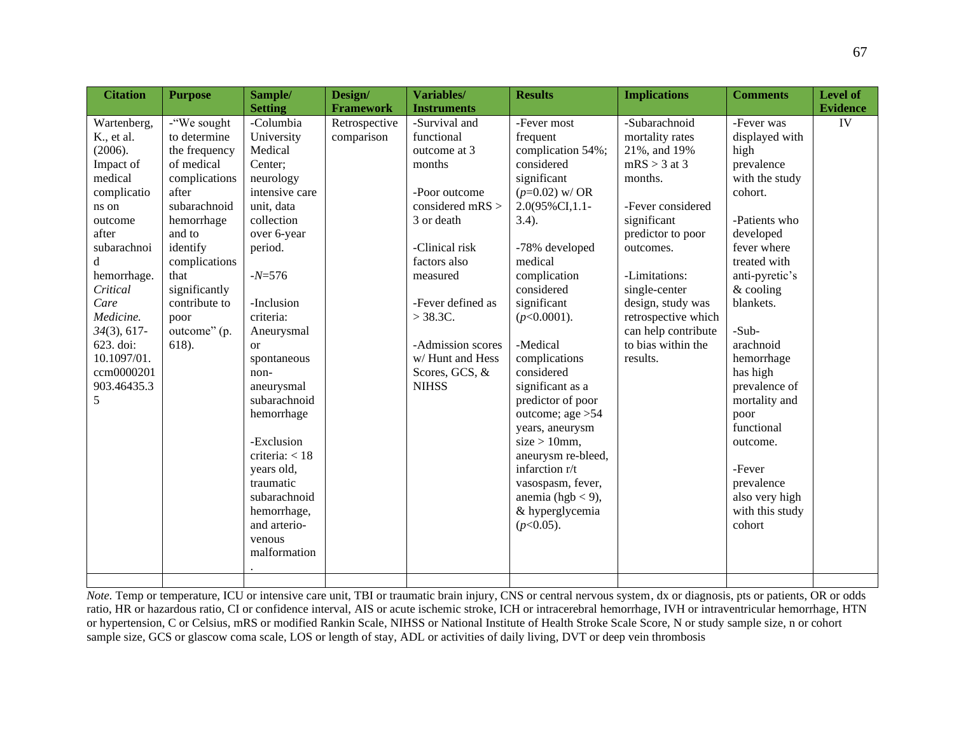| <b>Citation</b> | <b>Purpose</b> | Sample/        | Design/          | Variables/         | <b>Results</b>     | <b>Implications</b> | <b>Comments</b> | Level of        |
|-----------------|----------------|----------------|------------------|--------------------|--------------------|---------------------|-----------------|-----------------|
|                 |                | <b>Setting</b> | <b>Framework</b> | <b>Instruments</b> |                    |                     |                 | <b>Evidence</b> |
| Wartenberg,     | -"We sought    | -Columbia      | Retrospective    | -Survival and      | -Fever most        | -Subarachnoid       | -Fever was      | IV              |
| K., et al.      | to determine   | University     | comparison       | functional         | frequent           | mortality rates     | displayed with  |                 |
| (2006).         | the frequency  | Medical        |                  | outcome at 3       | complication 54%;  | 21%, and 19%        | high            |                 |
| Impact of       | of medical     | Center;        |                  | months             | considered         | $mRS > 3$ at 3      | prevalence      |                 |
| medical         | complications  | neurology      |                  |                    | significant        | months.             | with the study  |                 |
| complicatio     | after          | intensive care |                  | -Poor outcome      | $(p=0.02)$ w/ OR   |                     | cohort.         |                 |
| ns on           | subarachnoid   | unit, data     |                  | considered mRS $>$ | 2.0(95%CI,1.1-     | -Fever considered   |                 |                 |
| outcome         | hemorrhage     | collection     |                  | 3 or death         | $3.4$ ).           | significant         | -Patients who   |                 |
| after           | and to         | over 6-year    |                  |                    |                    | predictor to poor   | developed       |                 |
| subarachnoi     | identify       | period.        |                  | -Clinical risk     | -78% developed     | outcomes.           | fever where     |                 |
| d               | complications  |                |                  | factors also       | medical            |                     | treated with    |                 |
| hemorrhage.     | that           | $-N=576$       |                  | measured           | complication       | -Limitations:       | anti-pyretic's  |                 |
| Critical        | significantly  |                |                  |                    | considered         | single-center       | $&$ cooling     |                 |
| Care            | contribute to  | -Inclusion     |                  | -Fever defined as  | significant        | design, study was   | blankets.       |                 |
| Medicine.       | poor           | criteria:      |                  | $>$ 38.3C.         | $(p<0.0001)$ .     | retrospective which |                 |                 |
| $34(3), 617-$   | outcome" (p.   | Aneurysmal     |                  |                    |                    | can help contribute | -Sub-           |                 |
| 623. doi:       | 618).          | <sub>or</sub>  |                  | -Admission scores  | -Medical           | to bias within the  | arachnoid       |                 |
| 10.1097/01.     |                | spontaneous    |                  | w/Hunt and Hess    | complications      | results.            | hemorrhage      |                 |
| ccm0000201      |                | non-           |                  | Scores, GCS, &     | considered         |                     | has high        |                 |
| 903.46435.3     |                | aneurysmal     |                  | <b>NIHSS</b>       | significant as a   |                     | prevalence of   |                 |
| 5               |                | subarachnoid   |                  |                    | predictor of poor  |                     | mortality and   |                 |
|                 |                | hemorrhage     |                  |                    | outcome; age $>54$ |                     | poor            |                 |
|                 |                |                |                  |                    | years, aneurysm    |                     | functional      |                 |
|                 |                | -Exclusion     |                  |                    | $size > 10$ mm,    |                     | outcome.        |                 |
|                 |                | criteria: < 18 |                  |                    | aneurysm re-bleed, |                     |                 |                 |
|                 |                | years old,     |                  |                    | infarction r/t     |                     | -Fever          |                 |
|                 |                | traumatic      |                  |                    | vasospasm, fever,  |                     | prevalence      |                 |
|                 |                | subarachnoid   |                  |                    | anemia (hgb < 9),  |                     | also very high  |                 |
|                 |                | hemorrhage,    |                  |                    | & hyperglycemia    |                     | with this study |                 |
|                 |                | and arterio-   |                  |                    | $(p<0.05)$ .       |                     | cohort          |                 |
|                 |                | venous         |                  |                    |                    |                     |                 |                 |
|                 |                | malformation   |                  |                    |                    |                     |                 |                 |
|                 |                |                |                  |                    |                    |                     |                 |                 |
|                 |                |                |                  |                    |                    |                     |                 |                 |

*Note.* Temp or temperature, ICU or intensive care unit, TBI or traumatic brain injury, CNS or central nervous system, dx or diagnosis, pts or patients, OR or odds ratio, HR or hazardous ratio, CI or confidence interval, AIS or acute ischemic stroke, ICH or intracerebral hemorrhage, IVH or intraventricular hemorrhage, HTN or hypertension, C or Celsius, mRS or modified Rankin Scale, NIHSS or National Institute of Health Stroke Scale Score, N or study sample size, n or cohort sample size, GCS or glascow coma scale, LOS or length of stay, ADL or activities of daily living, DVT or deep vein thrombosis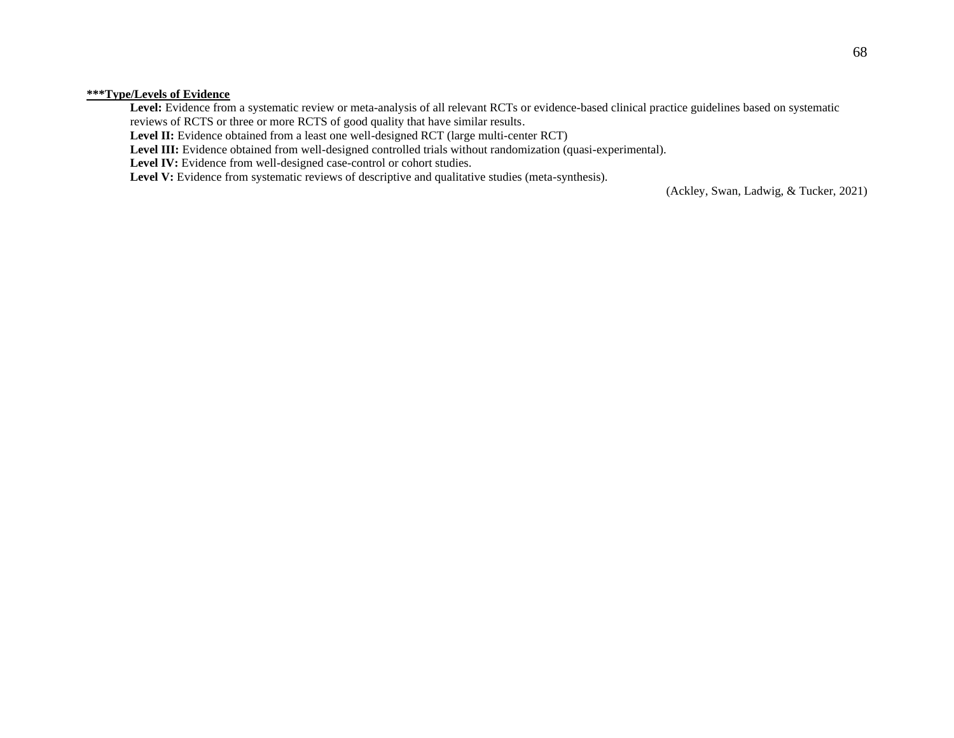### **\*\*\*Type/Levels of Evidence**

Level: Evidence from a systematic review or meta-analysis of all relevant RCTs or evidence-based clinical practice guidelines based on systematic reviews of RCTS or three or more RCTS of good quality that have similar results.

Level II: Evidence obtained from a least one well-designed RCT (large multi-center RCT)

Level III: Evidence obtained from well-designed controlled trials without randomization (quasi-experimental).

Level IV: Evidence from well-designed case-control or cohort studies.

Level V: Evidence from systematic reviews of descriptive and qualitative studies (meta-synthesis).

(Ackley, Swan, Ladwig, & Tucker, 2021)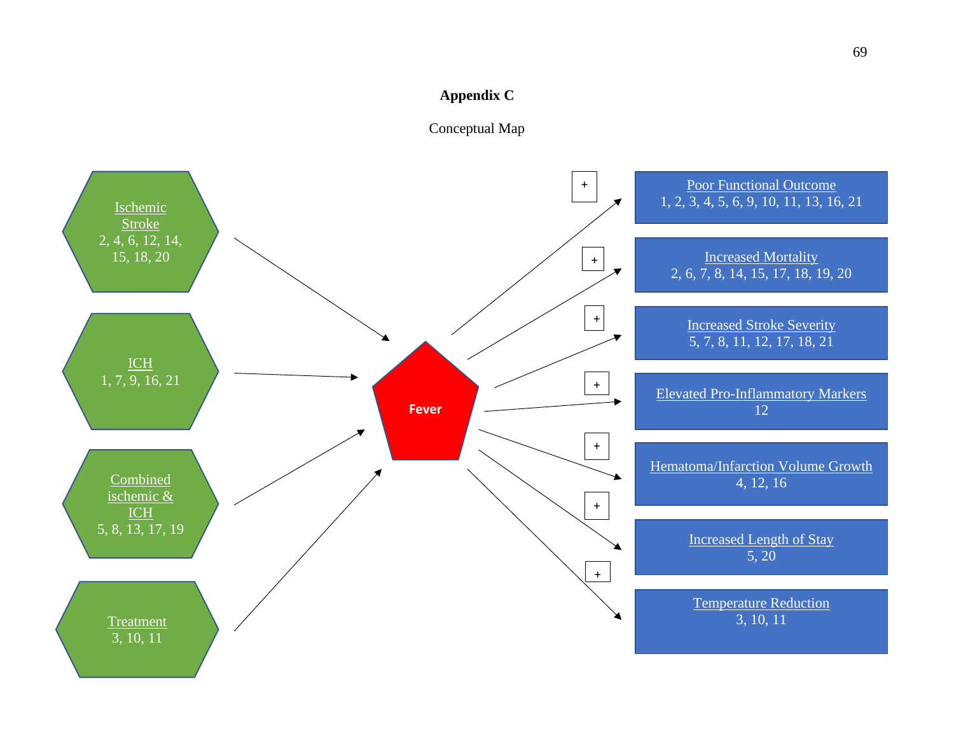### **Appendix C**



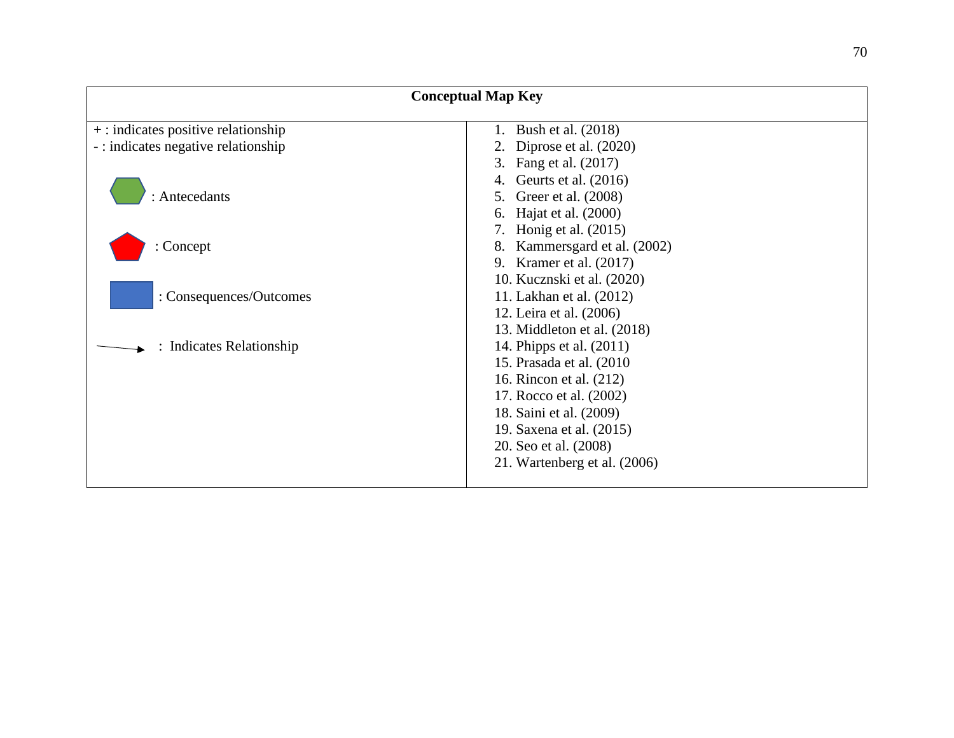|                                       | <b>Conceptual Map Key</b>    |
|---------------------------------------|------------------------------|
| $+$ : indicates positive relationship | Bush et al. (2018)<br>1.     |
| -: indicates negative relationship    | 2. Diprose et al. (2020)     |
|                                       | 3. Fang et al. (2017)        |
|                                       | Geurts et al. (2016)         |
| : Antecedants                         | Greer et al. (2008)<br>5.    |
|                                       | Hajat et al. (2000)<br>6.    |
|                                       | 7. Honig et al. (2015)       |
| Concept                               | 8. Kammersgard et al. (2002) |
|                                       | 9. Kramer et al. (2017)      |
|                                       | 10. Kucznski et al. (2020)   |
| : Consequences/Outcomes               | 11. Lakhan et al. (2012)     |
|                                       | 12. Leira et al. (2006)      |
|                                       | 13. Middleton et al. (2018)  |
| <b>Indicates Relationship</b>         | 14. Phipps et al. (2011)     |
|                                       | 15. Prasada et al. (2010)    |
|                                       | 16. Rincon et al. (212)      |
|                                       | 17. Rocco et al. (2002)      |
|                                       | 18. Saini et al. (2009)      |
|                                       | 19. Saxena et al. (2015)     |
|                                       | 20. Seo et al. (2008)        |
|                                       | 21. Wartenberg et al. (2006) |
|                                       |                              |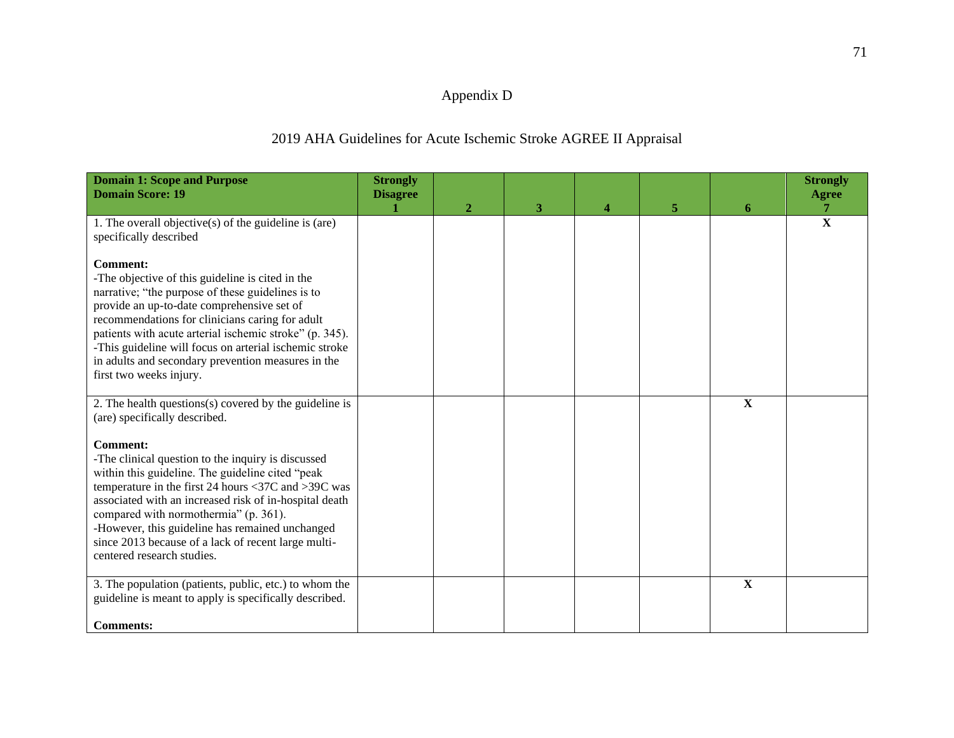## Appendix D

## 2019 AHA Guidelines for Acute Ischemic Stroke AGREE II Appraisal

| <b>Domain 1: Scope and Purpose</b><br><b>Domain Score: 19</b>                                                                                                                                                                                                                                                                                                                                                                   | <b>Strongly</b><br><b>Disagree</b> |              |   |          |   |             | <b>Strongly</b><br><b>Agree</b> |
|---------------------------------------------------------------------------------------------------------------------------------------------------------------------------------------------------------------------------------------------------------------------------------------------------------------------------------------------------------------------------------------------------------------------------------|------------------------------------|--------------|---|----------|---|-------------|---------------------------------|
|                                                                                                                                                                                                                                                                                                                                                                                                                                 |                                    | $\mathbf{2}$ | 3 | $\Delta$ | 5 | 6           |                                 |
| 1. The overall objective(s) of the guideline is (are)<br>specifically described                                                                                                                                                                                                                                                                                                                                                 |                                    |              |   |          |   |             | $\overline{\mathbf{X}}$         |
| <b>Comment:</b><br>-The objective of this guideline is cited in the<br>narrative; "the purpose of these guidelines is to<br>provide an up-to-date comprehensive set of<br>recommendations for clinicians caring for adult<br>patients with acute arterial ischemic stroke" (p. 345).<br>-This guideline will focus on arterial ischemic stroke<br>in adults and secondary prevention measures in the<br>first two weeks injury. |                                    |              |   |          |   |             |                                 |
| 2. The health questions(s) covered by the guideline is<br>(are) specifically described.                                                                                                                                                                                                                                                                                                                                         |                                    |              |   |          |   | $\mathbf X$ |                                 |
| <b>Comment:</b><br>-The clinical question to the inquiry is discussed<br>within this guideline. The guideline cited "peak<br>temperature in the first 24 hours <37C and >39C was<br>associated with an increased risk of in-hospital death<br>compared with normothermia" (p. 361).<br>-However, this guideline has remained unchanged<br>since 2013 because of a lack of recent large multi-<br>centered research studies.     |                                    |              |   |          |   |             |                                 |
| 3. The population (patients, public, etc.) to whom the<br>guideline is meant to apply is specifically described.<br><b>Comments:</b>                                                                                                                                                                                                                                                                                            |                                    |              |   |          |   | $\mathbf X$ |                                 |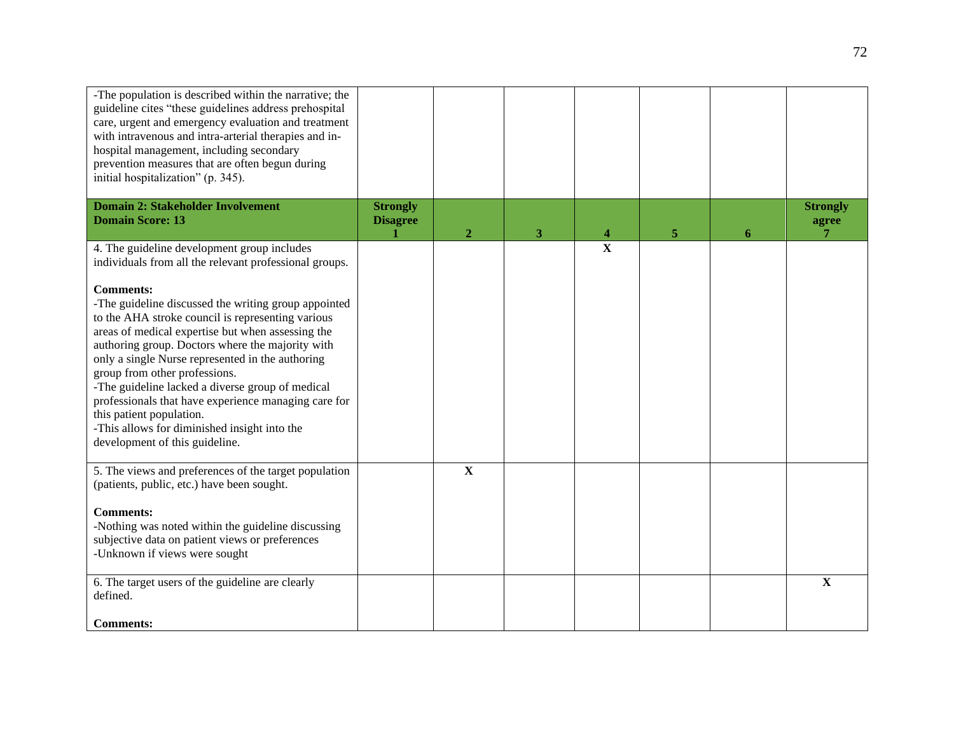| -The population is described within the narrative; the<br>guideline cites "these guidelines address prehospital<br>care, urgent and emergency evaluation and treatment<br>with intravenous and intra-arterial therapies and in-<br>hospital management, including secondary<br>prevention measures that are often begun during<br>initial hospitalization" (p. 345).                                                                                                                                                                                  |                                    |                         |   |             |   |   |                          |
|-------------------------------------------------------------------------------------------------------------------------------------------------------------------------------------------------------------------------------------------------------------------------------------------------------------------------------------------------------------------------------------------------------------------------------------------------------------------------------------------------------------------------------------------------------|------------------------------------|-------------------------|---|-------------|---|---|--------------------------|
| <b>Domain 2: Stakeholder Involvement</b><br><b>Domain Score: 13</b>                                                                                                                                                                                                                                                                                                                                                                                                                                                                                   | <b>Strongly</b><br><b>Disagree</b> | $\overline{2}$          | 3 |             | 5 | 6 | <b>Strongly</b><br>agree |
| 4. The guideline development group includes<br>individuals from all the relevant professional groups.                                                                                                                                                                                                                                                                                                                                                                                                                                                 |                                    |                         |   | $\mathbf X$ |   |   |                          |
| <b>Comments:</b><br>-The guideline discussed the writing group appointed<br>to the AHA stroke council is representing various<br>areas of medical expertise but when assessing the<br>authoring group. Doctors where the majority with<br>only a single Nurse represented in the authoring<br>group from other professions.<br>-The guideline lacked a diverse group of medical<br>professionals that have experience managing care for<br>this patient population.<br>-This allows for diminished insight into the<br>development of this guideline. |                                    |                         |   |             |   |   |                          |
| 5. The views and preferences of the target population<br>(patients, public, etc.) have been sought.                                                                                                                                                                                                                                                                                                                                                                                                                                                   |                                    | $\overline{\mathbf{X}}$ |   |             |   |   |                          |
| <b>Comments:</b><br>-Nothing was noted within the guideline discussing<br>subjective data on patient views or preferences<br>-Unknown if views were sought                                                                                                                                                                                                                                                                                                                                                                                            |                                    |                         |   |             |   |   |                          |
| 6. The target users of the guideline are clearly<br>defined.<br><b>Comments:</b>                                                                                                                                                                                                                                                                                                                                                                                                                                                                      |                                    |                         |   |             |   |   | X                        |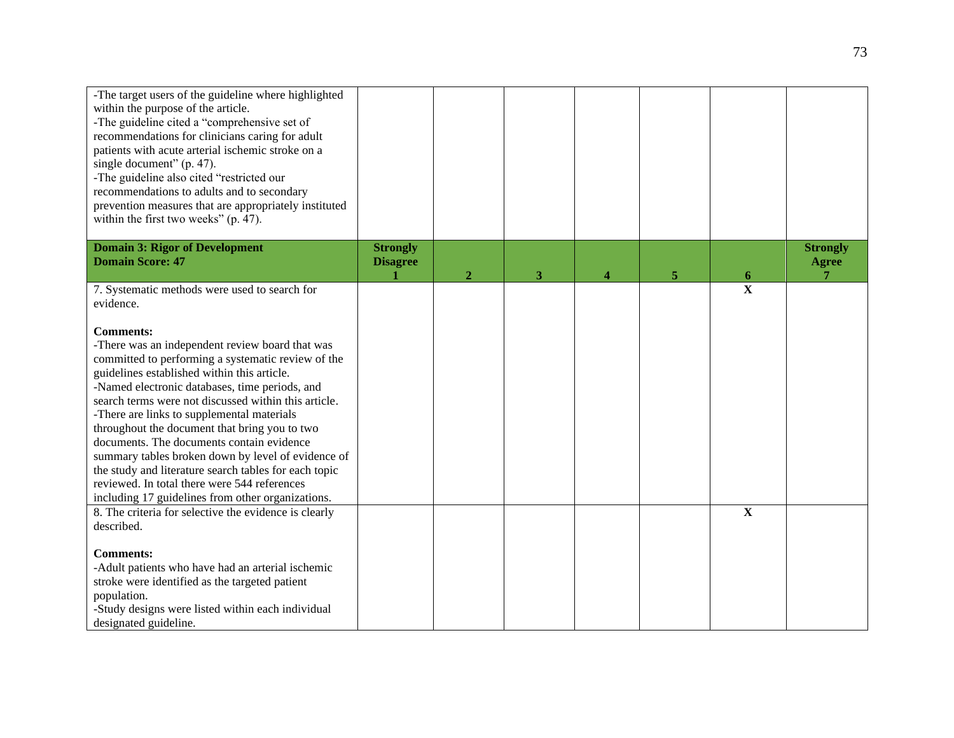| -The target users of the guideline where highlighted<br>within the purpose of the article.<br>-The guideline cited a "comprehensive set of<br>recommendations for clinicians caring for adult<br>patients with acute arterial ischemic stroke on a<br>single document" (p. 47).<br>-The guideline also cited "restricted our<br>recommendations to adults and to secondary<br>prevention measures that are appropriately instituted<br>within the first two weeks" (p. 47).                                                                                                                                                                        |                                    |                |   |   |   |                         |                                 |
|----------------------------------------------------------------------------------------------------------------------------------------------------------------------------------------------------------------------------------------------------------------------------------------------------------------------------------------------------------------------------------------------------------------------------------------------------------------------------------------------------------------------------------------------------------------------------------------------------------------------------------------------------|------------------------------------|----------------|---|---|---|-------------------------|---------------------------------|
| <b>Domain 3: Rigor of Development</b><br><b>Domain Score: 47</b>                                                                                                                                                                                                                                                                                                                                                                                                                                                                                                                                                                                   | <b>Strongly</b><br><b>Disagree</b> | $\overline{2}$ | 3 | 4 | 5 | 6                       | <b>Strongly</b><br><b>Agree</b> |
| 7. Systematic methods were used to search for<br>evidence.                                                                                                                                                                                                                                                                                                                                                                                                                                                                                                                                                                                         |                                    |                |   |   |   | $\overline{\mathbf{X}}$ |                                 |
| <b>Comments:</b><br>-There was an independent review board that was<br>committed to performing a systematic review of the<br>guidelines established within this article.<br>-Named electronic databases, time periods, and<br>search terms were not discussed within this article.<br>-There are links to supplemental materials<br>throughout the document that bring you to two<br>documents. The documents contain evidence<br>summary tables broken down by level of evidence of<br>the study and literature search tables for each topic<br>reviewed. In total there were 544 references<br>including 17 guidelines from other organizations. |                                    |                |   |   |   |                         |                                 |
| 8. The criteria for selective the evidence is clearly<br>described.<br><b>Comments:</b><br>-Adult patients who have had an arterial ischemic<br>stroke were identified as the targeted patient<br>population.<br>-Study designs were listed within each individual<br>designated guideline.                                                                                                                                                                                                                                                                                                                                                        |                                    |                |   |   |   | $\mathbf X$             |                                 |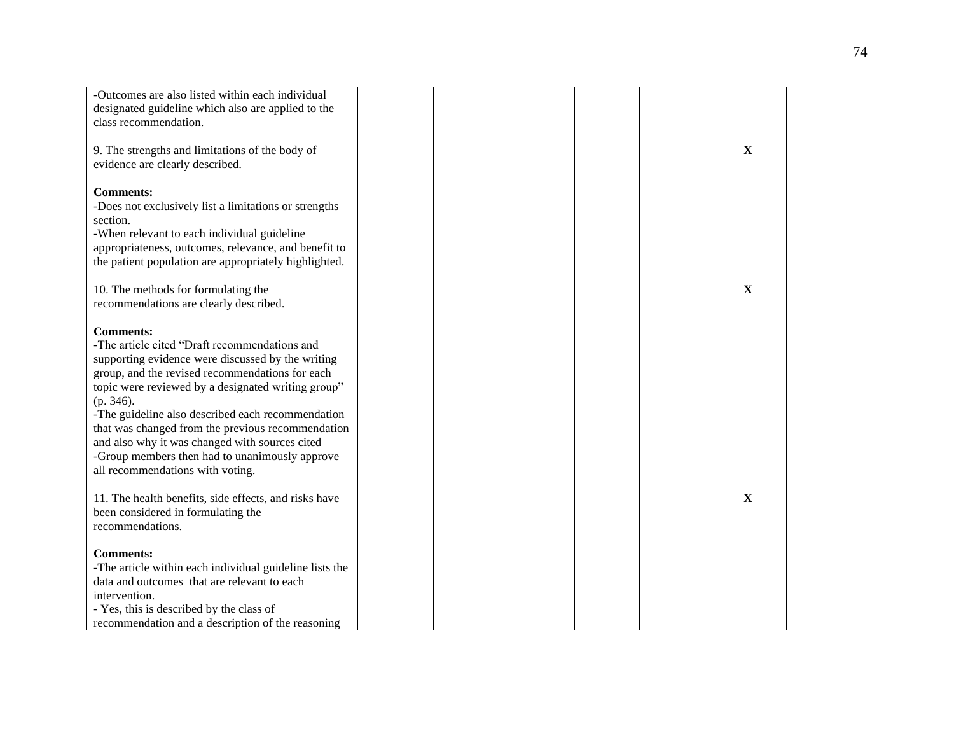| -Outcomes are also listed within each individual                                              |  |  |                         |  |
|-----------------------------------------------------------------------------------------------|--|--|-------------------------|--|
|                                                                                               |  |  |                         |  |
| designated guideline which also are applied to the                                            |  |  |                         |  |
| class recommendation.                                                                         |  |  |                         |  |
|                                                                                               |  |  |                         |  |
| 9. The strengths and limitations of the body of                                               |  |  | $\mathbf X$             |  |
| evidence are clearly described.                                                               |  |  |                         |  |
|                                                                                               |  |  |                         |  |
| <b>Comments:</b>                                                                              |  |  |                         |  |
| -Does not exclusively list a limitations or strengths                                         |  |  |                         |  |
| section.                                                                                      |  |  |                         |  |
| -When relevant to each individual guideline                                                   |  |  |                         |  |
| appropriateness, outcomes, relevance, and benefit to                                          |  |  |                         |  |
| the patient population are appropriately highlighted.                                         |  |  |                         |  |
|                                                                                               |  |  |                         |  |
|                                                                                               |  |  | $\overline{\mathbf{X}}$ |  |
| 10. The methods for formulating the                                                           |  |  |                         |  |
| recommendations are clearly described.                                                        |  |  |                         |  |
|                                                                                               |  |  |                         |  |
| <b>Comments:</b>                                                                              |  |  |                         |  |
| -The article cited "Draft recommendations and                                                 |  |  |                         |  |
| supporting evidence were discussed by the writing                                             |  |  |                         |  |
| group, and the revised recommendations for each                                               |  |  |                         |  |
| topic were reviewed by a designated writing group"                                            |  |  |                         |  |
| (p. 346).                                                                                     |  |  |                         |  |
| -The guideline also described each recommendation                                             |  |  |                         |  |
| that was changed from the previous recommendation                                             |  |  |                         |  |
| and also why it was changed with sources cited                                                |  |  |                         |  |
| -Group members then had to unanimously approve                                                |  |  |                         |  |
|                                                                                               |  |  |                         |  |
| all recommendations with voting.                                                              |  |  |                         |  |
|                                                                                               |  |  |                         |  |
| 11. The health benefits, side effects, and risks have                                         |  |  | $\mathbf X$             |  |
| been considered in formulating the                                                            |  |  |                         |  |
| recommendations.                                                                              |  |  |                         |  |
|                                                                                               |  |  |                         |  |
| <b>Comments:</b>                                                                              |  |  |                         |  |
| -The article within each individual guideline lists the                                       |  |  |                         |  |
| data and outcomes that are relevant to each                                                   |  |  |                         |  |
| intervention.                                                                                 |  |  |                         |  |
|                                                                                               |  |  |                         |  |
|                                                                                               |  |  |                         |  |
| - Yes, this is described by the class of<br>recommendation and a description of the reasoning |  |  |                         |  |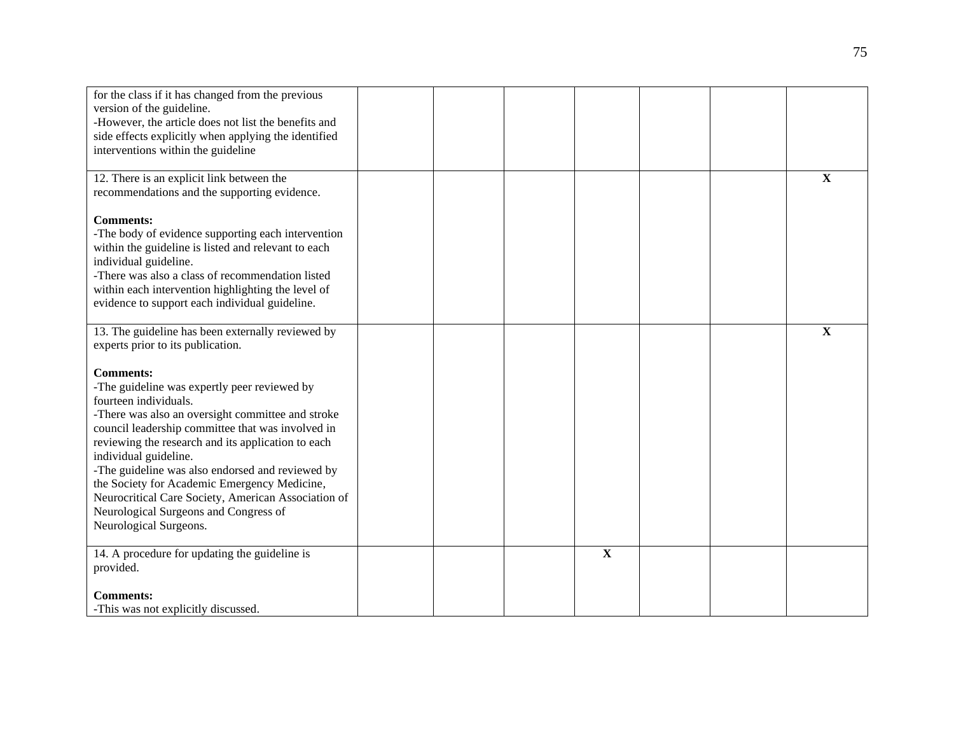| for the class if it has changed from the previous<br>version of the guideline.<br>-However, the article does not list the benefits and<br>side effects explicitly when applying the identified<br>interventions within the guideline                                                                                                                                                                                                                                                                             |  |             |  |              |
|------------------------------------------------------------------------------------------------------------------------------------------------------------------------------------------------------------------------------------------------------------------------------------------------------------------------------------------------------------------------------------------------------------------------------------------------------------------------------------------------------------------|--|-------------|--|--------------|
| 12. There is an explicit link between the<br>recommendations and the supporting evidence.                                                                                                                                                                                                                                                                                                                                                                                                                        |  |             |  | $\mathbf X$  |
| <b>Comments:</b><br>-The body of evidence supporting each intervention<br>within the guideline is listed and relevant to each<br>individual guideline.<br>-There was also a class of recommendation listed<br>within each intervention highlighting the level of<br>evidence to support each individual guideline.                                                                                                                                                                                               |  |             |  |              |
| 13. The guideline has been externally reviewed by<br>experts prior to its publication.                                                                                                                                                                                                                                                                                                                                                                                                                           |  |             |  | $\mathbf{X}$ |
| <b>Comments:</b><br>-The guideline was expertly peer reviewed by<br>fourteen individuals.<br>-There was also an oversight committee and stroke<br>council leadership committee that was involved in<br>reviewing the research and its application to each<br>individual guideline.<br>-The guideline was also endorsed and reviewed by<br>the Society for Academic Emergency Medicine,<br>Neurocritical Care Society, American Association of<br>Neurological Surgeons and Congress of<br>Neurological Surgeons. |  |             |  |              |
| 14. A procedure for updating the guideline is<br>provided.                                                                                                                                                                                                                                                                                                                                                                                                                                                       |  | $\mathbf X$ |  |              |
| <b>Comments:</b><br>-This was not explicitly discussed.                                                                                                                                                                                                                                                                                                                                                                                                                                                          |  |             |  |              |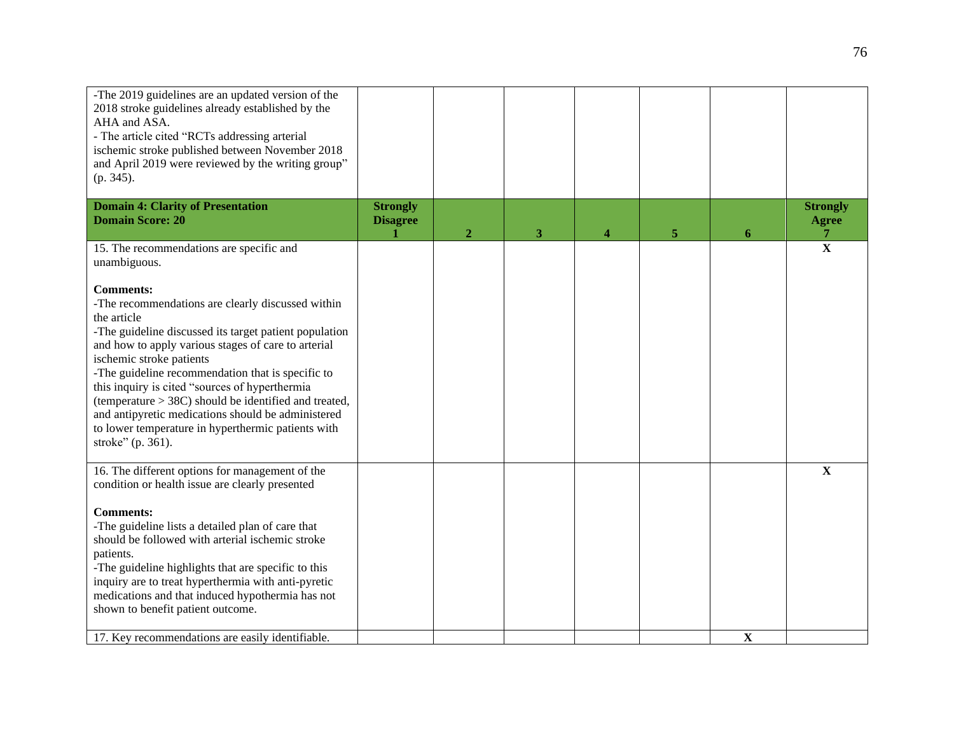| -The 2019 guidelines are an updated version of the<br>2018 stroke guidelines already established by the<br>AHA and ASA.<br>- The article cited "RCTs addressing arterial<br>ischemic stroke published between November 2018<br>and April 2019 were reviewed by the writing group"<br>(p. 345).                                                                                                                                                                                                                                       |                                    |                |   |   |   |   |                                 |
|--------------------------------------------------------------------------------------------------------------------------------------------------------------------------------------------------------------------------------------------------------------------------------------------------------------------------------------------------------------------------------------------------------------------------------------------------------------------------------------------------------------------------------------|------------------------------------|----------------|---|---|---|---|---------------------------------|
| <b>Domain 4: Clarity of Presentation</b><br><b>Domain Score: 20</b>                                                                                                                                                                                                                                                                                                                                                                                                                                                                  | <b>Strongly</b><br><b>Disagree</b> | $\overline{2}$ | 3 | 4 | 5 | 6 | <b>Strongly</b><br><b>Agree</b> |
| 15. The recommendations are specific and<br>unambiguous.                                                                                                                                                                                                                                                                                                                                                                                                                                                                             |                                    |                |   |   |   |   | $\overline{\mathbf{X}}$         |
| <b>Comments:</b><br>-The recommendations are clearly discussed within<br>the article<br>-The guideline discussed its target patient population<br>and how to apply various stages of care to arterial<br>ischemic stroke patients<br>-The guideline recommendation that is specific to<br>this inquiry is cited "sources of hyperthermia<br>(temperature $>$ 38C) should be identified and treated,<br>and antipyretic medications should be administered<br>to lower temperature in hyperthermic patients with<br>stroke" (p. 361). |                                    |                |   |   |   |   |                                 |
| 16. The different options for management of the<br>condition or health issue are clearly presented                                                                                                                                                                                                                                                                                                                                                                                                                                   |                                    |                |   |   |   |   | $\mathbf X$                     |
| <b>Comments:</b><br>-The guideline lists a detailed plan of care that<br>should be followed with arterial ischemic stroke<br>patients.<br>-The guideline highlights that are specific to this<br>inquiry are to treat hyperthermia with anti-pyretic<br>medications and that induced hypothermia has not<br>shown to benefit patient outcome.                                                                                                                                                                                        |                                    |                |   |   |   |   |                                 |
| 17. Key recommendations are easily identifiable.                                                                                                                                                                                                                                                                                                                                                                                                                                                                                     |                                    |                |   |   |   | X |                                 |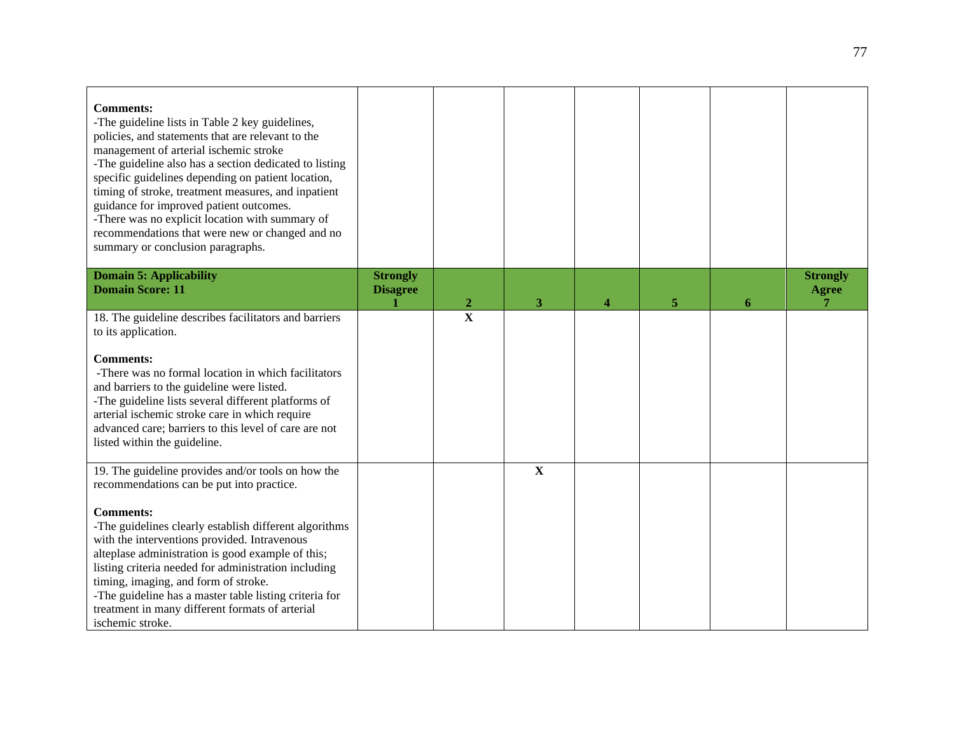| <b>Comments:</b><br>-The guideline lists in Table 2 key guidelines,<br>policies, and statements that are relevant to the<br>management of arterial ischemic stroke<br>-The guideline also has a section dedicated to listing<br>specific guidelines depending on patient location,<br>timing of stroke, treatment measures, and inpatient<br>guidance for improved patient outcomes.<br>-There was no explicit location with summary of<br>recommendations that were new or changed and no<br>summary or conclusion paragraphs. |                                    |                         |                         |                  |   |   |                                 |
|---------------------------------------------------------------------------------------------------------------------------------------------------------------------------------------------------------------------------------------------------------------------------------------------------------------------------------------------------------------------------------------------------------------------------------------------------------------------------------------------------------------------------------|------------------------------------|-------------------------|-------------------------|------------------|---|---|---------------------------------|
| <b>Domain 5: Applicability</b><br><b>Domain Score: 11</b>                                                                                                                                                                                                                                                                                                                                                                                                                                                                       | <b>Strongly</b><br><b>Disagree</b> | $\overline{2}$          | 3                       | $\boldsymbol{A}$ | 5 | 6 | <b>Strongly</b><br><b>Agree</b> |
| 18. The guideline describes facilitators and barriers<br>to its application.<br><b>Comments:</b><br>-There was no formal location in which facilitators<br>and barriers to the guideline were listed.<br>-The guideline lists several different platforms of<br>arterial ischemic stroke care in which require<br>advanced care; barriers to this level of care are not<br>listed within the guideline.                                                                                                                         |                                    | $\overline{\mathbf{X}}$ |                         |                  |   |   |                                 |
| 19. The guideline provides and/or tools on how the<br>recommendations can be put into practice.<br><b>Comments:</b><br>-The guidelines clearly establish different algorithms<br>with the interventions provided. Intravenous<br>alteplase administration is good example of this;<br>listing criteria needed for administration including<br>timing, imaging, and form of stroke.<br>-The guideline has a master table listing criteria for<br>treatment in many different formats of arterial<br>ischemic stroke.             |                                    |                         | $\overline{\mathbf{X}}$ |                  |   |   |                                 |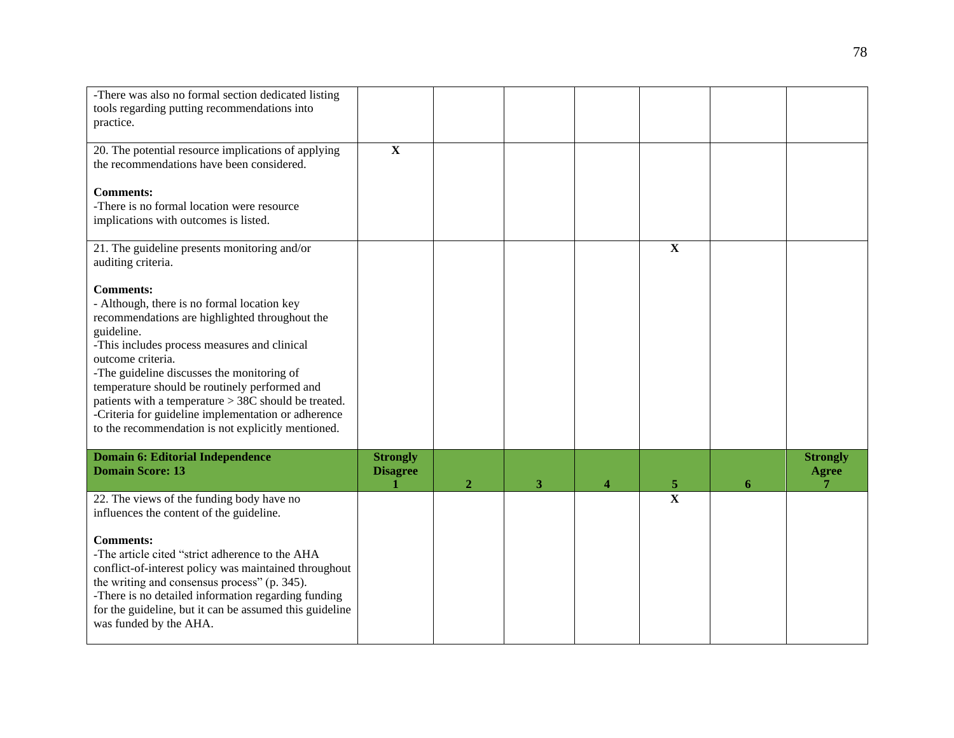| -There was also no formal section dedicated listing<br>tools regarding putting recommendations into<br>practice.                                                                                                                                                                                                                                                                                                                                                         |                                    |                |   |   |             |   |                                 |
|--------------------------------------------------------------------------------------------------------------------------------------------------------------------------------------------------------------------------------------------------------------------------------------------------------------------------------------------------------------------------------------------------------------------------------------------------------------------------|------------------------------------|----------------|---|---|-------------|---|---------------------------------|
| 20. The potential resource implications of applying<br>the recommendations have been considered.                                                                                                                                                                                                                                                                                                                                                                         | $\overline{\mathbf{X}}$            |                |   |   |             |   |                                 |
| <b>Comments:</b><br>-There is no formal location were resource<br>implications with outcomes is listed.                                                                                                                                                                                                                                                                                                                                                                  |                                    |                |   |   |             |   |                                 |
| 21. The guideline presents monitoring and/or<br>auditing criteria.                                                                                                                                                                                                                                                                                                                                                                                                       |                                    |                |   |   | $\mathbf X$ |   |                                 |
| <b>Comments:</b><br>- Although, there is no formal location key<br>recommendations are highlighted throughout the<br>guideline.<br>-This includes process measures and clinical<br>outcome criteria.<br>-The guideline discusses the monitoring of<br>temperature should be routinely performed and<br>patients with a temperature > 38C should be treated.<br>-Criteria for guideline implementation or adherence<br>to the recommendation is not explicitly mentioned. |                                    |                |   |   |             |   |                                 |
| <b>Domain 6: Editorial Independence</b><br><b>Domain Score: 13</b>                                                                                                                                                                                                                                                                                                                                                                                                       | <b>Strongly</b><br><b>Disagree</b> | $\overline{2}$ | 3 | 4 | 5           | 6 | <b>Strongly</b><br><b>Agree</b> |
| 22. The views of the funding body have no<br>influences the content of the guideline.                                                                                                                                                                                                                                                                                                                                                                                    |                                    |                |   |   | $\mathbf X$ |   |                                 |
| <b>Comments:</b><br>-The article cited "strict adherence to the AHA<br>conflict-of-interest policy was maintained throughout<br>the writing and consensus process" (p. 345).<br>-There is no detailed information regarding funding<br>for the guideline, but it can be assumed this guideline<br>was funded by the AHA.                                                                                                                                                 |                                    |                |   |   |             |   |                                 |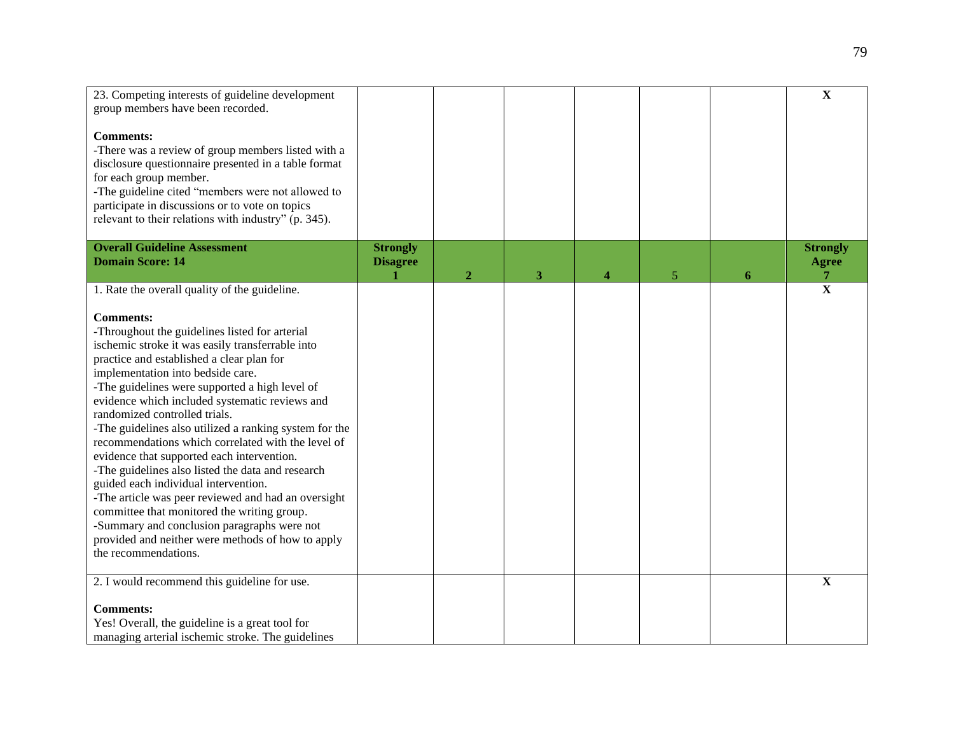| 23. Competing interests of guideline development       |                 |                  |   |   |                |   | $\mathbf X$             |
|--------------------------------------------------------|-----------------|------------------|---|---|----------------|---|-------------------------|
| group members have been recorded.                      |                 |                  |   |   |                |   |                         |
|                                                        |                 |                  |   |   |                |   |                         |
| <b>Comments:</b>                                       |                 |                  |   |   |                |   |                         |
| -There was a review of group members listed with a     |                 |                  |   |   |                |   |                         |
|                                                        |                 |                  |   |   |                |   |                         |
| disclosure questionnaire presented in a table format   |                 |                  |   |   |                |   |                         |
| for each group member.                                 |                 |                  |   |   |                |   |                         |
| -The guideline cited "members were not allowed to      |                 |                  |   |   |                |   |                         |
| participate in discussions or to vote on topics        |                 |                  |   |   |                |   |                         |
| relevant to their relations with industry" (p. 345).   |                 |                  |   |   |                |   |                         |
|                                                        |                 |                  |   |   |                |   |                         |
| <b>Overall Guideline Assessment</b>                    | <b>Strongly</b> |                  |   |   |                |   | <b>Strongly</b>         |
| <b>Domain Score: 14</b>                                | <b>Disagree</b> |                  |   |   |                |   | <b>Agree</b>            |
|                                                        |                 | $\boldsymbol{2}$ | 3 | 4 | $\mathfrak{S}$ | 6 | 7                       |
| 1. Rate the overall quality of the guideline.          |                 |                  |   |   |                |   | $\overline{\mathbf{X}}$ |
|                                                        |                 |                  |   |   |                |   |                         |
| <b>Comments:</b>                                       |                 |                  |   |   |                |   |                         |
|                                                        |                 |                  |   |   |                |   |                         |
| -Throughout the guidelines listed for arterial         |                 |                  |   |   |                |   |                         |
| ischemic stroke it was easily transferrable into       |                 |                  |   |   |                |   |                         |
| practice and established a clear plan for              |                 |                  |   |   |                |   |                         |
| implementation into bedside care.                      |                 |                  |   |   |                |   |                         |
| -The guidelines were supported a high level of         |                 |                  |   |   |                |   |                         |
| evidence which included systematic reviews and         |                 |                  |   |   |                |   |                         |
| randomized controlled trials.                          |                 |                  |   |   |                |   |                         |
| -The guidelines also utilized a ranking system for the |                 |                  |   |   |                |   |                         |
| recommendations which correlated with the level of     |                 |                  |   |   |                |   |                         |
| evidence that supported each intervention.             |                 |                  |   |   |                |   |                         |
| -The guidelines also listed the data and research      |                 |                  |   |   |                |   |                         |
| guided each individual intervention.                   |                 |                  |   |   |                |   |                         |
| -The article was peer reviewed and had an oversight    |                 |                  |   |   |                |   |                         |
| committee that monitored the writing group.            |                 |                  |   |   |                |   |                         |
|                                                        |                 |                  |   |   |                |   |                         |
| -Summary and conclusion paragraphs were not            |                 |                  |   |   |                |   |                         |
| provided and neither were methods of how to apply      |                 |                  |   |   |                |   |                         |
| the recommendations.                                   |                 |                  |   |   |                |   |                         |
|                                                        |                 |                  |   |   |                |   |                         |
| 2. I would recommend this guideline for use.           |                 |                  |   |   |                |   | $\mathbf X$             |
|                                                        |                 |                  |   |   |                |   |                         |
| <b>Comments:</b>                                       |                 |                  |   |   |                |   |                         |
| Yes! Overall, the guideline is a great tool for        |                 |                  |   |   |                |   |                         |
| managing arterial ischemic stroke. The guidelines      |                 |                  |   |   |                |   |                         |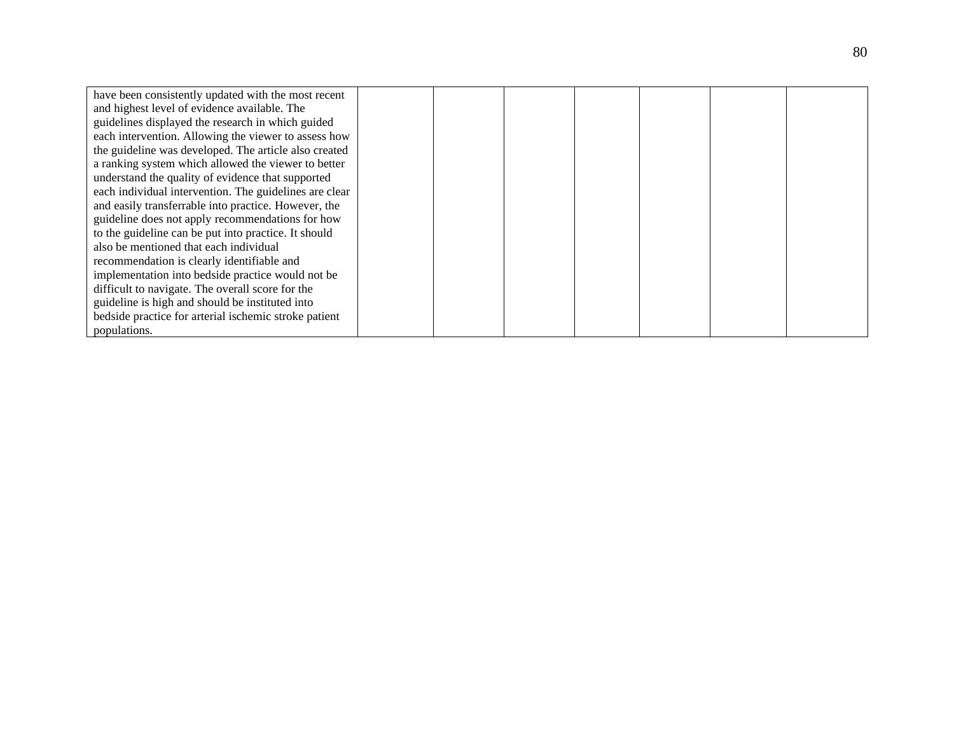| have been consistently updated with the most recent    |  |  |  |  |
|--------------------------------------------------------|--|--|--|--|
| and highest level of evidence available. The           |  |  |  |  |
| guidelines displayed the research in which guided      |  |  |  |  |
| each intervention. Allowing the viewer to assess how   |  |  |  |  |
| the guideline was developed. The article also created  |  |  |  |  |
| a ranking system which allowed the viewer to better    |  |  |  |  |
| understand the quality of evidence that supported      |  |  |  |  |
| each individual intervention. The guidelines are clear |  |  |  |  |
| and easily transferrable into practice. However, the   |  |  |  |  |
| guideline does not apply recommendations for how       |  |  |  |  |
| to the guideline can be put into practice. It should   |  |  |  |  |
| also be mentioned that each individual                 |  |  |  |  |
| recommendation is clearly identifiable and             |  |  |  |  |
| implementation into bedside practice would not be      |  |  |  |  |
| difficult to navigate. The overall score for the       |  |  |  |  |
| guideline is high and should be instituted into        |  |  |  |  |
| bedside practice for arterial ischemic stroke patient  |  |  |  |  |
| populations.                                           |  |  |  |  |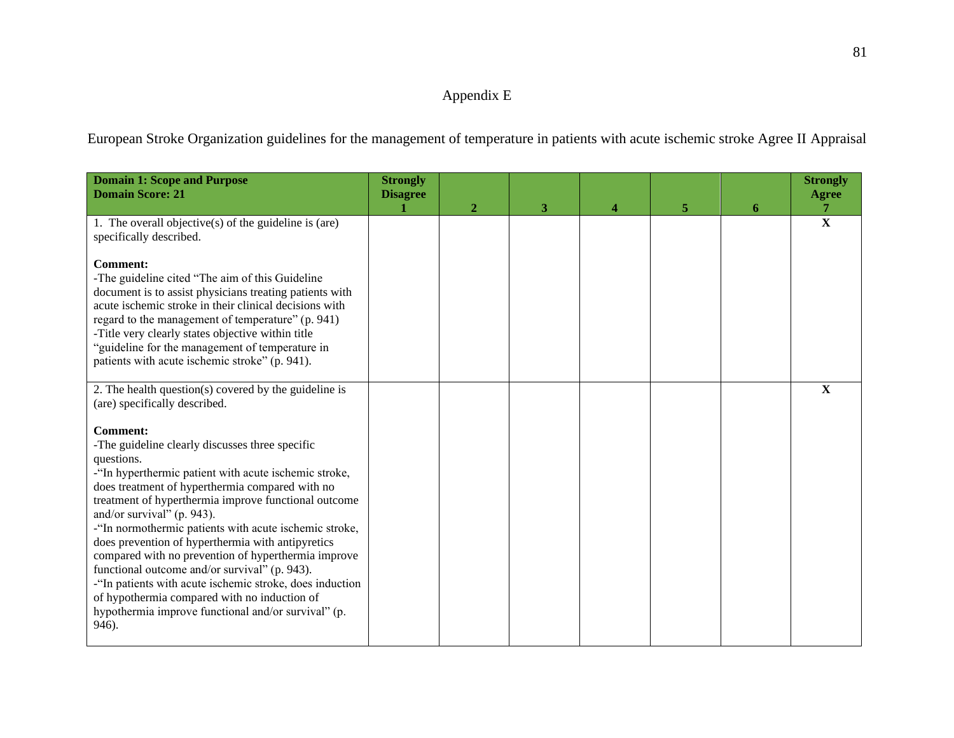# Appendix E

European Stroke Organization guidelines for the management of temperature in patients with acute ischemic stroke Agree II Appraisal

| <b>Domain 1: Scope and Purpose</b><br><b>Domain Score: 21</b>                                                                                                                                                                                                                                                                                                                                                                                                                                                                                                                                                                                                                         | <b>Strongly</b><br><b>Disagree</b> | $\mathbf{2}$ | 3 | 4 | 5 | 6 | <b>Strongly</b><br><b>Agree</b><br>$\overline{7}$ |
|---------------------------------------------------------------------------------------------------------------------------------------------------------------------------------------------------------------------------------------------------------------------------------------------------------------------------------------------------------------------------------------------------------------------------------------------------------------------------------------------------------------------------------------------------------------------------------------------------------------------------------------------------------------------------------------|------------------------------------|--------------|---|---|---|---|---------------------------------------------------|
| 1. The overall objective(s) of the guideline is (are)<br>specifically described.                                                                                                                                                                                                                                                                                                                                                                                                                                                                                                                                                                                                      |                                    |              |   |   |   |   | $\overline{\mathbf{X}}$                           |
| <b>Comment:</b><br>-The guideline cited "The aim of this Guideline<br>document is to assist physicians treating patients with<br>acute ischemic stroke in their clinical decisions with<br>regard to the management of temperature" (p. 941)<br>-Title very clearly states objective within title<br>"guideline for the management of temperature in<br>patients with acute ischemic stroke" (p. 941).                                                                                                                                                                                                                                                                                |                                    |              |   |   |   |   |                                                   |
| 2. The health question( $s$ ) covered by the guideline is<br>(are) specifically described.                                                                                                                                                                                                                                                                                                                                                                                                                                                                                                                                                                                            |                                    |              |   |   |   |   | $\mathbf X$                                       |
| <b>Comment:</b><br>-The guideline clearly discusses three specific<br>questions.<br>-"In hyperthermic patient with acute ischemic stroke,<br>does treatment of hyperthermia compared with no<br>treatment of hyperthermia improve functional outcome<br>and/or survival" (p. 943).<br>-"In normothermic patients with acute ischemic stroke,<br>does prevention of hyperthermia with antipyretics<br>compared with no prevention of hyperthermia improve<br>functional outcome and/or survival" (p. 943).<br>-"In patients with acute ischemic stroke, does induction<br>of hypothermia compared with no induction of<br>hypothermia improve functional and/or survival" (p.<br>946). |                                    |              |   |   |   |   |                                                   |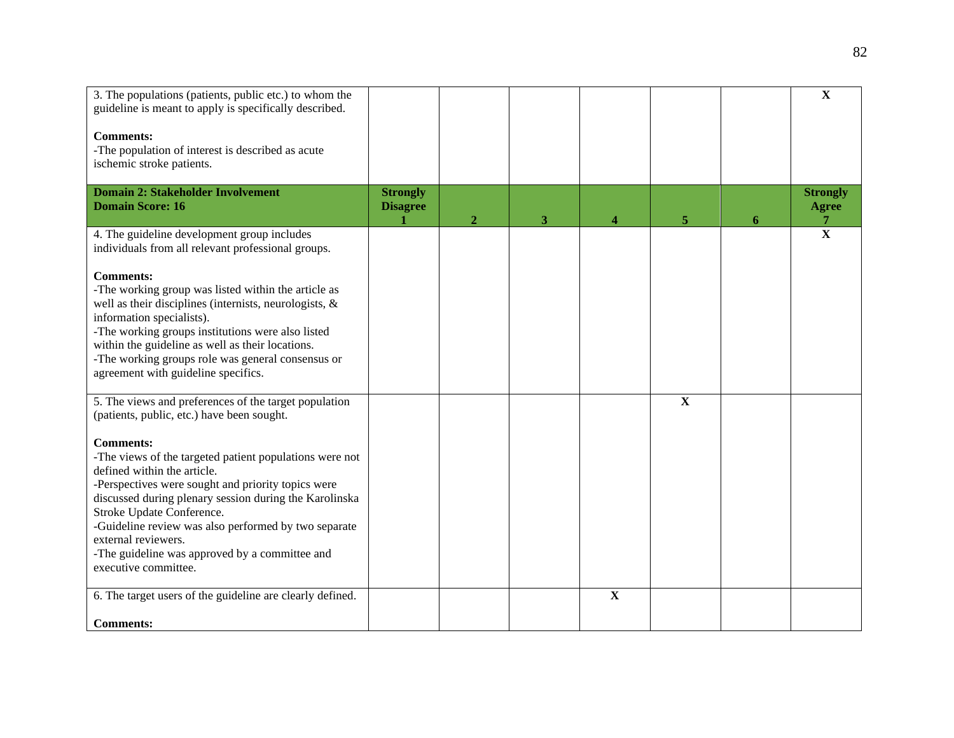| 3. The populations (patients, public etc.) to whom the<br>guideline is meant to apply is specifically described.<br><b>Comments:</b><br>-The population of interest is described as acute<br>ischemic stroke patients.                                                                                                                                                                                           |                                    |              |   |             |             |   | $\mathbf X$                                       |
|------------------------------------------------------------------------------------------------------------------------------------------------------------------------------------------------------------------------------------------------------------------------------------------------------------------------------------------------------------------------------------------------------------------|------------------------------------|--------------|---|-------------|-------------|---|---------------------------------------------------|
| <b>Domain 2: Stakeholder Involvement</b><br><b>Domain Score: 16</b>                                                                                                                                                                                                                                                                                                                                              | <b>Strongly</b><br><b>Disagree</b> | $\mathbf{2}$ | 3 | 4           | 5           | 6 | <b>Strongly</b><br><b>Agree</b><br>$\overline{7}$ |
| 4. The guideline development group includes<br>individuals from all relevant professional groups.<br><b>Comments:</b><br>-The working group was listed within the article as<br>well as their disciplines (internists, neurologists, &<br>information specialists).                                                                                                                                              |                                    |              |   |             |             |   | $\overline{\mathbf{x}}$                           |
| -The working groups institutions were also listed<br>within the guideline as well as their locations.<br>-The working groups role was general consensus or<br>agreement with guideline specifics.                                                                                                                                                                                                                |                                    |              |   |             |             |   |                                                   |
| 5. The views and preferences of the target population<br>(patients, public, etc.) have been sought.                                                                                                                                                                                                                                                                                                              |                                    |              |   |             | $\mathbf X$ |   |                                                   |
| <b>Comments:</b><br>-The views of the targeted patient populations were not<br>defined within the article.<br>-Perspectives were sought and priority topics were<br>discussed during plenary session during the Karolinska<br>Stroke Update Conference.<br>-Guideline review was also performed by two separate<br>external reviewers.<br>-The guideline was approved by a committee and<br>executive committee. |                                    |              |   |             |             |   |                                                   |
| 6. The target users of the guideline are clearly defined.<br><b>Comments:</b>                                                                                                                                                                                                                                                                                                                                    |                                    |              |   | $\mathbf X$ |             |   |                                                   |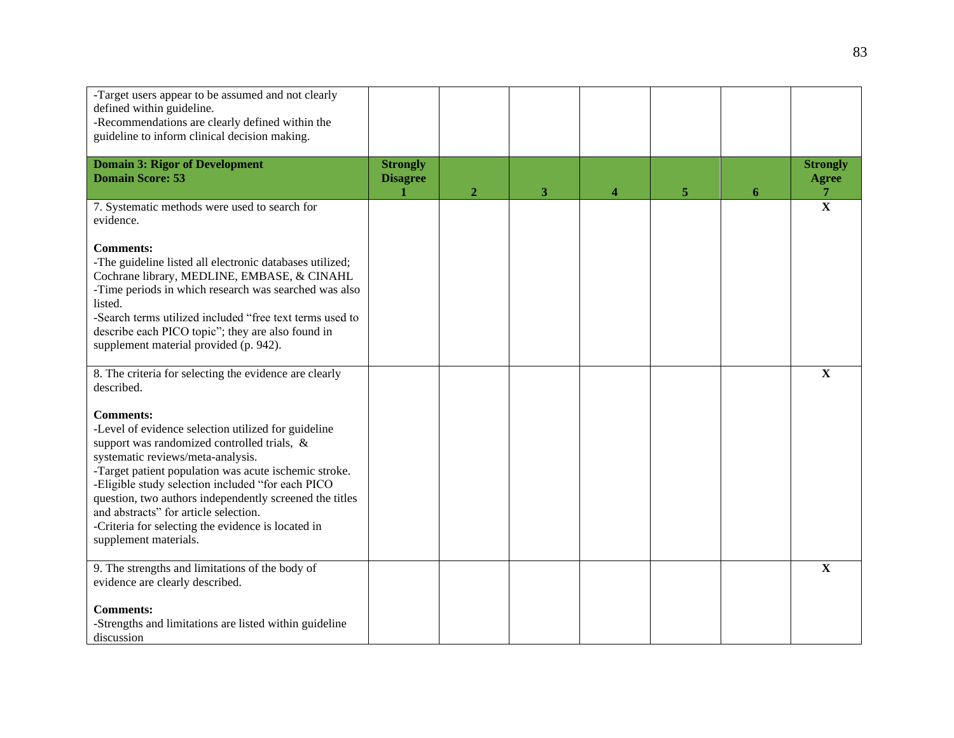| -Target users appear to be assumed and not clearly<br>defined within guideline.<br>-Recommendations are clearly defined within the<br>guideline to inform clinical decision making.                                                                                                                                                                                                                                                                          |                                    |                |   |   |    |   |                                      |
|--------------------------------------------------------------------------------------------------------------------------------------------------------------------------------------------------------------------------------------------------------------------------------------------------------------------------------------------------------------------------------------------------------------------------------------------------------------|------------------------------------|----------------|---|---|----|---|--------------------------------------|
| <b>Domain 3: Rigor of Development</b><br><b>Domain Score: 53</b>                                                                                                                                                                                                                                                                                                                                                                                             | <b>Strongly</b><br><b>Disagree</b> | $\overline{2}$ | 3 | 4 | 5. | 6 | <b>Strongly</b><br><b>Agree</b><br>7 |
| 7. Systematic methods were used to search for<br>evidence.                                                                                                                                                                                                                                                                                                                                                                                                   |                                    |                |   |   |    |   | $\overline{\mathbf{X}}$              |
| <b>Comments:</b><br>-The guideline listed all electronic databases utilized;<br>Cochrane library, MEDLINE, EMBASE, & CINAHL<br>-Time periods in which research was searched was also<br>listed.<br>-Search terms utilized included "free text terms used to<br>describe each PICO topic"; they are also found in<br>supplement material provided (p. 942).                                                                                                   |                                    |                |   |   |    |   |                                      |
| 8. The criteria for selecting the evidence are clearly<br>described.                                                                                                                                                                                                                                                                                                                                                                                         |                                    |                |   |   |    |   | $\mathbf X$                          |
| <b>Comments:</b><br>-Level of evidence selection utilized for guideline<br>support was randomized controlled trials, &<br>systematic reviews/meta-analysis.<br>-Target patient population was acute ischemic stroke.<br>-Eligible study selection included "for each PICO<br>question, two authors independently screened the titles<br>and abstracts" for article selection.<br>-Criteria for selecting the evidence is located in<br>supplement materials. |                                    |                |   |   |    |   |                                      |
| 9. The strengths and limitations of the body of<br>evidence are clearly described.                                                                                                                                                                                                                                                                                                                                                                           |                                    |                |   |   |    |   | $\mathbf X$                          |
| <b>Comments:</b><br>-Strengths and limitations are listed within guideline<br>discussion                                                                                                                                                                                                                                                                                                                                                                     |                                    |                |   |   |    |   |                                      |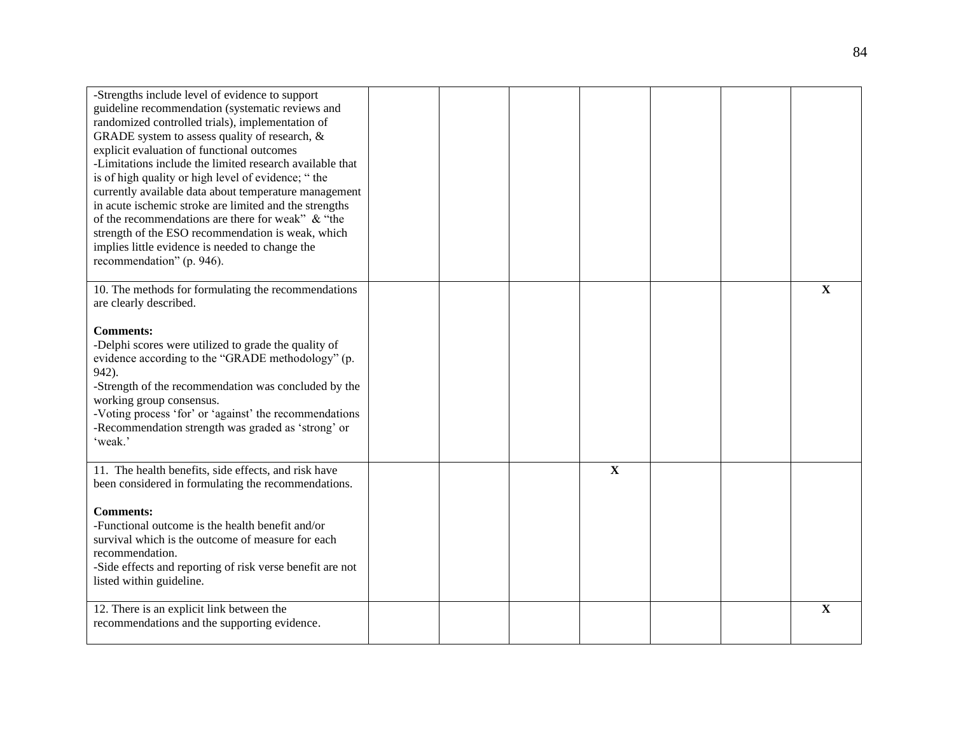| -Strengths include level of evidence to support<br>guideline recommendation (systematic reviews and<br>randomized controlled trials), implementation of<br>GRADE system to assess quality of research, &<br>explicit evaluation of functional outcomes<br>-Limitations include the limited research available that<br>is of high quality or high level of evidence; "the<br>currently available data about temperature management<br>in acute ischemic stroke are limited and the strengths<br>of the recommendations are there for weak" & "the<br>strength of the ESO recommendation is weak, which<br>implies little evidence is needed to change the<br>recommendation" (p. 946). |  |              |  |             |
|---------------------------------------------------------------------------------------------------------------------------------------------------------------------------------------------------------------------------------------------------------------------------------------------------------------------------------------------------------------------------------------------------------------------------------------------------------------------------------------------------------------------------------------------------------------------------------------------------------------------------------------------------------------------------------------|--|--------------|--|-------------|
| 10. The methods for formulating the recommendations<br>are clearly described.<br><b>Comments:</b><br>-Delphi scores were utilized to grade the quality of<br>evidence according to the "GRADE methodology" (p.<br>942).<br>-Strength of the recommendation was concluded by the<br>working group consensus.<br>-Voting process 'for' or 'against' the recommendations<br>-Recommendation strength was graded as 'strong' or<br>'weak.'                                                                                                                                                                                                                                                |  |              |  | $\mathbf X$ |
| 11. The health benefits, side effects, and risk have<br>been considered in formulating the recommendations.<br><b>Comments:</b><br>-Functional outcome is the health benefit and/or<br>survival which is the outcome of measure for each<br>recommendation.<br>-Side effects and reporting of risk verse benefit are not<br>listed within guideline.                                                                                                                                                                                                                                                                                                                                  |  | $\mathbf{X}$ |  |             |
| 12. There is an explicit link between the<br>recommendations and the supporting evidence.                                                                                                                                                                                                                                                                                                                                                                                                                                                                                                                                                                                             |  |              |  | X           |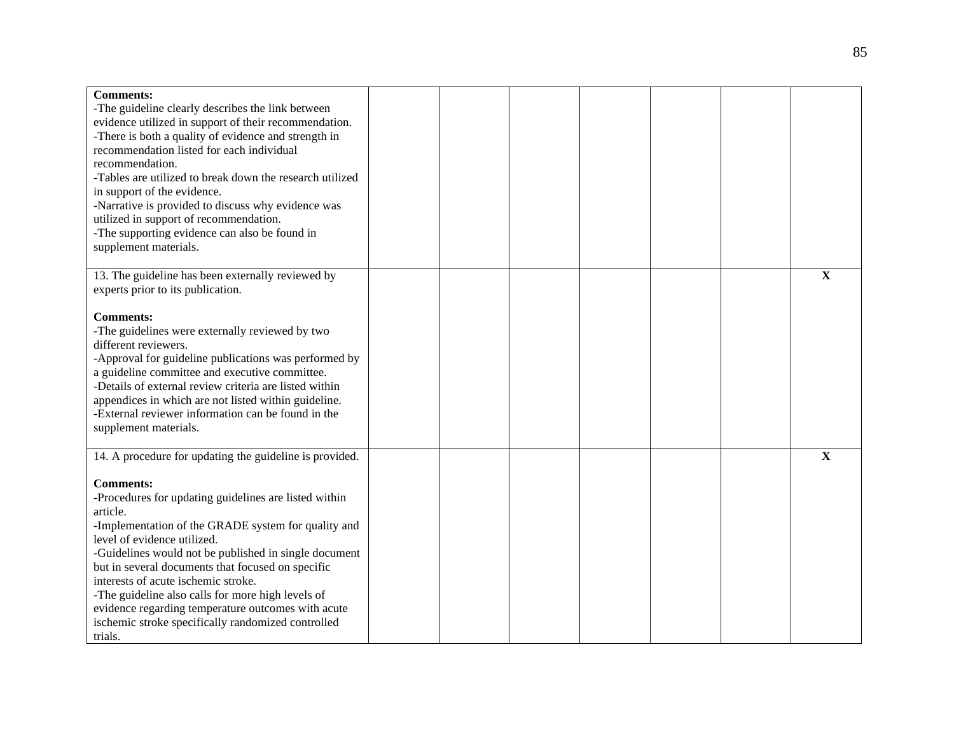| <b>Comments:</b><br>-The guideline clearly describes the link between<br>evidence utilized in support of their recommendation.<br>-There is both a quality of evidence and strength in<br>recommendation listed for each individual<br>recommendation.<br>-Tables are utilized to break down the research utilized<br>in support of the evidence.<br>-Narrative is provided to discuss why evidence was<br>utilized in support of recommendation.<br>-The supporting evidence can also be found in<br>supplement materials.                                             |  |  |  |             |
|-------------------------------------------------------------------------------------------------------------------------------------------------------------------------------------------------------------------------------------------------------------------------------------------------------------------------------------------------------------------------------------------------------------------------------------------------------------------------------------------------------------------------------------------------------------------------|--|--|--|-------------|
| 13. The guideline has been externally reviewed by<br>experts prior to its publication.                                                                                                                                                                                                                                                                                                                                                                                                                                                                                  |  |  |  | $\mathbf X$ |
| <b>Comments:</b><br>-The guidelines were externally reviewed by two<br>different reviewers.<br>-Approval for guideline publications was performed by<br>a guideline committee and executive committee.<br>-Details of external review criteria are listed within<br>appendices in which are not listed within guideline.<br>-External reviewer information can be found in the<br>supplement materials.                                                                                                                                                                 |  |  |  |             |
| 14. A procedure for updating the guideline is provided.<br><b>Comments:</b><br>-Procedures for updating guidelines are listed within<br>article.<br>-Implementation of the GRADE system for quality and<br>level of evidence utilized.<br>-Guidelines would not be published in single document<br>but in several documents that focused on specific<br>interests of acute ischemic stroke.<br>-The guideline also calls for more high levels of<br>evidence regarding temperature outcomes with acute<br>ischemic stroke specifically randomized controlled<br>trials. |  |  |  | $\mathbf X$ |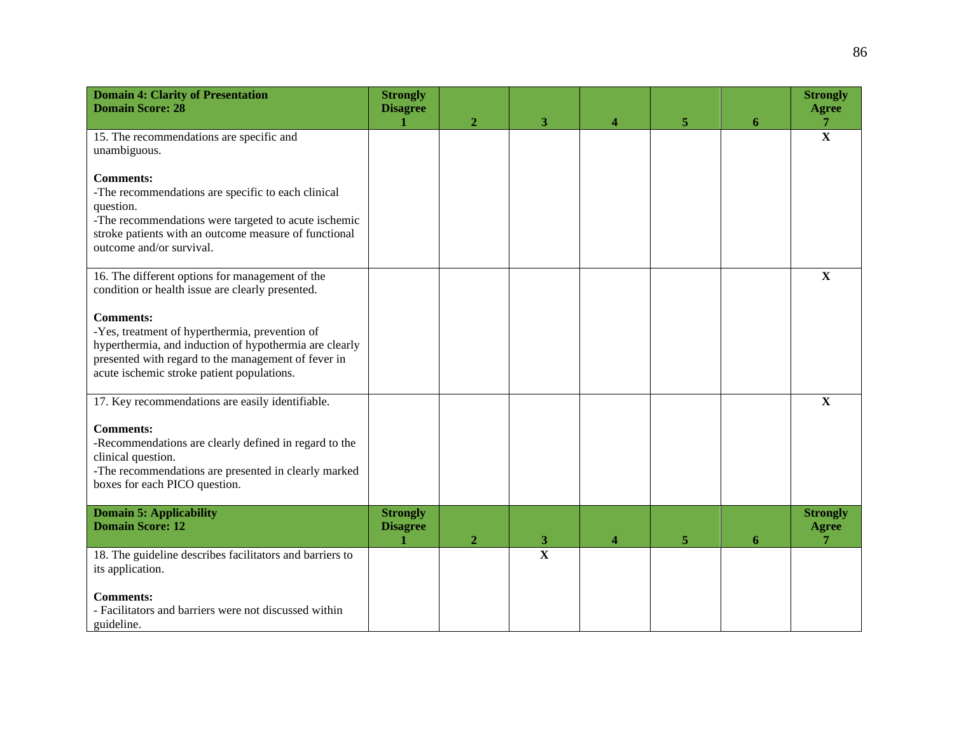| <b>Domain 4: Clarity of Presentation</b><br><b>Domain Score: 28</b>                                                                                                                                                                          | <b>Strongly</b><br><b>Disagree</b> | $\overline{2}$ | 3                       | 4 | 5 | 6 | <b>Strongly</b><br><b>Agree</b><br>7 |
|----------------------------------------------------------------------------------------------------------------------------------------------------------------------------------------------------------------------------------------------|------------------------------------|----------------|-------------------------|---|---|---|--------------------------------------|
| 15. The recommendations are specific and<br>unambiguous.                                                                                                                                                                                     |                                    |                |                         |   |   |   | $\overline{\mathbf{X}}$              |
| <b>Comments:</b><br>-The recommendations are specific to each clinical<br>question.<br>-The recommendations were targeted to acute ischemic<br>stroke patients with an outcome measure of functional<br>outcome and/or survival.             |                                    |                |                         |   |   |   |                                      |
| 16. The different options for management of the<br>condition or health issue are clearly presented.                                                                                                                                          |                                    |                |                         |   |   |   | X                                    |
| <b>Comments:</b><br>-Yes, treatment of hyperthermia, prevention of<br>hyperthermia, and induction of hypothermia are clearly<br>presented with regard to the management of fever in<br>acute ischemic stroke patient populations.            |                                    |                |                         |   |   |   |                                      |
| 17. Key recommendations are easily identifiable.<br><b>Comments:</b><br>-Recommendations are clearly defined in regard to the<br>clinical question.<br>-The recommendations are presented in clearly marked<br>boxes for each PICO question. |                                    |                |                         |   |   |   | $\mathbf X$                          |
| <b>Domain 5: Applicability</b><br><b>Domain Score: 12</b>                                                                                                                                                                                    | <b>Strongly</b><br><b>Disagree</b> | $\overline{2}$ | 3                       | 4 | 5 | 6 | <b>Strongly</b><br><b>Agree</b>      |
| 18. The guideline describes facilitators and barriers to<br>its application.<br><b>Comments:</b><br>- Facilitators and barriers were not discussed within<br>guideline.                                                                      |                                    |                | $\overline{\mathbf{X}}$ |   |   |   |                                      |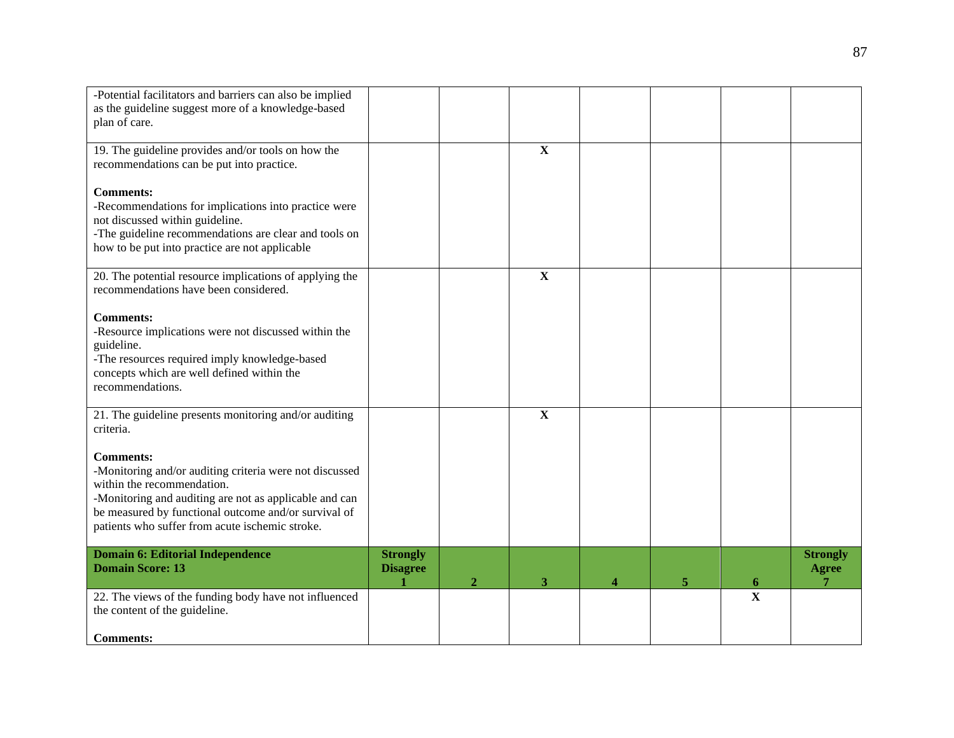| -Potential facilitators and barriers can also be implied<br>as the guideline suggest more of a knowledge-based<br>plan of care.                                                                                                                                                |                                    |                  |              |   |   |                                                    |                                 |
|--------------------------------------------------------------------------------------------------------------------------------------------------------------------------------------------------------------------------------------------------------------------------------|------------------------------------|------------------|--------------|---|---|----------------------------------------------------|---------------------------------|
| 19. The guideline provides and/or tools on how the<br>recommendations can be put into practice.                                                                                                                                                                                |                                    |                  | $\mathbf{X}$ |   |   |                                                    |                                 |
| <b>Comments:</b><br>-Recommendations for implications into practice were<br>not discussed within guideline.<br>-The guideline recommendations are clear and tools on<br>how to be put into practice are not applicable                                                         |                                    |                  |              |   |   |                                                    |                                 |
| 20. The potential resource implications of applying the<br>recommendations have been considered.                                                                                                                                                                               |                                    |                  | $\mathbf X$  |   |   |                                                    |                                 |
| <b>Comments:</b><br>-Resource implications were not discussed within the<br>guideline.<br>-The resources required imply knowledge-based<br>concepts which are well defined within the<br>recommendations.                                                                      |                                    |                  |              |   |   |                                                    |                                 |
| 21. The guideline presents monitoring and/or auditing<br>criteria.                                                                                                                                                                                                             |                                    |                  | $\mathbf X$  |   |   |                                                    |                                 |
| <b>Comments:</b><br>-Monitoring and/or auditing criteria were not discussed<br>within the recommendation.<br>-Monitoring and auditing are not as applicable and can<br>be measured by functional outcome and/or survival of<br>patients who suffer from acute ischemic stroke. |                                    |                  |              |   |   |                                                    |                                 |
| <b>Domain 6: Editorial Independence</b><br><b>Domain Score: 13</b>                                                                                                                                                                                                             | <b>Strongly</b><br><b>Disagree</b> |                  |              |   |   |                                                    | <b>Strongly</b><br><b>Agree</b> |
| 22. The views of the funding body have not influenced<br>the content of the guideline.                                                                                                                                                                                         |                                    | $\boldsymbol{2}$ | 3            | 4 | 5 | $\overline{\mathbf{6}}$<br>$\overline{\mathbf{X}}$ | 7                               |
| <b>Comments:</b>                                                                                                                                                                                                                                                               |                                    |                  |              |   |   |                                                    |                                 |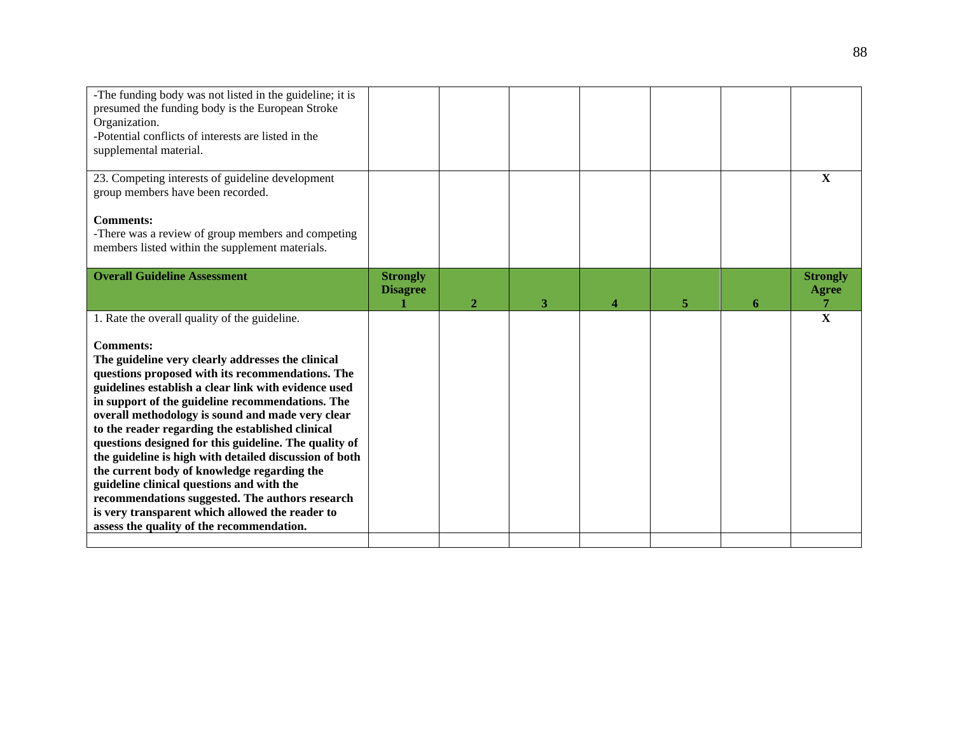| -The funding body was not listed in the guideline; it is<br>presumed the funding body is the European Stroke<br>Organization.<br>-Potential conflicts of interests are listed in the<br>supplemental material.                                                                                                                                                                                                                                                                                                                                                                                                                                                                                                                                                   |                                    |              |   |   |   |                                 |
|------------------------------------------------------------------------------------------------------------------------------------------------------------------------------------------------------------------------------------------------------------------------------------------------------------------------------------------------------------------------------------------------------------------------------------------------------------------------------------------------------------------------------------------------------------------------------------------------------------------------------------------------------------------------------------------------------------------------------------------------------------------|------------------------------------|--------------|---|---|---|---------------------------------|
| 23. Competing interests of guideline development<br>group members have been recorded.                                                                                                                                                                                                                                                                                                                                                                                                                                                                                                                                                                                                                                                                            |                                    |              |   |   |   | X                               |
| <b>Comments:</b><br>-There was a review of group members and competing<br>members listed within the supplement materials.                                                                                                                                                                                                                                                                                                                                                                                                                                                                                                                                                                                                                                        |                                    |              |   |   |   |                                 |
| <b>Overall Guideline Assessment</b>                                                                                                                                                                                                                                                                                                                                                                                                                                                                                                                                                                                                                                                                                                                              | <b>Strongly</b><br><b>Disagree</b> | $\mathbf{2}$ | 3 | 5 | 6 | <b>Strongly</b><br><b>Agree</b> |
| 1. Rate the overall quality of the guideline.<br><b>Comments:</b><br>The guideline very clearly addresses the clinical<br>questions proposed with its recommendations. The<br>guidelines establish a clear link with evidence used<br>in support of the guideline recommendations. The<br>overall methodology is sound and made very clear<br>to the reader regarding the established clinical<br>questions designed for this guideline. The quality of<br>the guideline is high with detailed discussion of both<br>the current body of knowledge regarding the<br>guideline clinical questions and with the<br>recommendations suggested. The authors research<br>is very transparent which allowed the reader to<br>assess the quality of the recommendation. |                                    |              |   |   |   | $\mathbf X$                     |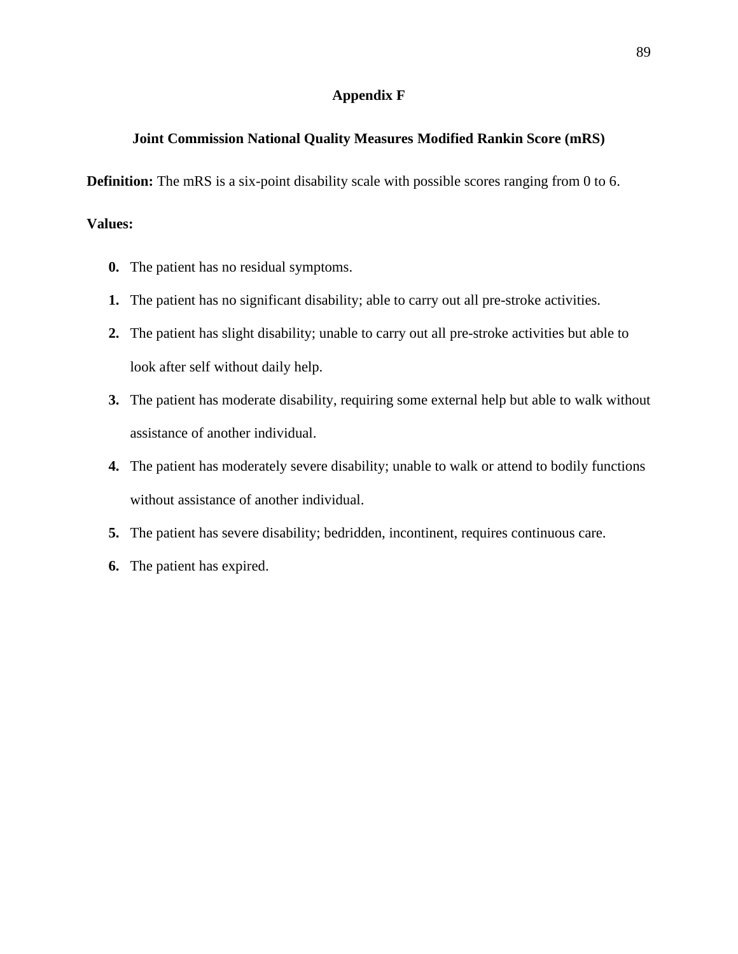#### **Appendix F**

#### **Joint Commission National Quality Measures Modified Rankin Score (mRS)**

**Definition:** The mRS is a six-point disability scale with possible scores ranging from 0 to 6.

#### **Values:**

- **0.** The patient has no residual symptoms.
- **1.** The patient has no significant disability; able to carry out all pre-stroke activities.
- **2.** The patient has slight disability; unable to carry out all pre-stroke activities but able to look after self without daily help.
- **3.** The patient has moderate disability, requiring some external help but able to walk without assistance of another individual.
- **4.** The patient has moderately severe disability; unable to walk or attend to bodily functions without assistance of another individual.
- **5.** The patient has severe disability; bedridden, incontinent, requires continuous care.
- **6.** The patient has expired.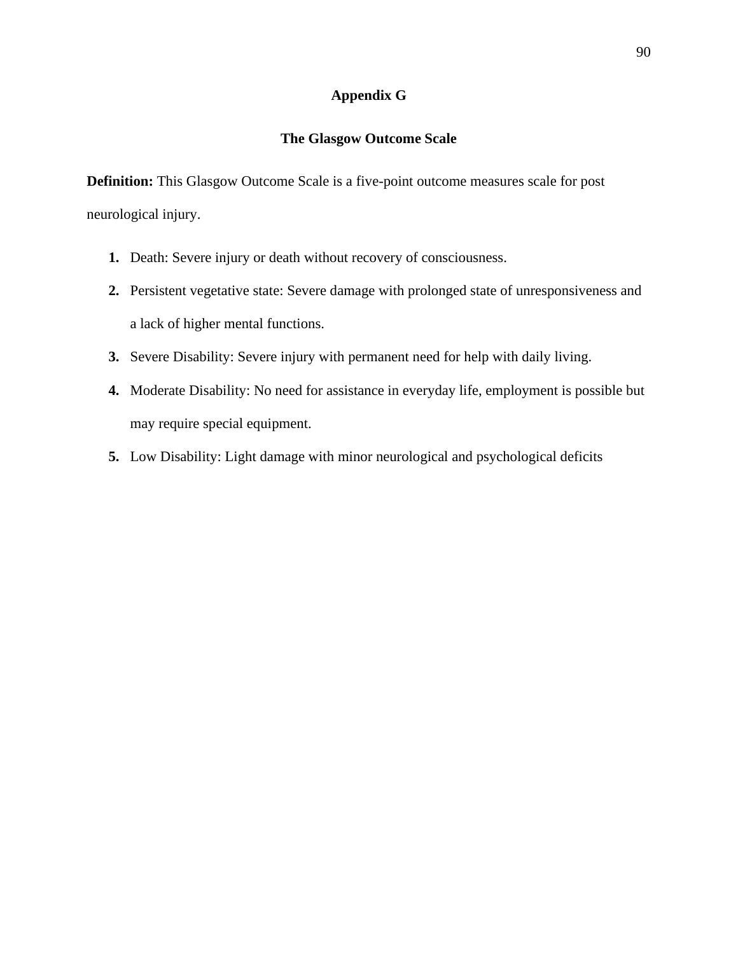### **Appendix G**

#### **The Glasgow Outcome Scale**

**Definition:** This Glasgow Outcome Scale is a five-point outcome measures scale for post neurological injury.

- **1.** Death: Severe injury or death without recovery of consciousness.
- **2.** Persistent vegetative state: Severe damage with prolonged state of unresponsiveness and a lack of higher mental functions.
- **3.** Severe Disability: Severe injury with permanent need for help with daily living.
- **4.** Moderate Disability: No need for assistance in everyday life, employment is possible but may require special equipment.
- **5.** Low Disability: Light damage with minor neurological and psychological deficits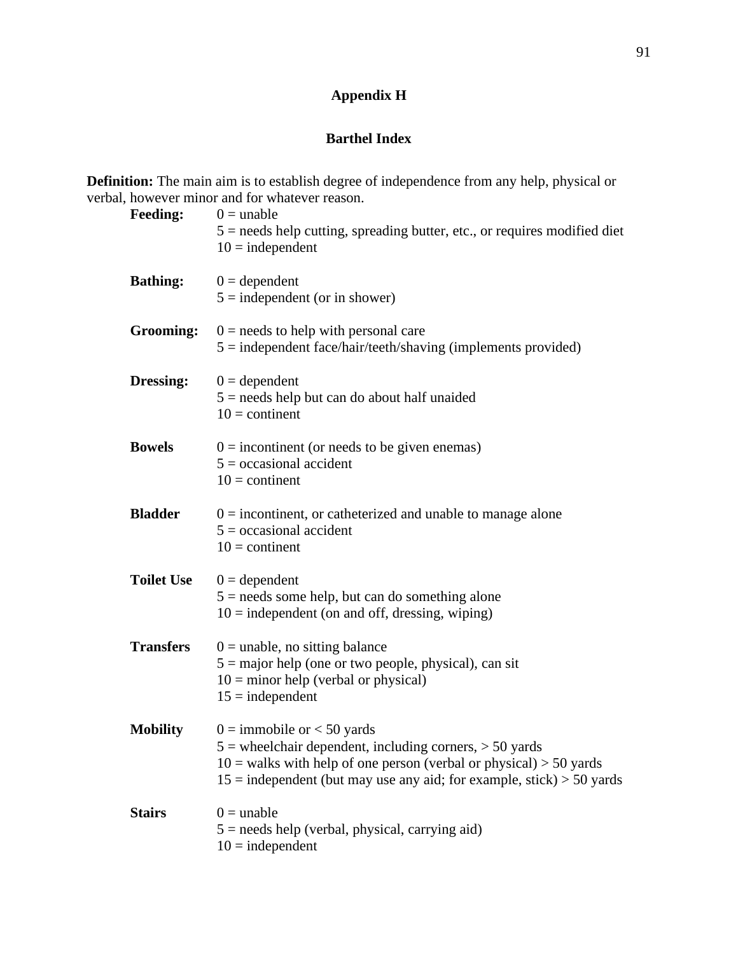## **Appendix H**

### **Barthel Index**

**Definition:** The main aim is to establish degree of independence from any help, physical or verbal, however minor and for whatever reason.

| <b>Feeding:</b>   | $0 =$ unable<br>$5 =$ needs help cutting, spreading butter, etc., or requires modified diet<br>$10$ = independent                                                                                                                                |
|-------------------|--------------------------------------------------------------------------------------------------------------------------------------------------------------------------------------------------------------------------------------------------|
| <b>Bathing:</b>   | $0 = dependent$<br>$5 =$ independent (or in shower)                                                                                                                                                                                              |
| Grooming:         | $0 =$ needs to help with personal care<br>$5 =$ independent face/hair/teeth/shaving (implements provided)                                                                                                                                        |
| <b>Dressing:</b>  | $0 = dependent$<br>$5 =$ needs help but can do about half unaided<br>$10 =$ continent                                                                                                                                                            |
| <b>Bowels</b>     | $0 =$ incontinent (or needs to be given enemas)<br>$5 = \alpha$ cocasional accident<br>$10 =$ continent                                                                                                                                          |
| <b>Bladder</b>    | $0 =$ incontinent, or catheterized and unable to manage alone<br>$5 = \alpha$ cocasional accident<br>$10 =$ continent                                                                                                                            |
| <b>Toilet Use</b> | $0 = dependent$<br>$5 =$ needs some help, but can do something alone<br>$10 =$ independent (on and off, dressing, wiping)                                                                                                                        |
| <b>Transfers</b>  | $0 =$ unable, no sitting balance<br>$5 =$ major help (one or two people, physical), can sit<br>$10 =$ minor help (verbal or physical)<br>$15 =$ independent                                                                                      |
| <b>Mobility</b>   | $0 =$ immobile or $< 50$ yards<br>$5$ = wheelchair dependent, including corners, $> 50$ yards<br>$10 =$ walks with help of one person (verbal or physical) > 50 yards<br>$15$ = independent (but may use any aid; for example, stick) > 50 yards |
| <b>Stairs</b>     | $0 =$ unable<br>$5 =$ needs help (verbal, physical, carrying aid)<br>$10 =$ independent                                                                                                                                                          |